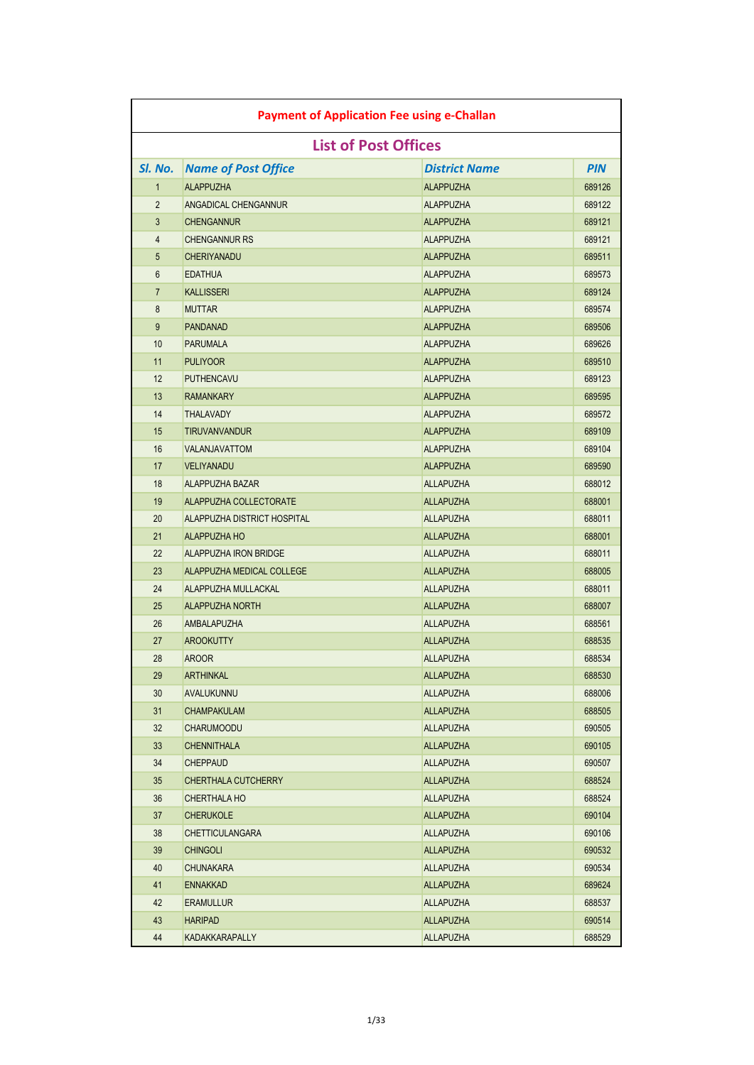| <b>Payment of Application Fee using e-Challan</b> |                              |                             |            |
|---------------------------------------------------|------------------------------|-----------------------------|------------|
|                                                   |                              | <b>List of Post Offices</b> |            |
| SI. No.                                           | <b>Name of Post Office</b>   | <b>District Name</b>        | <b>PIN</b> |
| $\mathbf{1}$                                      | <b>ALAPPUZHA</b>             | <b>ALAPPUZHA</b>            | 689126     |
| 2                                                 | ANGADICAL CHENGANNUR         | <b>ALAPPUZHA</b>            | 689122     |
| 3                                                 | <b>CHENGANNUR</b>            | <b>ALAPPUZHA</b>            | 689121     |
| 4                                                 | <b>CHENGANNUR RS</b>         | <b>ALAPPUZHA</b>            | 689121     |
| 5                                                 | <b>CHERIYANADU</b>           | <b>ALAPPUZHA</b>            | 689511     |
| 6                                                 | <b>EDATHUA</b>               | <b>ALAPPUZHA</b>            | 689573     |
| $\overline{7}$                                    | <b>KALLISSERI</b>            | <b>ALAPPUZHA</b>            | 689124     |
| 8                                                 | <b>MUTTAR</b>                | <b>ALAPPUZHA</b>            | 689574     |
| 9                                                 | <b>PANDANAD</b>              | <b>ALAPPUZHA</b>            | 689506     |
| 10                                                | <b>PARUMALA</b>              | <b>ALAPPUZHA</b>            | 689626     |
| 11                                                | <b>PULIYOOR</b>              | <b>ALAPPUZHA</b>            | 689510     |
| 12                                                | <b>PUTHENCAVU</b>            | <b>ALAPPUZHA</b>            | 689123     |
| 13                                                | <b>RAMANKARY</b>             | <b>ALAPPUZHA</b>            | 689595     |
| 14                                                | <b>THALAVADY</b>             | <b>ALAPPUZHA</b>            | 689572     |
| 15                                                | <b>TIRUVANVANDUR</b>         | <b>ALAPPUZHA</b>            | 689109     |
| 16                                                | VALANJAVATTOM                | <b>ALAPPUZHA</b>            | 689104     |
| 17                                                | <b>VELIYANADU</b>            | <b>ALAPPUZHA</b>            | 689590     |
| 18                                                | <b>ALAPPUZHA BAZAR</b>       | <b>ALLAPUZHA</b>            | 688012     |
| 19                                                | ALAPPUZHA COLLECTORATE       | <b>ALLAPUZHA</b>            | 688001     |
| 20                                                | ALAPPUZHA DISTRICT HOSPITAL  | <b>ALLAPUZHA</b>            | 688011     |
| 21                                                | <b>ALAPPUZHA HO</b>          | <b>ALLAPUZHA</b>            | 688001     |
| 22                                                | <b>ALAPPUZHA IRON BRIDGE</b> | <b>ALLAPUZHA</b>            | 688011     |
| 23                                                | ALAPPUZHA MEDICAL COLLEGE    | <b>ALLAPUZHA</b>            | 688005     |
| 24                                                | ALAPPUZHA MULLACKAL          | <b>ALLAPUZHA</b>            | 688011     |
| 25                                                | <b>ALAPPUZHA NORTH</b>       | <b>ALLAPUZHA</b>            | 688007     |
| 26                                                | <b>AMBALAPUZHA</b>           | <b>ALLAPUZHA</b>            | 688561     |
| 27                                                | <b>AROOKUTTY</b>             | <b>ALLAPUZHA</b>            | 688535     |
| 28                                                | <b>AROOR</b>                 | <b>ALLAPUZHA</b>            | 688534     |
| 29                                                | <b>ARTHINKAL</b>             | <b>ALLAPUZHA</b>            | 688530     |
| 30                                                | AVALUKUNNU                   | <b>ALLAPUZHA</b>            | 688006     |
| 31                                                | <b>CHAMPAKULAM</b>           | <b>ALLAPUZHA</b>            | 688505     |
| 32                                                | <b>CHARUMOODU</b>            | <b>ALLAPUZHA</b>            | 690505     |
| 33                                                | <b>CHENNITHALA</b>           | <b>ALLAPUZHA</b>            | 690105     |
| 34                                                | <b>CHEPPAUD</b>              | <b>ALLAPUZHA</b>            | 690507     |
| 35                                                | CHERTHALA CUTCHERRY          | <b>ALLAPUZHA</b>            | 688524     |
| 36                                                | <b>CHERTHALA HO</b>          | <b>ALLAPUZHA</b>            | 688524     |
| 37                                                | <b>CHERUKOLE</b>             | <b>ALLAPUZHA</b>            | 690104     |
| 38                                                | <b>CHETTICULANGARA</b>       | <b>ALLAPUZHA</b>            | 690106     |
| 39                                                | <b>CHINGOLI</b>              | <b>ALLAPUZHA</b>            | 690532     |
| 40                                                | <b>CHUNAKARA</b>             | <b>ALLAPUZHA</b>            | 690534     |
| 41                                                | <b>ENNAKKAD</b>              | <b>ALLAPUZHA</b>            | 689624     |
| 42                                                | <b>ERAMULLUR</b>             | <b>ALLAPUZHA</b>            | 688537     |
| 43                                                | <b>HARIPAD</b>               | <b>ALLAPUZHA</b>            | 690514     |
| 44                                                | KADAKKARAPALLY               | <b>ALLAPUZHA</b>            | 688529     |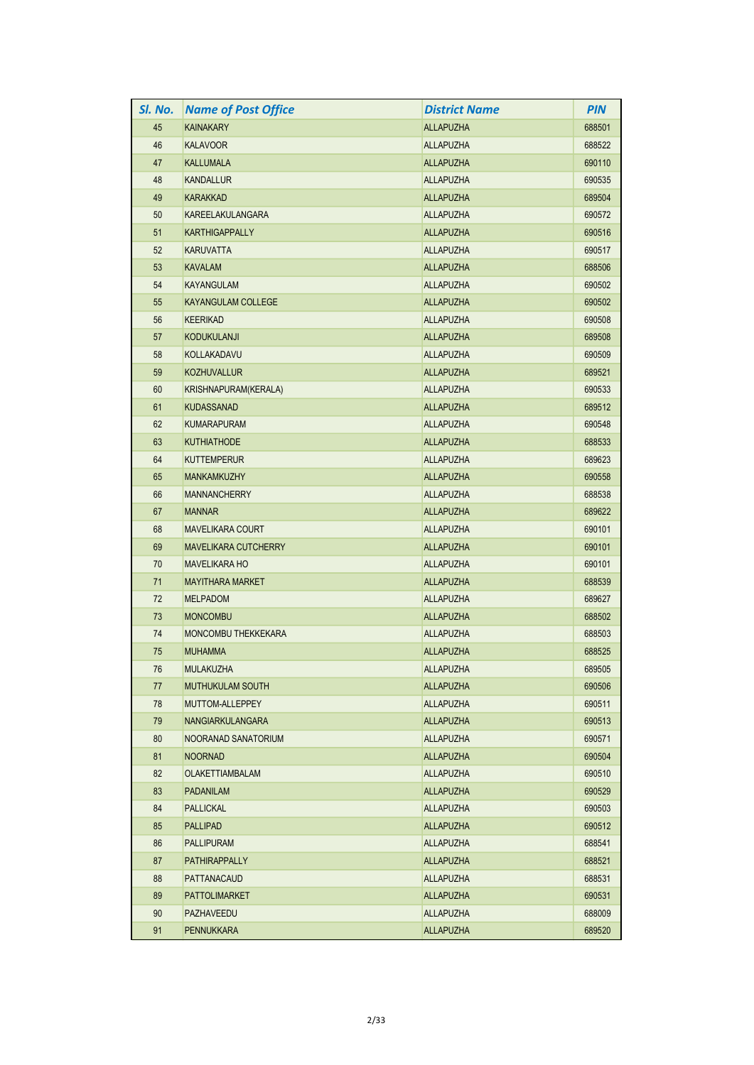| SI. No. | <b>Name of Post Office</b>  | <b>District Name</b> | <b>PIN</b> |
|---------|-----------------------------|----------------------|------------|
| 45      | <b>KAINAKARY</b>            | <b>ALLAPUZHA</b>     | 688501     |
| 46      | <b>KALAVOOR</b>             | <b>ALLAPUZHA</b>     | 688522     |
| 47      | <b>KALLUMALA</b>            | <b>ALLAPUZHA</b>     | 690110     |
| 48      | <b>KANDALLUR</b>            | <b>ALLAPUZHA</b>     | 690535     |
| 49      | <b>KARAKKAD</b>             | <b>ALLAPUZHA</b>     | 689504     |
| 50      | <b>KAREELAKULANGARA</b>     | <b>ALLAPUZHA</b>     | 690572     |
| 51      | <b>KARTHIGAPPALLY</b>       | <b>ALLAPUZHA</b>     | 690516     |
| 52      | <b>KARUVATTA</b>            | <b>ALLAPUZHA</b>     | 690517     |
| 53      | <b>KAVALAM</b>              | <b>ALLAPUZHA</b>     | 688506     |
| 54      | <b>KAYANGULAM</b>           | <b>ALLAPUZHA</b>     | 690502     |
| 55      | <b>KAYANGULAM COLLEGE</b>   | <b>ALLAPUZHA</b>     | 690502     |
| 56      | <b>KEERIKAD</b>             | <b>ALLAPUZHA</b>     | 690508     |
| 57      | <b>KODUKULANJI</b>          | <b>ALLAPUZHA</b>     | 689508     |
| 58      | KOLLAKADAVU                 | <b>ALLAPUZHA</b>     | 690509     |
| 59      | <b>KOZHUVALLUR</b>          | <b>ALLAPUZHA</b>     | 689521     |
| 60      | KRISHNAPURAM(KERALA)        | <b>ALLAPUZHA</b>     | 690533     |
| 61      | <b>KUDASSANAD</b>           | <b>ALLAPUZHA</b>     | 689512     |
| 62      | <b>KUMARAPURAM</b>          | <b>ALLAPUZHA</b>     | 690548     |
| 63      | <b>KUTHIATHODE</b>          | <b>ALLAPUZHA</b>     | 688533     |
| 64      | <b>KUTTEMPERUR</b>          | <b>ALLAPUZHA</b>     | 689623     |
| 65      | <b>MANKAMKUZHY</b>          | <b>ALLAPUZHA</b>     | 690558     |
| 66      | <b>MANNANCHERRY</b>         | <b>ALLAPUZHA</b>     | 688538     |
| 67      | <b>MANNAR</b>               | <b>ALLAPUZHA</b>     | 689622     |
| 68      | <b>MAVELIKARA COURT</b>     | <b>ALLAPUZHA</b>     | 690101     |
| 69      | <b>MAVELIKARA CUTCHERRY</b> | <b>ALLAPUZHA</b>     | 690101     |
| 70      | <b>MAVELIKARA HO</b>        | <b>ALLAPUZHA</b>     | 690101     |
| 71      | <b>MAYITHARA MARKET</b>     | <b>ALLAPUZHA</b>     | 688539     |
| 72      | <b>MELPADOM</b>             | <b>ALLAPUZHA</b>     | 689627     |
| 73      | <b>MONCOMBU</b>             | <b>ALLAPUZHA</b>     | 688502     |
| 74      | <b>MONCOMBU THEKKEKARA</b>  | <b>ALLAPUZHA</b>     | 688503     |
| 75      | <b>MUHAMMA</b>              | <b>ALLAPUZHA</b>     | 688525     |
| 76      | <b>MULAKUZHA</b>            | ALLAPUZHA            | 689505     |
| 77      | <b>MUTHUKULAM SOUTH</b>     | <b>ALLAPUZHA</b>     | 690506     |
| 78      | MUTTOM-ALLEPPEY             | <b>ALLAPUZHA</b>     | 690511     |
| 79      | <b>NANGIARKULANGARA</b>     | <b>ALLAPUZHA</b>     | 690513     |
| 80      | NOORANAD SANATORIUM         | <b>ALLAPUZHA</b>     | 690571     |
| 81      | <b>NOORNAD</b>              | <b>ALLAPUZHA</b>     | 690504     |
| 82      | <b>OLAKETTIAMBALAM</b>      | <b>ALLAPUZHA</b>     | 690510     |
| 83      | <b>PADANILAM</b>            | <b>ALLAPUZHA</b>     | 690529     |
| 84      | <b>PALLICKAL</b>            | <b>ALLAPUZHA</b>     | 690503     |
| 85      | <b>PALLIPAD</b>             | <b>ALLAPUZHA</b>     | 690512     |
| 86      | <b>PALLIPURAM</b>           | <b>ALLAPUZHA</b>     | 688541     |
| 87      | <b>PATHIRAPPALLY</b>        | <b>ALLAPUZHA</b>     | 688521     |
| 88      | <b>PATTANACAUD</b>          | <b>ALLAPUZHA</b>     | 688531     |
| 89      | <b>PATTOLIMARKET</b>        | <b>ALLAPUZHA</b>     | 690531     |
| 90      | <b>PAZHAVEEDU</b>           | <b>ALLAPUZHA</b>     | 688009     |
| 91      | <b>PENNUKKARA</b>           | <b>ALLAPUZHA</b>     | 689520     |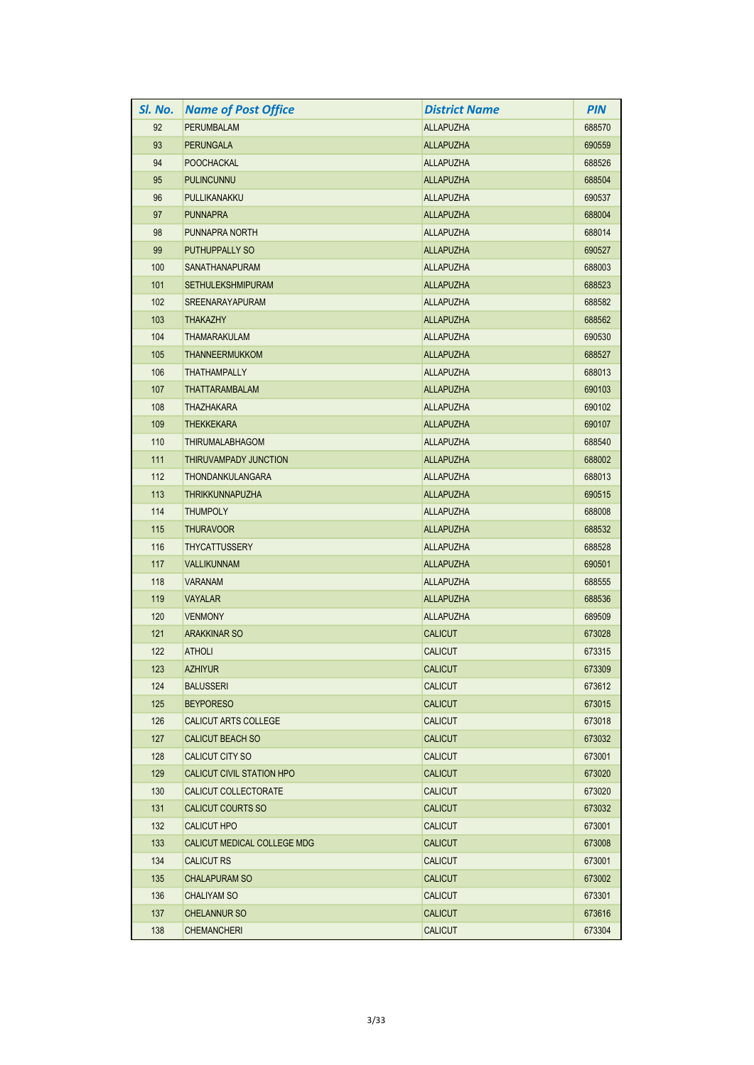| SI. No. | <b>Name of Post Office</b>  | <b>District Name</b> | <b>PIN</b> |
|---------|-----------------------------|----------------------|------------|
| 92      | PERUMBALAM                  | <b>ALLAPUZHA</b>     | 688570     |
| 93      | <b>PERUNGALA</b>            | <b>ALLAPUZHA</b>     | 690559     |
| 94      | <b>POOCHACKAL</b>           | <b>ALLAPUZHA</b>     | 688526     |
| 95      | <b>PULINCUNNU</b>           | <b>ALLAPUZHA</b>     | 688504     |
| 96      | PULLIKANAKKU                | <b>ALLAPUZHA</b>     | 690537     |
| 97      | <b>PUNNAPRA</b>             | <b>ALLAPUZHA</b>     | 688004     |
| 98      | PUNNAPRA NORTH              | <b>ALLAPUZHA</b>     | 688014     |
| 99      | PUTHUPPALLY SO              | <b>ALLAPUZHA</b>     | 690527     |
| 100     | <b>SANATHANAPURAM</b>       | <b>ALLAPUZHA</b>     | 688003     |
| 101     | <b>SETHULEKSHMIPURAM</b>    | <b>ALLAPUZHA</b>     | 688523     |
| 102     | <b>SREENARAYAPURAM</b>      | <b>ALLAPUZHA</b>     | 688582     |
| 103     | <b>THAKAZHY</b>             | <b>ALLAPUZHA</b>     | 688562     |
| 104     | <b>THAMARAKULAM</b>         | <b>ALLAPUZHA</b>     | 690530     |
| 105     | <b>THANNEERMUKKOM</b>       | <b>ALLAPUZHA</b>     | 688527     |
| 106     | <b>THATHAMPALLY</b>         | <b>ALLAPUZHA</b>     | 688013     |
| 107     | <b>THATTARAMBALAM</b>       | <b>ALLAPUZHA</b>     | 690103     |
| 108     | <b>THAZHAKARA</b>           | <b>ALLAPUZHA</b>     | 690102     |
| 109     | <b>THEKKEKARA</b>           | <b>ALLAPUZHA</b>     | 690107     |
| 110     | <b>THIRUMALABHAGOM</b>      | <b>ALLAPUZHA</b>     | 688540     |
| 111     | THIRUVAMPADY JUNCTION       | <b>ALLAPUZHA</b>     | 688002     |
| 112     | THONDANKULANGARA            | <b>ALLAPUZHA</b>     | 688013     |
| 113     | <b>THRIKKUNNAPUZHA</b>      | <b>ALLAPUZHA</b>     | 690515     |
| 114     | <b>THUMPOLY</b>             | <b>ALLAPUZHA</b>     | 688008     |
| 115     | <b>THURAVOOR</b>            | <b>ALLAPUZHA</b>     | 688532     |
| 116     | <b>THYCATTUSSERY</b>        | <b>ALLAPUZHA</b>     | 688528     |
| 117     | <b>VALLIKUNNAM</b>          | <b>ALLAPUZHA</b>     | 690501     |
| 118     | <b>VARANAM</b>              | <b>ALLAPUZHA</b>     | 688555     |
| 119     | <b>VAYALAR</b>              | <b>ALLAPUZHA</b>     | 688536     |
| 120     | <b>VENMONY</b>              | <b>ALLAPUZHA</b>     | 689509     |
| 121     | <b>ARAKKINAR SO</b>         | <b>CALICUT</b>       | 673028     |
| 122     | <b>ATHOLI</b>               | <b>CALICUT</b>       | 673315     |
| 123     | <b>AZHIYUR</b>              | <b>CALICUT</b>       | 673309     |
| 124     | <b>BALUSSERI</b>            | <b>CALICUT</b>       | 673612     |
| 125     | <b>BEYPORESO</b>            | <b>CALICUT</b>       | 673015     |
| 126     | CALICUT ARTS COLLEGE        | <b>CALICUT</b>       | 673018     |
| 127     | <b>CALICUT BEACH SO</b>     | <b>CALICUT</b>       | 673032     |
| 128     | CALICUT CITY SO             | <b>CALICUT</b>       | 673001     |
| 129     | CALICUT CIVIL STATION HPO   | <b>CALICUT</b>       | 673020     |
| 130     | CALICUT COLLECTORATE        | <b>CALICUT</b>       | 673020     |
| 131     | <b>CALICUT COURTS SO</b>    | <b>CALICUT</b>       | 673032     |
| 132     | <b>CALICUT HPO</b>          | <b>CALICUT</b>       | 673001     |
| 133     | CALICUT MEDICAL COLLEGE MDG | <b>CALICUT</b>       | 673008     |
| 134     | <b>CALICUT RS</b>           | <b>CALICUT</b>       | 673001     |
| 135     | <b>CHALAPURAM SO</b>        | <b>CALICUT</b>       | 673002     |
| 136     | <b>CHALIYAM SO</b>          | <b>CALICUT</b>       | 673301     |
| 137     | <b>CHELANNUR SO</b>         | <b>CALICUT</b>       | 673616     |
| 138     | <b>CHEMANCHERI</b>          | <b>CALICUT</b>       | 673304     |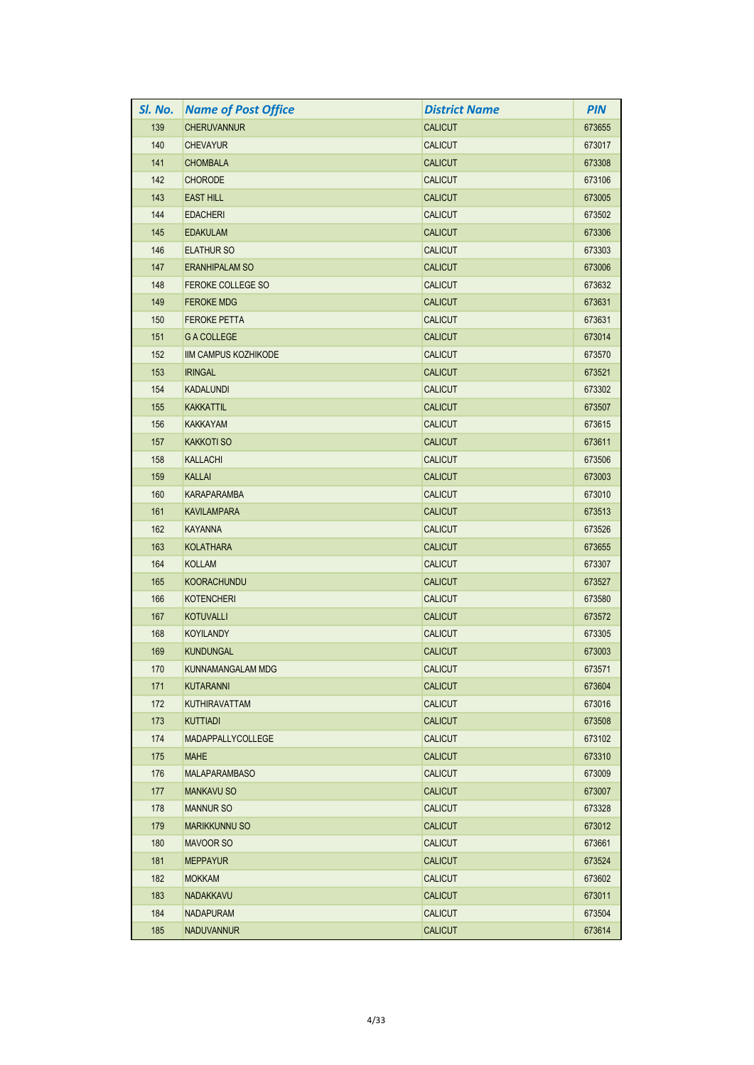| SI. No. | <b>Name of Post Office</b> | <b>District Name</b> | <b>PIN</b> |
|---------|----------------------------|----------------------|------------|
| 139     | <b>CHERUVANNUR</b>         | <b>CALICUT</b>       | 673655     |
| 140     | <b>CHEVAYUR</b>            | <b>CALICUT</b>       | 673017     |
| 141     | <b>CHOMBALA</b>            | <b>CALICUT</b>       | 673308     |
| 142     | <b>CHORODE</b>             | <b>CALICUT</b>       | 673106     |
| 143     | <b>EAST HILL</b>           | <b>CALICUT</b>       | 673005     |
| 144     | <b>EDACHERI</b>            | <b>CALICUT</b>       | 673502     |
| 145     | <b>EDAKULAM</b>            | <b>CALICUT</b>       | 673306     |
| 146     | <b>ELATHUR SO</b>          | <b>CALICUT</b>       | 673303     |
| 147     | <b>ERANHIPALAM SO</b>      | <b>CALICUT</b>       | 673006     |
| 148     | <b>FEROKE COLLEGE SO</b>   | <b>CALICUT</b>       | 673632     |
| 149     | <b>FEROKE MDG</b>          | <b>CALICUT</b>       | 673631     |
| 150     | <b>FEROKE PETTA</b>        | <b>CALICUT</b>       | 673631     |
| 151     | <b>G A COLLEGE</b>         | <b>CALICUT</b>       | 673014     |
| 152     | IIM CAMPUS KOZHIKODE       | <b>CALICUT</b>       | 673570     |
| 153     | <b>IRINGAL</b>             | <b>CALICUT</b>       | 673521     |
| 154     | <b>KADALUNDI</b>           | <b>CALICUT</b>       | 673302     |
| 155     | <b>KAKKATTIL</b>           | <b>CALICUT</b>       | 673507     |
| 156     | <b>KAKKAYAM</b>            | <b>CALICUT</b>       | 673615     |
| 157     | <b>KAKKOTI SO</b>          | <b>CALICUT</b>       | 673611     |
| 158     | <b>KALLACHI</b>            | <b>CALICUT</b>       | 673506     |
| 159     | <b>KALLAI</b>              | <b>CALICUT</b>       | 673003     |
| 160     | <b>KARAPARAMBA</b>         | <b>CALICUT</b>       | 673010     |
| 161     | <b>KAVILAMPARA</b>         | <b>CALICUT</b>       | 673513     |
| 162     | <b>KAYANNA</b>             | <b>CALICUT</b>       | 673526     |
| 163     | <b>KOLATHARA</b>           | <b>CALICUT</b>       | 673655     |
| 164     | <b>KOLLAM</b>              | <b>CALICUT</b>       | 673307     |
| 165     | <b>KOORACHUNDU</b>         | <b>CALICUT</b>       | 673527     |
| 166     | <b>KOTENCHERI</b>          | <b>CALICUT</b>       | 673580     |
| 167     | <b>KOTUVALLI</b>           | <b>CALICUT</b>       | 673572     |
| 168     | <b>KOYILANDY</b>           | <b>CALICUT</b>       | 673305     |
| 169     | <b>KUNDUNGAL</b>           | <b>CALICUT</b>       | 673003     |
| 170     | KUNNAMANGALAM MDG          | <b>CALICUT</b>       | 673571     |
| 171     | KUTARANNI                  | <b>CALICUT</b>       | 673604     |
| 172     | <b>KUTHIRAVATTAM</b>       | <b>CALICUT</b>       | 673016     |
| 173     | <b>KUTTIADI</b>            | <b>CALICUT</b>       | 673508     |
| 174     | MADAPPALLYCOLLEGE          | <b>CALICUT</b>       | 673102     |
| 175     | <b>MAHE</b>                | <b>CALICUT</b>       | 673310     |
| 176     | <b>MALAPARAMBASO</b>       | <b>CALICUT</b>       | 673009     |
| 177     | <b>MANKAVU SO</b>          | <b>CALICUT</b>       | 673007     |
| 178     | <b>MANNUR SO</b>           | <b>CALICUT</b>       | 673328     |
| 179     | <b>MARIKKUNNU SO</b>       | <b>CALICUT</b>       | 673012     |
| 180     | <b>MAVOOR SO</b>           | <b>CALICUT</b>       | 673661     |
| 181     | <b>MEPPAYUR</b>            | <b>CALICUT</b>       | 673524     |
| 182     | <b>MOKKAM</b>              | <b>CALICUT</b>       | 673602     |
| 183     | NADAKKAVU                  | <b>CALICUT</b>       | 673011     |
| 184     | <b>NADAPURAM</b>           | <b>CALICUT</b>       | 673504     |
| 185     | <b>NADUVANNUR</b>          | <b>CALICUT</b>       | 673614     |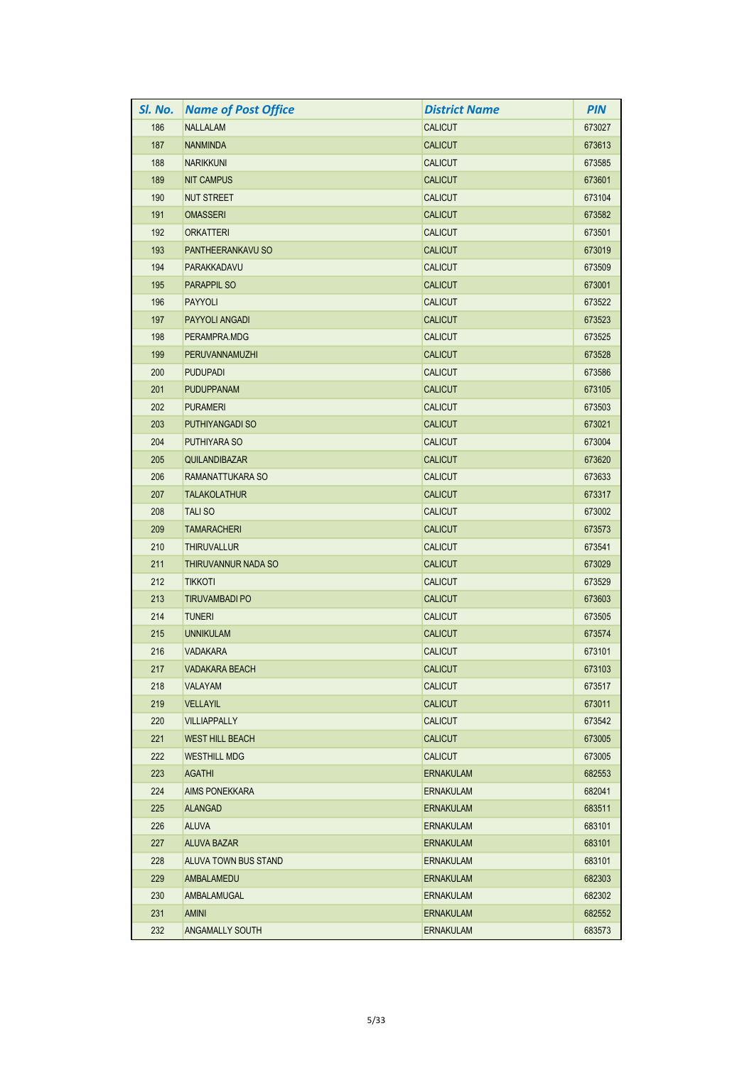| SI. No. | <b>Name of Post Office</b> | <b>District Name</b> | <b>PIN</b> |
|---------|----------------------------|----------------------|------------|
| 186     | <b>NALLALAM</b>            | <b>CALICUT</b>       | 673027     |
| 187     | <b>NANMINDA</b>            | <b>CALICUT</b>       | 673613     |
| 188     | <b>NARIKKUNI</b>           | <b>CALICUT</b>       | 673585     |
| 189     | <b>NIT CAMPUS</b>          | <b>CALICUT</b>       | 673601     |
| 190     | <b>NUT STREET</b>          | <b>CALICUT</b>       | 673104     |
| 191     | <b>OMASSERI</b>            | <b>CALICUT</b>       | 673582     |
| 192     | <b>ORKATTERI</b>           | <b>CALICUT</b>       | 673501     |
| 193     | PANTHEERANKAVU SO          | <b>CALICUT</b>       | 673019     |
| 194     | <b>PARAKKADAVU</b>         | <b>CALICUT</b>       | 673509     |
| 195     | <b>PARAPPIL SO</b>         | <b>CALICUT</b>       | 673001     |
| 196     | <b>PAYYOLI</b>             | <b>CALICUT</b>       | 673522     |
| 197     | <b>PAYYOLI ANGADI</b>      | <b>CALICUT</b>       | 673523     |
| 198     | PERAMPRA.MDG               | <b>CALICUT</b>       | 673525     |
| 199     | PERUVANNAMUZHI             | <b>CALICUT</b>       | 673528     |
| 200     | <b>PUDUPADI</b>            | <b>CALICUT</b>       | 673586     |
| 201     | <b>PUDUPPANAM</b>          | <b>CALICUT</b>       | 673105     |
| 202     | <b>PURAMERI</b>            | <b>CALICUT</b>       | 673503     |
| 203     | PUTHIYANGADI SO            | <b>CALICUT</b>       | 673021     |
| 204     | <b>PUTHIYARA SO</b>        | <b>CALICUT</b>       | 673004     |
| 205     | QUILANDIBAZAR              | <b>CALICUT</b>       | 673620     |
| 206     | RAMANATTUKARA SO           | <b>CALICUT</b>       | 673633     |
| 207     | <b>TALAKOLATHUR</b>        | <b>CALICUT</b>       | 673317     |
| 208     | <b>TALISO</b>              | <b>CALICUT</b>       | 673002     |
| 209     | <b>TAMARACHERI</b>         | <b>CALICUT</b>       | 673573     |
| 210     | <b>THIRUVALLUR</b>         | <b>CALICUT</b>       | 673541     |
| 211     | THIRUVANNUR NADA SO        | <b>CALICUT</b>       | 673029     |
| 212     | <b>TIKKOTI</b>             | <b>CALICUT</b>       | 673529     |
| 213     | <b>TIRUVAMBADI PO</b>      | <b>CALICUT</b>       | 673603     |
| 214     | <b>TUNERI</b>              | <b>CALICUT</b>       | 673505     |
| 215     | <b>UNNIKULAM</b>           | <b>CALICUT</b>       | 673574     |
| 216     | <b>VADAKARA</b>            | <b>CALICUT</b>       | 673101     |
| 217     | VADAKARA BEACH             | <b>CALICUT</b>       | 673103     |
| 218     | <b>VALAYAM</b>             | <b>CALICUT</b>       | 673517     |
| 219     | <b>VELLAYIL</b>            | <b>CALICUT</b>       | 673011     |
| 220     | <b>VILLIAPPALLY</b>        | <b>CALICUT</b>       | 673542     |
| 221     | <b>WEST HILL BEACH</b>     | <b>CALICUT</b>       | 673005     |
| 222     | <b>WESTHILL MDG</b>        | <b>CALICUT</b>       | 673005     |
| 223     | <b>AGATHI</b>              | <b>ERNAKULAM</b>     | 682553     |
| 224     | <b>AIMS PONEKKARA</b>      | <b>ERNAKULAM</b>     | 682041     |
| 225     | <b>ALANGAD</b>             | <b>ERNAKULAM</b>     | 683511     |
| 226     | <b>ALUVA</b>               | <b>ERNAKULAM</b>     | 683101     |
| 227     | <b>ALUVA BAZAR</b>         | <b>ERNAKULAM</b>     | 683101     |
| 228     | ALUVA TOWN BUS STAND       | <b>ERNAKULAM</b>     | 683101     |
| 229     | AMBALAMEDU                 | <b>ERNAKULAM</b>     | 682303     |
| 230     | AMBALAMUGAL                | ERNAKULAM            | 682302     |
| 231     | <b>AMINI</b>               | <b>ERNAKULAM</b>     | 682552     |
| 232     | ANGAMALLY SOUTH            | <b>ERNAKULAM</b>     | 683573     |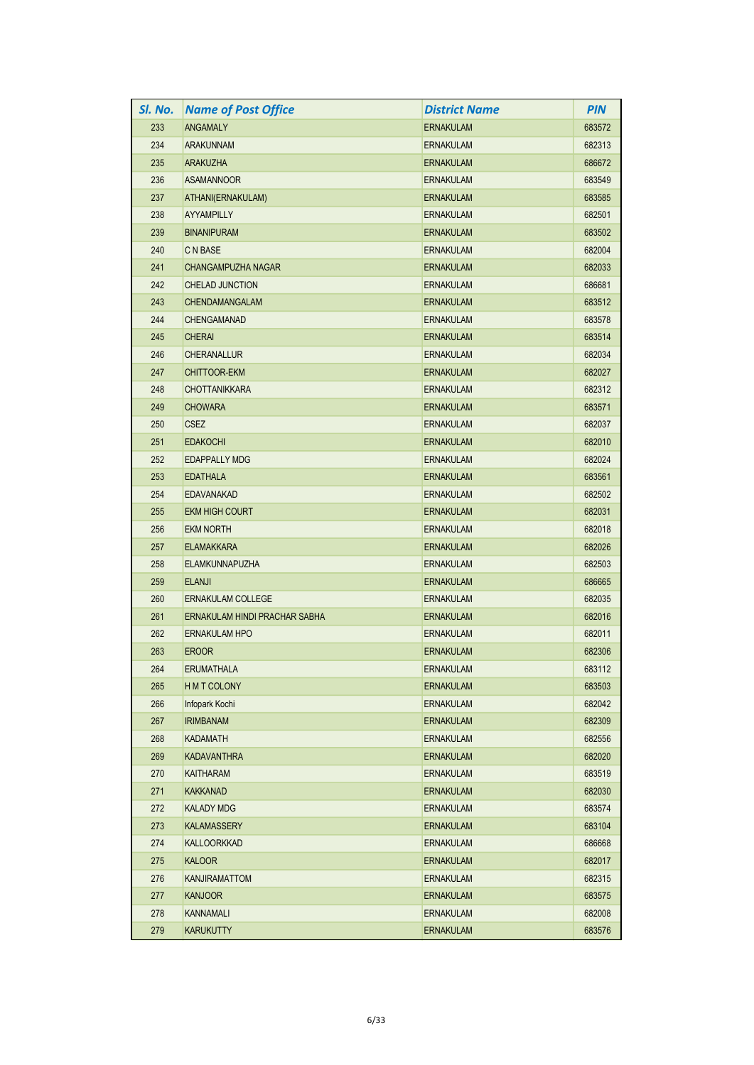| SI. No. | <b>Name of Post Office</b>    | <b>District Name</b> | <b>PIN</b> |
|---------|-------------------------------|----------------------|------------|
| 233     | <b>ANGAMALY</b>               | <b>ERNAKULAM</b>     | 683572     |
| 234     | <b>ARAKUNNAM</b>              | <b>ERNAKULAM</b>     | 682313     |
| 235     | <b>ARAKUZHA</b>               | <b>ERNAKULAM</b>     | 686672     |
| 236     | <b>ASAMANNOOR</b>             | <b>ERNAKULAM</b>     | 683549     |
| 237     | ATHANI(ERNAKULAM)             | <b>ERNAKULAM</b>     | 683585     |
| 238     | AYYAMPILLY                    | <b>ERNAKULAM</b>     | 682501     |
| 239     | <b>BINANIPURAM</b>            | <b>ERNAKULAM</b>     | 683502     |
| 240     | C N BASE                      | <b>ERNAKULAM</b>     | 682004     |
| 241     | <b>CHANGAMPUZHA NAGAR</b>     | <b>ERNAKULAM</b>     | 682033     |
| 242     | <b>CHELAD JUNCTION</b>        | <b>ERNAKULAM</b>     | 686681     |
| 243     | CHENDAMANGALAM                | <b>ERNAKULAM</b>     | 683512     |
| 244     | <b>CHENGAMANAD</b>            | <b>ERNAKULAM</b>     | 683578     |
| 245     | <b>CHERAI</b>                 | <b>ERNAKULAM</b>     | 683514     |
| 246     | <b>CHERANALLUR</b>            | <b>ERNAKULAM</b>     | 682034     |
| 247     | <b>CHITTOOR-EKM</b>           | <b>ERNAKULAM</b>     | 682027     |
| 248     | <b>CHOTTANIKKARA</b>          | <b>ERNAKULAM</b>     | 682312     |
| 249     | <b>CHOWARA</b>                | <b>ERNAKULAM</b>     | 683571     |
| 250     | <b>CSEZ</b>                   | ERNAKULAM            | 682037     |
| 251     | <b>EDAKOCHI</b>               | <b>ERNAKULAM</b>     | 682010     |
| 252     | <b>EDAPPALLY MDG</b>          | <b>ERNAKULAM</b>     | 682024     |
| 253     | <b>EDATHALA</b>               | <b>ERNAKULAM</b>     | 683561     |
| 254     | EDAVANAKAD                    | <b>ERNAKULAM</b>     | 682502     |
| 255     | <b>EKM HIGH COURT</b>         | <b>ERNAKULAM</b>     | 682031     |
| 256     | <b>EKM NORTH</b>              | <b>ERNAKULAM</b>     | 682018     |
| 257     | <b>ELAMAKKARA</b>             | <b>ERNAKULAM</b>     | 682026     |
| 258     | <b>ELAMKUNNAPUZHA</b>         | <b>ERNAKULAM</b>     | 682503     |
| 259     | <b>ELANJI</b>                 | <b>ERNAKULAM</b>     | 686665     |
| 260     | <b>ERNAKULAM COLLEGE</b>      | ERNAKULAM            | 682035     |
| 261     | ERNAKULAM HINDI PRACHAR SABHA | <b>ERNAKULAM</b>     | 682016     |
| 262     | <b>ERNAKULAM HPO</b>          | <b>ERNAKULAM</b>     | 682011     |
| 263     | <b>EROOR</b>                  | <b>ERNAKULAM</b>     | 682306     |
| 264     | <b>ERUMATHALA</b>             | <b>ERNAKULAM</b>     | 683112     |
| 265     | <b>HMT COLONY</b>             | <b>ERNAKULAM</b>     | 683503     |
| 266     | Infopark Kochi                | <b>ERNAKULAM</b>     | 682042     |
| 267     | <b>IRIMBANAM</b>              | <b>ERNAKULAM</b>     | 682309     |
| 268     | <b>KADAMATH</b>               | <b>ERNAKULAM</b>     | 682556     |
| 269     | <b>KADAVANTHRA</b>            | <b>ERNAKULAM</b>     | 682020     |
| 270     | KAITHARAM                     | ERNAKULAM            | 683519     |
| 271     | KAKKANAD                      | <b>ERNAKULAM</b>     | 682030     |
| 272     | <b>KALADY MDG</b>             | ERNAKULAM            | 683574     |
| 273     | <b>KALAMASSERY</b>            | <b>ERNAKULAM</b>     | 683104     |
| 274     | <b>KALLOORKKAD</b>            | ERNAKULAM            | 686668     |
| 275     | <b>KALOOR</b>                 | <b>ERNAKULAM</b>     | 682017     |
| 276     | <b>KANJIRAMATTOM</b>          | <b>ERNAKULAM</b>     | 682315     |
| 277     | <b>KANJOOR</b>                | ERNAKULAM            | 683575     |
| 278     | <b>KANNAMALI</b>              | <b>ERNAKULAM</b>     | 682008     |
| 279     | <b>KARUKUTTY</b>              | <b>ERNAKULAM</b>     | 683576     |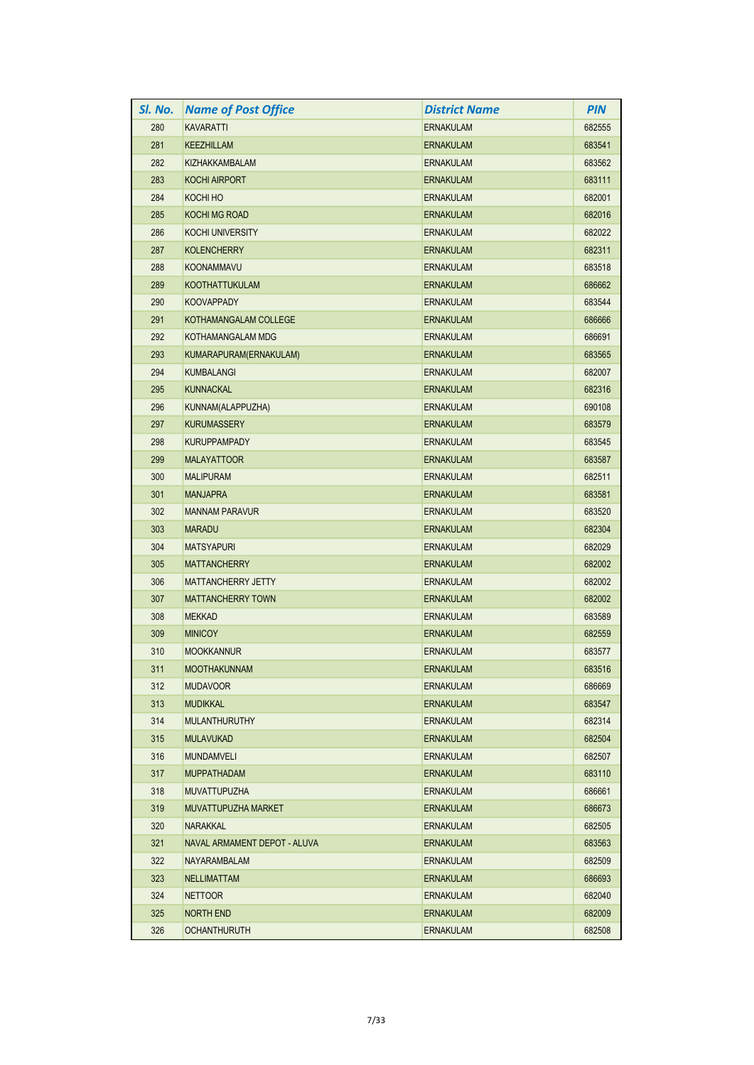| SI. No. | <b>Name of Post Office</b>   | <b>District Name</b> | <b>PIN</b> |
|---------|------------------------------|----------------------|------------|
| 280     | <b>KAVARATTI</b>             | <b>ERNAKULAM</b>     | 682555     |
| 281     | KEEZHILLAM                   | <b>ERNAKULAM</b>     | 683541     |
| 282     | KIZHAKKAMBALAM               | <b>ERNAKULAM</b>     | 683562     |
| 283     | <b>KOCHI AIRPORT</b>         | <b>ERNAKULAM</b>     | 683111     |
| 284     | KOCHI HO                     | <b>ERNAKULAM</b>     | 682001     |
| 285     | <b>KOCHI MG ROAD</b>         | <b>ERNAKULAM</b>     | 682016     |
| 286     | <b>KOCHI UNIVERSITY</b>      | <b>ERNAKULAM</b>     | 682022     |
| 287     | <b>KOLENCHERRY</b>           | <b>ERNAKULAM</b>     | 682311     |
| 288     | <b>KOONAMMAVU</b>            | <b>ERNAKULAM</b>     | 683518     |
| 289     | <b>KOOTHATTUKULAM</b>        | <b>ERNAKULAM</b>     | 686662     |
| 290     | <b>KOOVAPPADY</b>            | <b>ERNAKULAM</b>     | 683544     |
| 291     | KOTHAMANGALAM COLLEGE        | <b>ERNAKULAM</b>     | 686666     |
| 292     | KOTHAMANGALAM MDG            | <b>ERNAKULAM</b>     | 686691     |
| 293     | KUMARAPURAM(ERNAKULAM)       | <b>ERNAKULAM</b>     | 683565     |
| 294     | <b>KUMBALANGI</b>            | ERNAKULAM            | 682007     |
| 295     | <b>KUNNACKAL</b>             | <b>ERNAKULAM</b>     | 682316     |
| 296     | KUNNAM(ALAPPUZHA)            | <b>ERNAKULAM</b>     | 690108     |
| 297     | <b>KURUMASSERY</b>           | <b>ERNAKULAM</b>     | 683579     |
| 298     | <b>KURUPPAMPADY</b>          | <b>ERNAKULAM</b>     | 683545     |
| 299     | <b>MALAYATTOOR</b>           | <b>ERNAKULAM</b>     | 683587     |
| 300     | <b>MALIPURAM</b>             | <b>ERNAKULAM</b>     | 682511     |
| 301     | <b>MANJAPRA</b>              | <b>ERNAKULAM</b>     | 683581     |
| 302     | <b>MANNAM PARAVUR</b>        | ERNAKULAM            | 683520     |
| 303     | <b>MARADU</b>                | <b>ERNAKULAM</b>     | 682304     |
| 304     | <b>MATSYAPURI</b>            | ERNAKULAM            | 682029     |
| 305     | <b>MATTANCHERRY</b>          | <b>ERNAKULAM</b>     | 682002     |
| 306     | <b>MATTANCHERRY JETTY</b>    | <b>ERNAKULAM</b>     | 682002     |
| 307     | <b>MATTANCHERRY TOWN</b>     | <b>ERNAKULAM</b>     | 682002     |
| 308     | <b>MEKKAD</b>                | <b>ERNAKULAM</b>     | 683589     |
| 309     | <b>MINICOY</b>               | <b>ERNAKULAM</b>     | 682559     |
| 310     | <b>MOOKKANNUR</b>            | <b>ERNAKULAM</b>     | 683577     |
| 311     | <b>MOOTHAKUNNAM</b>          | <b>ERNAKULAM</b>     | 683516     |
| 312     | <b>MUDAVOOR</b>              | ERNAKULAM            | 686669     |
| 313     | <b>MUDIKKAL</b>              | <b>ERNAKULAM</b>     | 683547     |
| 314     | <b>MULANTHURUTHY</b>         | <b>ERNAKULAM</b>     | 682314     |
| 315     | <b>MULAVUKAD</b>             | <b>ERNAKULAM</b>     | 682504     |
| 316     | MUNDAMVELI                   | ERNAKULAM            | 682507     |
| 317     | <b>MUPPATHADAM</b>           | <b>ERNAKULAM</b>     | 683110     |
| 318     | <b>MUVATTUPUZHA</b>          | ERNAKULAM            | 686661     |
| 319     | MUVATTUPUZHA MARKET          | <b>ERNAKULAM</b>     | 686673     |
| 320     | <b>NARAKKAL</b>              | <b>ERNAKULAM</b>     | 682505     |
| 321     | NAVAL ARMAMENT DEPOT - ALUVA | ERNAKULAM            | 683563     |
| 322     | NAYARAMBALAM                 | <b>ERNAKULAM</b>     | 682509     |
| 323     | <b>NELLIMATTAM</b>           | <b>ERNAKULAM</b>     | 686693     |
| 324     | <b>NETTOOR</b>               | ERNAKULAM            | 682040     |
| 325     | NORTH END                    | <b>ERNAKULAM</b>     | 682009     |
| 326     | <b>OCHANTHURUTH</b>          | ERNAKULAM            | 682508     |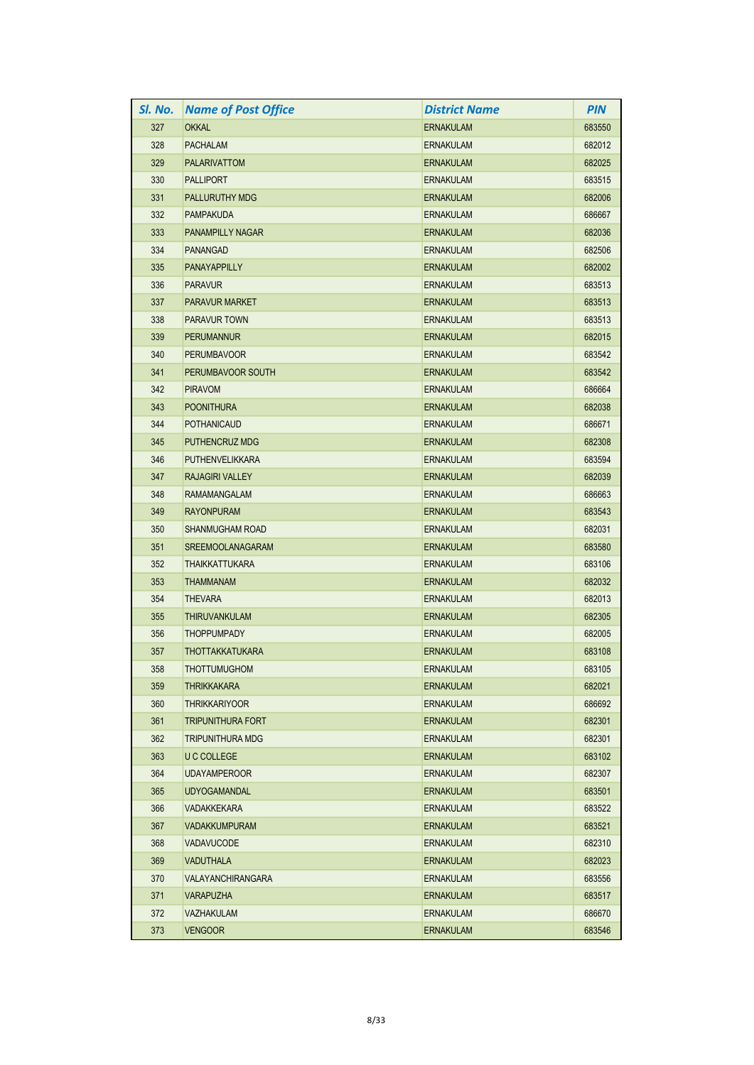| SI. No. | <b>Name of Post Office</b> | <b>District Name</b> | <b>PIN</b> |
|---------|----------------------------|----------------------|------------|
| 327     | <b>OKKAL</b>               | <b>ERNAKULAM</b>     | 683550     |
| 328     | <b>PACHALAM</b>            | <b>ERNAKULAM</b>     | 682012     |
| 329     | <b>PALARIVATTOM</b>        | <b>ERNAKULAM</b>     | 682025     |
| 330     | <b>PALLIPORT</b>           | <b>ERNAKULAM</b>     | 683515     |
| 331     | <b>PALLURUTHY MDG</b>      | <b>ERNAKULAM</b>     | 682006     |
| 332     | <b>PAMPAKUDA</b>           | <b>ERNAKULAM</b>     | 686667     |
| 333     | <b>PANAMPILLY NAGAR</b>    | <b>ERNAKULAM</b>     | 682036     |
| 334     | <b>PANANGAD</b>            | <b>ERNAKULAM</b>     | 682506     |
| 335     | <b>PANAYAPPILLY</b>        | <b>ERNAKULAM</b>     | 682002     |
| 336     | <b>PARAVUR</b>             | <b>ERNAKULAM</b>     | 683513     |
| 337     | <b>PARAVUR MARKET</b>      | <b>ERNAKULAM</b>     | 683513     |
| 338     | <b>PARAVUR TOWN</b>        | <b>ERNAKULAM</b>     | 683513     |
| 339     | <b>PERUMANNUR</b>          | <b>ERNAKULAM</b>     | 682015     |
| 340     | <b>PERUMBAVOOR</b>         | <b>ERNAKULAM</b>     | 683542     |
| 341     | PERUMBAVOOR SOUTH          | <b>ERNAKULAM</b>     | 683542     |
| 342     | <b>PIRAVOM</b>             | <b>ERNAKULAM</b>     | 686664     |
| 343     | <b>POONITHURA</b>          | <b>ERNAKULAM</b>     | 682038     |
| 344     | <b>POTHANICAUD</b>         | <b>ERNAKULAM</b>     | 686671     |
| 345     | <b>PUTHENCRUZ MDG</b>      | <b>ERNAKULAM</b>     | 682308     |
| 346     | <b>PUTHENVELIKKARA</b>     | <b>ERNAKULAM</b>     | 683594     |
| 347     | <b>RAJAGIRI VALLEY</b>     | <b>ERNAKULAM</b>     | 682039     |
| 348     | RAMAMANGALAM               | <b>ERNAKULAM</b>     | 686663     |
| 349     | <b>RAYONPURAM</b>          | <b>ERNAKULAM</b>     | 683543     |
| 350     | <b>SHANMUGHAM ROAD</b>     | <b>ERNAKULAM</b>     | 682031     |
| 351     | <b>SREEMOOLANAGARAM</b>    | <b>ERNAKULAM</b>     | 683580     |
| 352     | <b>THAIKKATTUKARA</b>      | <b>ERNAKULAM</b>     | 683106     |
| 353     | <b>THAMMANAM</b>           | <b>ERNAKULAM</b>     | 682032     |
| 354     | <b>THEVARA</b>             | <b>ERNAKULAM</b>     | 682013     |
| 355     | <b>THIRUVANKULAM</b>       | <b>ERNAKULAM</b>     | 682305     |
| 356     | <b>THOPPUMPADY</b>         | <b>ERNAKULAM</b>     | 682005     |
| 357     | <b>THOTTAKKATUKARA</b>     | <b>ERNAKULAM</b>     | 683108     |
| 358     | <b>THOTTUMUGHOM</b>        | <b>ERNAKULAM</b>     | 683105     |
| 359     | <b>THRIKKAKARA</b>         | <b>ERNAKULAM</b>     | 682021     |
| 360     | <b>THRIKKARIYOOR</b>       | <b>ERNAKULAM</b>     | 686692     |
| 361     | <b>TRIPUNITHURA FORT</b>   | <b>ERNAKULAM</b>     | 682301     |
| 362     | <b>TRIPUNITHURA MDG</b>    | ERNAKULAM            | 682301     |
| 363     | U C COLLEGE                | <b>ERNAKULAM</b>     | 683102     |
| 364     | <b>UDAYAMPEROOR</b>        | ERNAKULAM            | 682307     |
| 365     | <b>UDYOGAMANDAL</b>        | <b>ERNAKULAM</b>     | 683501     |
| 366     | <b>VADAKKEKARA</b>         | ERNAKULAM            | 683522     |
| 367     | <b>VADAKKUMPURAM</b>       | <b>ERNAKULAM</b>     | 683521     |
| 368     | <b>VADAVUCODE</b>          | ERNAKULAM            | 682310     |
| 369     | <b>VADUTHALA</b>           | <b>ERNAKULAM</b>     | 682023     |
| 370     | VALAYANCHIRANGARA          | <b>ERNAKULAM</b>     | 683556     |
| 371     | <b>VARAPUZHA</b>           | ERNAKULAM            | 683517     |
| 372     | VAZHAKULAM                 | ERNAKULAM            | 686670     |
| 373     | <b>VENGOOR</b>             | ERNAKULAM            | 683546     |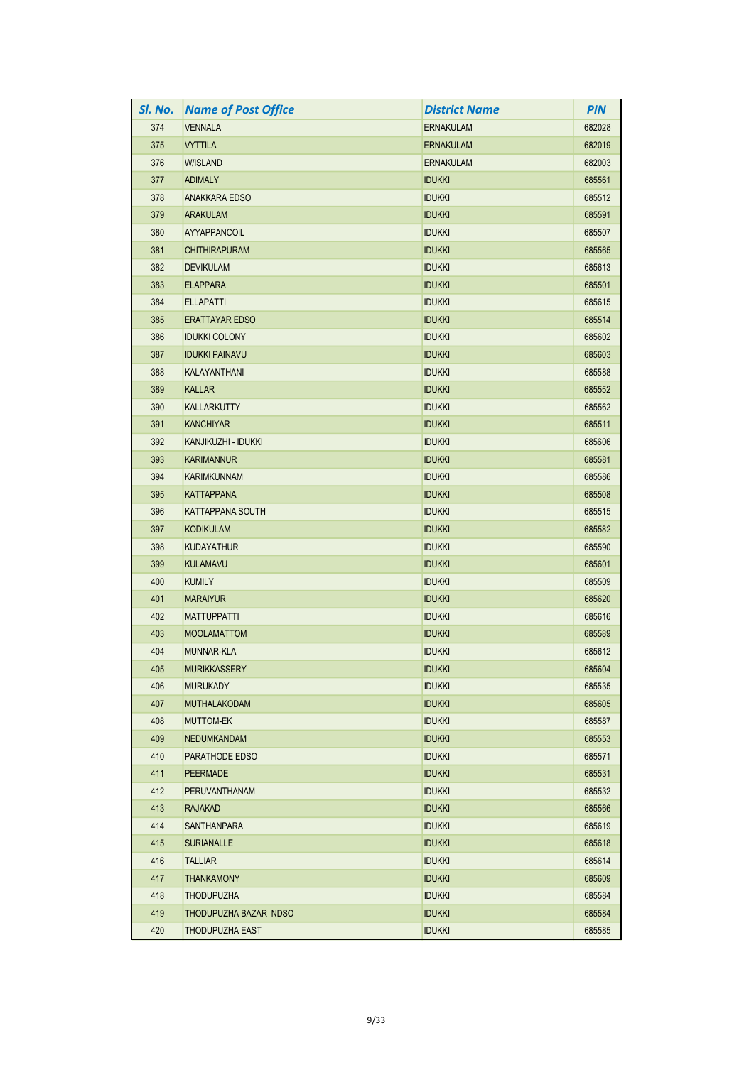| SI. No. | <b>Name of Post Office</b> | <b>District Name</b> | <b>PIN</b> |
|---------|----------------------------|----------------------|------------|
| 374     | <b>VENNALA</b>             | <b>ERNAKULAM</b>     | 682028     |
| 375     | <b>VYTTILA</b>             | <b>ERNAKULAM</b>     | 682019     |
| 376     | <b>W/ISLAND</b>            | <b>ERNAKULAM</b>     | 682003     |
| 377     | <b>ADIMALY</b>             | <b>IDUKKI</b>        | 685561     |
| 378     | <b>ANAKKARA EDSO</b>       | <b>IDUKKI</b>        | 685512     |
| 379     | ARAKULAM                   | <b>IDUKKI</b>        | 685591     |
| 380     | AYYAPPANCOIL               | <b>IDUKKI</b>        | 685507     |
| 381     | <b>CHITHIRAPURAM</b>       | <b>IDUKKI</b>        | 685565     |
| 382     | <b>DEVIKULAM</b>           | <b>IDUKKI</b>        | 685613     |
| 383     | <b>ELAPPARA</b>            | <b>IDUKKI</b>        | 685501     |
| 384     | <b>ELLAPATTI</b>           | <b>IDUKKI</b>        | 685615     |
| 385     | <b>ERATTAYAR EDSO</b>      | <b>IDUKKI</b>        | 685514     |
| 386     | <b>IDUKKI COLONY</b>       | <b>IDUKKI</b>        | 685602     |
| 387     | <b>IDUKKI PAINAVU</b>      | <b>IDUKKI</b>        | 685603     |
| 388     | <b>KALAYANTHANI</b>        | <b>IDUKKI</b>        | 685588     |
| 389     | <b>KALLAR</b>              | <b>IDUKKI</b>        | 685552     |
| 390     | <b>KALLARKUTTY</b>         | <b>IDUKKI</b>        | 685562     |
| 391     | <b>KANCHIYAR</b>           | <b>IDUKKI</b>        | 685511     |
| 392     | KANJIKUZHI - IDUKKI        | <b>IDUKKI</b>        | 685606     |
| 393     | <b>KARIMANNUR</b>          | <b>IDUKKI</b>        | 685581     |
| 394     | <b>KARIMKUNNAM</b>         | <b>IDUKKI</b>        | 685586     |
| 395     | <b>KATTAPPANA</b>          | <b>IDUKKI</b>        | 685508     |
| 396     | <b>KATTAPPANA SOUTH</b>    | <b>IDUKKI</b>        | 685515     |
| 397     | <b>KODIKULAM</b>           | <b>IDUKKI</b>        | 685582     |
| 398     | <b>KUDAYATHUR</b>          | <b>IDUKKI</b>        | 685590     |
| 399     | <b>KULAMAVU</b>            | <b>IDUKKI</b>        | 685601     |
| 400     | <b>KUMILY</b>              | <b>IDUKKI</b>        | 685509     |
| 401     | <b>MARAIYUR</b>            | <b>IDUKKI</b>        | 685620     |
| 402     | <b>MATTUPPATTI</b>         | <b>IDUKKI</b>        | 685616     |
| 403     | <b>MOOLAMATTOM</b>         | <b>IDUKKI</b>        | 685589     |
| 404     | <b>MUNNAR-KLA</b>          | <b>IDUKKI</b>        | 685612     |
| 405     | <b>MURIKKASSERY</b>        | <b>IDUKKI</b>        | 685604     |
| 406     | <b>MURUKADY</b>            | <b>IDUKKI</b>        | 685535     |
| 407     | <b>MUTHALAKODAM</b>        | <b>IDUKKI</b>        | 685605     |
| 408     | <b>MUTTOM-EK</b>           | <b>IDUKKI</b>        | 685587     |
| 409     | <b>NEDUMKANDAM</b>         | <b>IDUKKI</b>        | 685553     |
| 410     | PARATHODE EDSO             | <b>IDUKKI</b>        | 685571     |
| 411     | <b>PEERMADE</b>            | <b>IDUKKI</b>        | 685531     |
| 412     | PERUVANTHANAM              | <b>IDUKKI</b>        | 685532     |
| 413     | <b>RAJAKAD</b>             | <b>IDUKKI</b>        | 685566     |
| 414     | <b>SANTHANPARA</b>         | <b>IDUKKI</b>        | 685619     |
| 415     | <b>SURIANALLE</b>          | <b>IDUKKI</b>        | 685618     |
| 416     | <b>TALLIAR</b>             | <b>IDUKKI</b>        | 685614     |
| 417     | <b>THANKAMONY</b>          | <b>IDUKKI</b>        | 685609     |
| 418     | <b>THODUPUZHA</b>          | <b>IDUKKI</b>        | 685584     |
| 419     | THODUPUZHA BAZAR NDSO      | <b>IDUKKI</b>        | 685584     |
| 420     | THODUPUZHA EAST            | <b>IDUKKI</b>        | 685585     |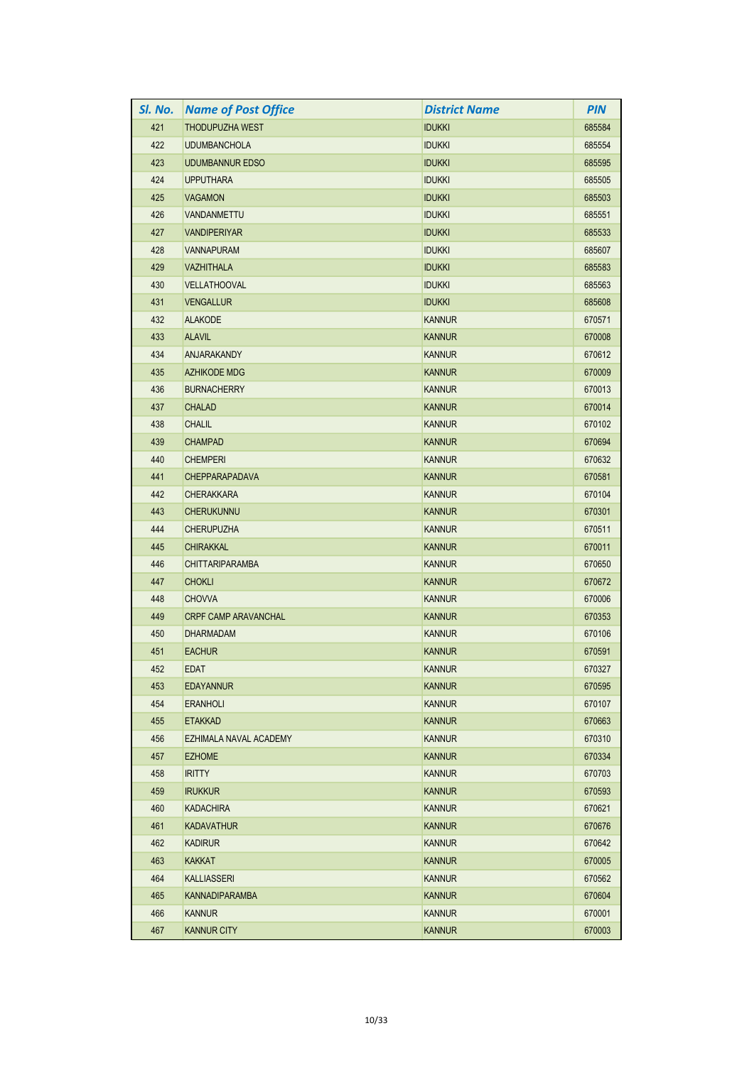| SI. No. | <b>Name of Post Office</b>  | <b>District Name</b> | <b>PIN</b> |
|---------|-----------------------------|----------------------|------------|
| 421     | <b>THODUPUZHA WEST</b>      | <b>IDUKKI</b>        | 685584     |
| 422     | <b>UDUMBANCHOLA</b>         | <b>IDUKKI</b>        | 685554     |
| 423     | <b>UDUMBANNUR EDSO</b>      | <b>IDUKKI</b>        | 685595     |
| 424     | <b>UPPUTHARA</b>            | <b>IDUKKI</b>        | 685505     |
| 425     | <b>VAGAMON</b>              | <b>IDUKKI</b>        | 685503     |
| 426     | VANDANMETTU                 | <b>IDUKKI</b>        | 685551     |
| 427     | <b>VANDIPERIYAR</b>         | <b>IDUKKI</b>        | 685533     |
| 428     | <b>VANNAPURAM</b>           | <b>IDUKKI</b>        | 685607     |
| 429     | <b>VAZHITHALA</b>           | <b>IDUKKI</b>        | 685583     |
| 430     | <b>VELLATHOOVAL</b>         | <b>IDUKKI</b>        | 685563     |
| 431     | <b>VENGALLUR</b>            | <b>IDUKKI</b>        | 685608     |
| 432     | <b>ALAKODE</b>              | <b>KANNUR</b>        | 670571     |
| 433     | <b>ALAVIL</b>               | <b>KANNUR</b>        | 670008     |
| 434     | <b>ANJARAKANDY</b>          | <b>KANNUR</b>        | 670612     |
| 435     | <b>AZHIKODE MDG</b>         | <b>KANNUR</b>        | 670009     |
| 436     | <b>BURNACHERRY</b>          | <b>KANNUR</b>        | 670013     |
| 437     | <b>CHALAD</b>               | <b>KANNUR</b>        | 670014     |
| 438     | <b>CHALIL</b>               | <b>KANNUR</b>        | 670102     |
| 439     | <b>CHAMPAD</b>              | <b>KANNUR</b>        | 670694     |
| 440     | <b>CHEMPERI</b>             | <b>KANNUR</b>        | 670632     |
| 441     | <b>CHEPPARAPADAVA</b>       | <b>KANNUR</b>        | 670581     |
| 442     | <b>CHERAKKARA</b>           | <b>KANNUR</b>        | 670104     |
| 443     | <b>CHERUKUNNU</b>           | <b>KANNUR</b>        | 670301     |
| 444     | <b>CHERUPUZHA</b>           | <b>KANNUR</b>        | 670511     |
| 445     | <b>CHIRAKKAL</b>            | <b>KANNUR</b>        | 670011     |
| 446     | <b>CHITTARIPARAMBA</b>      | <b>KANNUR</b>        | 670650     |
| 447     | <b>CHOKLI</b>               | <b>KANNUR</b>        | 670672     |
| 448     | <b>CHOVVA</b>               | <b>KANNUR</b>        | 670006     |
| 449     | <b>CRPF CAMP ARAVANCHAL</b> | <b>KANNUR</b>        | 670353     |
| 450     | <b>DHARMADAM</b>            | <b>KANNUR</b>        | 670106     |
| 451     | <b>EACHUR</b>               | <b>KANNUR</b>        | 670591     |
| 452     | <b>EDAT</b>                 | <b>KANNUR</b>        | 670327     |
| 453     | <b>EDAYANNUR</b>            | <b>KANNUR</b>        | 670595     |
| 454     | <b>ERANHOLI</b>             | <b>KANNUR</b>        | 670107     |
| 455     | <b>ETAKKAD</b>              | <b>KANNUR</b>        | 670663     |
| 456     | EZHIMALA NAVAL ACADEMY      | <b>KANNUR</b>        | 670310     |
| 457     | <b>EZHOME</b>               | <b>KANNUR</b>        | 670334     |
| 458     | <b>IRITTY</b>               | <b>KANNUR</b>        | 670703     |
| 459     | <b>IRUKKUR</b>              | <b>KANNUR</b>        | 670593     |
| 460     | <b>KADACHIRA</b>            | <b>KANNUR</b>        | 670621     |
| 461     | <b>KADAVATHUR</b>           | <b>KANNUR</b>        | 670676     |
| 462     | <b>KADIRUR</b>              | <b>KANNUR</b>        | 670642     |
| 463     | <b>KAKKAT</b>               | <b>KANNUR</b>        | 670005     |
| 464     | <b>KALLIASSERI</b>          | <b>KANNUR</b>        | 670562     |
| 465     | <b>KANNADIPARAMBA</b>       | <b>KANNUR</b>        | 670604     |
| 466     | <b>KANNUR</b>               | <b>KANNUR</b>        | 670001     |
| 467     | <b>KANNUR CITY</b>          | <b>KANNUR</b>        | 670003     |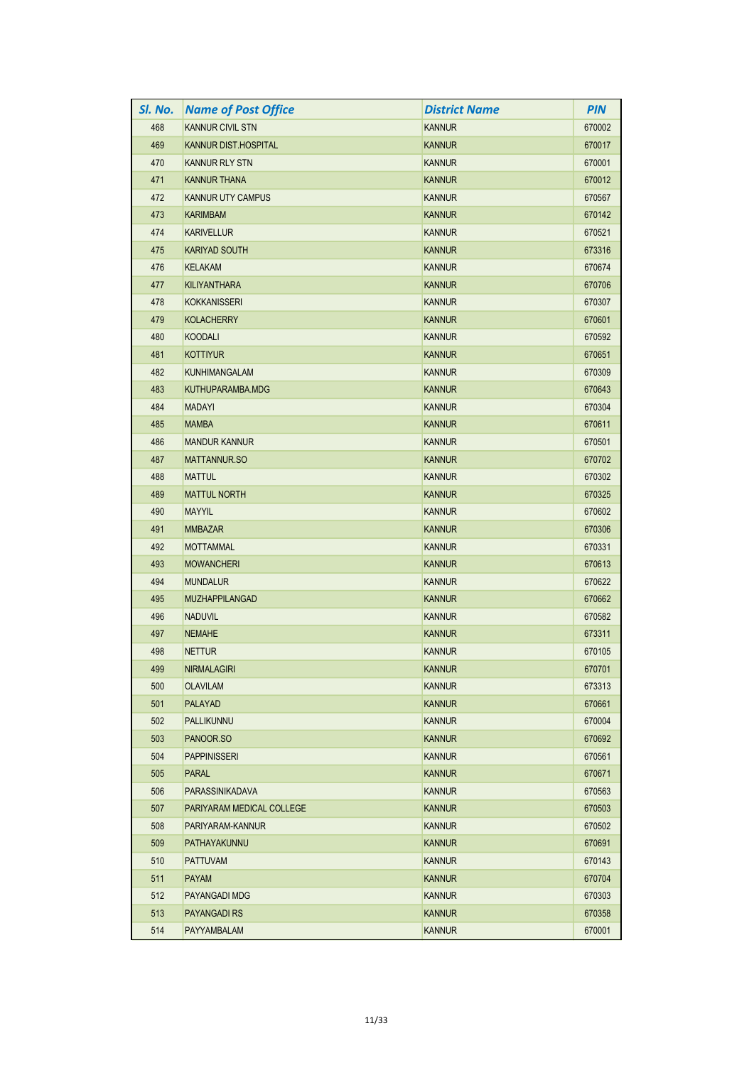| SI. No. | <b>Name of Post Office</b> | <b>District Name</b> | <b>PIN</b> |
|---------|----------------------------|----------------------|------------|
| 468     | <b>KANNUR CIVIL STN</b>    | <b>KANNUR</b>        | 670002     |
| 469     | KANNUR DIST.HOSPITAL       | <b>KANNUR</b>        | 670017     |
| 470     | <b>KANNUR RLY STN</b>      | <b>KANNUR</b>        | 670001     |
| 471     | <b>KANNUR THANA</b>        | <b>KANNUR</b>        | 670012     |
| 472     | KANNUR UTY CAMPUS          | <b>KANNUR</b>        | 670567     |
| 473     | <b>KARIMBAM</b>            | <b>KANNUR</b>        | 670142     |
| 474     | <b>KARIVELLUR</b>          | <b>KANNUR</b>        | 670521     |
| 475     | <b>KARIYAD SOUTH</b>       | <b>KANNUR</b>        | 673316     |
| 476     | <b>KELAKAM</b>             | <b>KANNUR</b>        | 670674     |
| 477     | <b>KILIYANTHARA</b>        | <b>KANNUR</b>        | 670706     |
| 478     | <b>KOKKANISSERI</b>        | <b>KANNUR</b>        | 670307     |
| 479     | <b>KOLACHERRY</b>          | <b>KANNUR</b>        | 670601     |
| 480     | <b>KOODALI</b>             | <b>KANNUR</b>        | 670592     |
| 481     | <b>KOTTIYUR</b>            | <b>KANNUR</b>        | 670651     |
| 482     | <b>KUNHIMANGALAM</b>       | <b>KANNUR</b>        | 670309     |
| 483     | KUTHUPARAMBA.MDG           | <b>KANNUR</b>        | 670643     |
| 484     | <b>MADAYI</b>              | <b>KANNUR</b>        | 670304     |
| 485     | <b>MAMBA</b>               | <b>KANNUR</b>        | 670611     |
| 486     | <b>MANDUR KANNUR</b>       | <b>KANNUR</b>        | 670501     |
| 487     | <b>MATTANNUR.SO</b>        | <b>KANNUR</b>        | 670702     |
| 488     | <b>MATTUL</b>              | <b>KANNUR</b>        | 670302     |
| 489     | <b>MATTUL NORTH</b>        | <b>KANNUR</b>        | 670325     |
| 490     | <b>MAYYIL</b>              | <b>KANNUR</b>        | 670602     |
| 491     | <b>MMBAZAR</b>             | <b>KANNUR</b>        | 670306     |
| 492     | <b>MOTTAMMAL</b>           | <b>KANNUR</b>        | 670331     |
| 493     | <b>MOWANCHERI</b>          | <b>KANNUR</b>        | 670613     |
| 494     | <b>MUNDALUR</b>            | <b>KANNUR</b>        | 670622     |
| 495     | <b>MUZHAPPILANGAD</b>      | <b>KANNUR</b>        | 670662     |
| 496     | <b>NADUVIL</b>             | <b>KANNUR</b>        | 670582     |
| 497     | <b>NEMAHE</b>              | <b>KANNUR</b>        | 673311     |
| 498     | <b>NETTUR</b>              | KANNUR               | 670105     |
| 499     | <b>NIRMALAGIRI</b>         | <b>KANNUR</b>        | 670701     |
| 500     | <b>OLAVILAM</b>            | <b>KANNUR</b>        | 673313     |
| 501     | <b>PALAYAD</b>             | <b>KANNUR</b>        | 670661     |
| 502     | PALLIKUNNU                 | <b>KANNUR</b>        | 670004     |
| 503     | PANOOR.SO                  | <b>KANNUR</b>        | 670692     |
| 504     | <b>PAPPINISSERI</b>        | <b>KANNUR</b>        | 670561     |
| 505     | <b>PARAL</b>               | <b>KANNUR</b>        | 670671     |
| 506     | PARASSINIKADAVA            | <b>KANNUR</b>        | 670563     |
| 507     | PARIYARAM MEDICAL COLLEGE  | <b>KANNUR</b>        | 670503     |
| 508     | PARIYARAM-KANNUR           | <b>KANNUR</b>        | 670502     |
| 509     | PATHAYAKUNNU               | <b>KANNUR</b>        | 670691     |
| 510     | <b>PATTUVAM</b>            | <b>KANNUR</b>        | 670143     |
| 511     | <b>PAYAM</b>               | <b>KANNUR</b>        | 670704     |
| 512     | PAYANGADI MDG              | <b>KANNUR</b>        | 670303     |
| 513     | <b>PAYANGADI RS</b>        | <b>KANNUR</b>        | 670358     |
| 514     | PAYYAMBALAM                | <b>KANNUR</b>        | 670001     |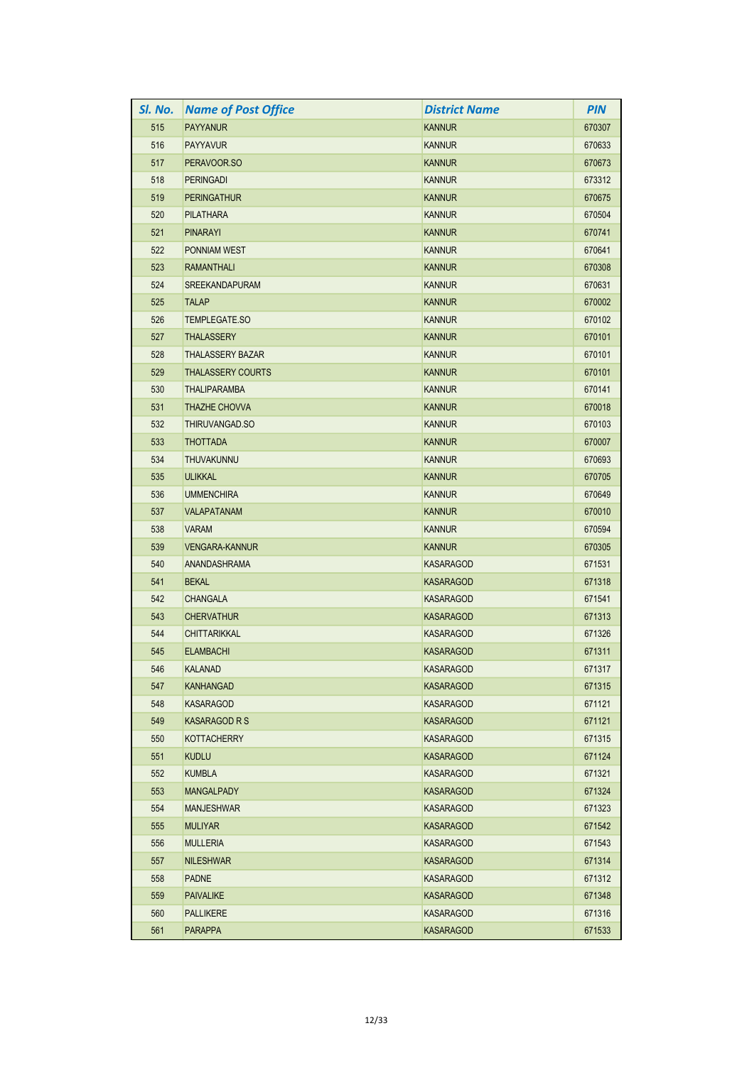| SI. No. | <b>Name of Post Office</b> | <b>District Name</b> | <b>PIN</b> |
|---------|----------------------------|----------------------|------------|
| 515     | <b>PAYYANUR</b>            | <b>KANNUR</b>        | 670307     |
| 516     | <b>PAYYAVUR</b>            | <b>KANNUR</b>        | 670633     |
| 517     | PERAVOOR.SO                | <b>KANNUR</b>        | 670673     |
| 518     | <b>PERINGADI</b>           | <b>KANNUR</b>        | 673312     |
| 519     | <b>PERINGATHUR</b>         | <b>KANNUR</b>        | 670675     |
| 520     | PILATHARA                  | <b>KANNUR</b>        | 670504     |
| 521     | <b>PINARAYI</b>            | <b>KANNUR</b>        | 670741     |
| 522     | PONNIAM WEST               | <b>KANNUR</b>        | 670641     |
| 523     | <b>RAMANTHALI</b>          | <b>KANNUR</b>        | 670308     |
| 524     | <b>SREEKANDAPURAM</b>      | <b>KANNUR</b>        | 670631     |
| 525     | <b>TALAP</b>               | <b>KANNUR</b>        | 670002     |
| 526     | TEMPLEGATE.SO              | <b>KANNUR</b>        | 670102     |
| 527     | <b>THALASSERY</b>          | <b>KANNUR</b>        | 670101     |
| 528     | <b>THALASSERY BAZAR</b>    | <b>KANNUR</b>        | 670101     |
| 529     | <b>THALASSERY COURTS</b>   | <b>KANNUR</b>        | 670101     |
| 530     | THALIPARAMBA               | <b>KANNUR</b>        | 670141     |
| 531     | <b>THAZHE CHOVVA</b>       | <b>KANNUR</b>        | 670018     |
| 532     | THIRUVANGAD.SO             | <b>KANNUR</b>        | 670103     |
| 533     | <b>THOTTADA</b>            | <b>KANNUR</b>        | 670007     |
| 534     | <b>THUVAKUNNU</b>          | <b>KANNUR</b>        | 670693     |
| 535     | <b>ULIKKAL</b>             | <b>KANNUR</b>        | 670705     |
| 536     | <b>UMMENCHIRA</b>          | <b>KANNUR</b>        | 670649     |
| 537     | <b>VALAPATANAM</b>         | <b>KANNUR</b>        | 670010     |
| 538     | <b>VARAM</b>               | <b>KANNUR</b>        | 670594     |
| 539     | <b>VENGARA-KANNUR</b>      | <b>KANNUR</b>        | 670305     |
| 540     | ANANDASHRAMA               | KASARAGOD            | 671531     |
| 541     | <b>BEKAL</b>               | <b>KASARAGOD</b>     | 671318     |
| 542     | <b>CHANGALA</b>            | <b>KASARAGOD</b>     | 671541     |
| 543     | <b>CHERVATHUR</b>          | <b>KASARAGOD</b>     | 671313     |
| 544     | <b>CHITTARIKKAL</b>        | KASARAGOD            | 671326     |
| 545     | <b>ELAMBACHI</b>           | <b>KASARAGOD</b>     | 671311     |
| 546     | <b>KALANAD</b>             | <b>KASARAGOD</b>     | 671317     |
| 547     | <b>KANHANGAD</b>           | <b>KASARAGOD</b>     | 671315     |
| 548     | <b>KASARAGOD</b>           | <b>KASARAGOD</b>     | 671121     |
| 549     | <b>KASARAGOD R S</b>       | <b>KASARAGOD</b>     | 671121     |
| 550     | <b>KOTTACHERRY</b>         | KASARAGOD            | 671315     |
| 551     | <b>KUDLU</b>               | <b>KASARAGOD</b>     | 671124     |
| 552     | <b>KUMBLA</b>              | KASARAGOD            | 671321     |
| 553     | <b>MANGALPADY</b>          | <b>KASARAGOD</b>     | 671324     |
| 554     | <b>MANJESHWAR</b>          | <b>KASARAGOD</b>     | 671323     |
| 555     | <b>MULIYAR</b>             | <b>KASARAGOD</b>     | 671542     |
| 556     | <b>MULLERIA</b>            | <b>KASARAGOD</b>     | 671543     |
| 557     | <b>NILESHWAR</b>           | <b>KASARAGOD</b>     | 671314     |
| 558     | <b>PADNE</b>               | KASARAGOD            | 671312     |
| 559     | <b>PAIVALIKE</b>           | KASARAGOD            | 671348     |
| 560     | <b>PALLIKERE</b>           | KASARAGOD            | 671316     |
| 561     | <b>PARAPPA</b>             | KASARAGOD            | 671533     |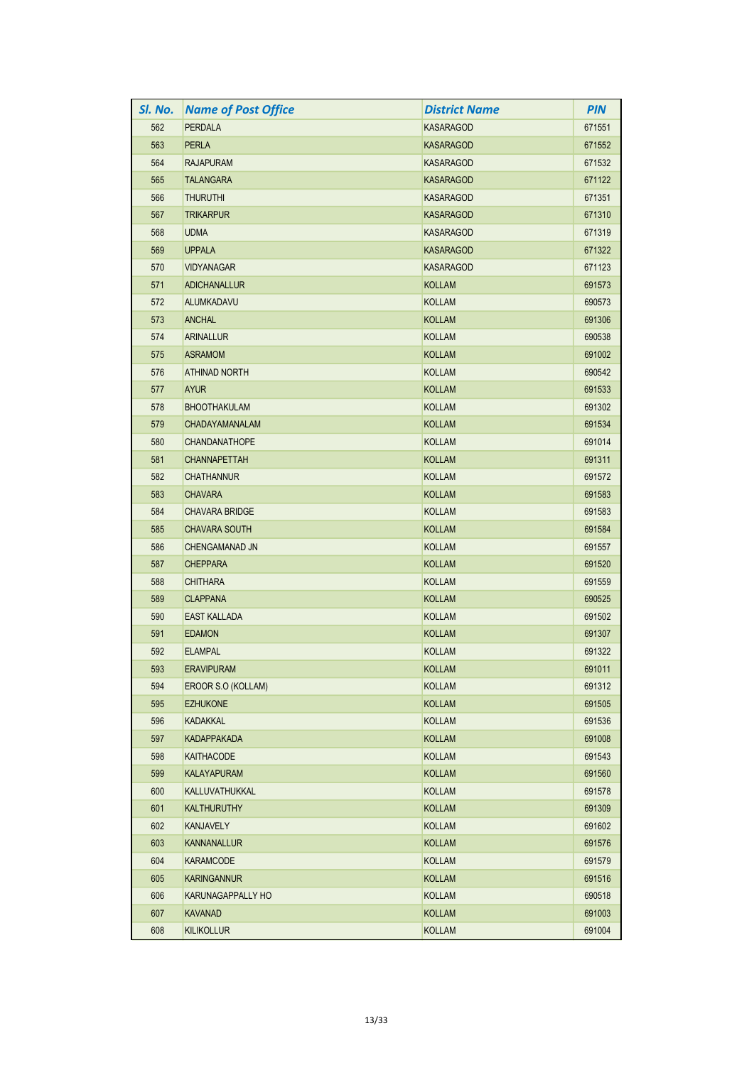| SI. No. | <b>Name of Post Office</b> | <b>District Name</b> | <b>PIN</b> |
|---------|----------------------------|----------------------|------------|
| 562     | <b>PERDALA</b>             | <b>KASARAGOD</b>     | 671551     |
| 563     | <b>PERLA</b>               | <b>KASARAGOD</b>     | 671552     |
| 564     | <b>RAJAPURAM</b>           | <b>KASARAGOD</b>     | 671532     |
| 565     | <b>TALANGARA</b>           | <b>KASARAGOD</b>     | 671122     |
| 566     | <b>THURUTHI</b>            | <b>KASARAGOD</b>     | 671351     |
| 567     | <b>TRIKARPUR</b>           | <b>KASARAGOD</b>     | 671310     |
| 568     | <b>UDMA</b>                | <b>KASARAGOD</b>     | 671319     |
| 569     | <b>UPPALA</b>              | <b>KASARAGOD</b>     | 671322     |
| 570     | <b>VIDYANAGAR</b>          | <b>KASARAGOD</b>     | 671123     |
| 571     | <b>ADICHANALLUR</b>        | <b>KOLLAM</b>        | 691573     |
| 572     | ALUMKADAVU                 | <b>KOLLAM</b>        | 690573     |
| 573     | <b>ANCHAL</b>              | <b>KOLLAM</b>        | 691306     |
| 574     | <b>ARINALLUR</b>           | <b>KOLLAM</b>        | 690538     |
| 575     | <b>ASRAMOM</b>             | <b>KOLLAM</b>        | 691002     |
| 576     | <b>ATHINAD NORTH</b>       | <b>KOLLAM</b>        | 690542     |
| 577     | <b>AYUR</b>                | <b>KOLLAM</b>        | 691533     |
| 578     | <b>BHOOTHAKULAM</b>        | <b>KOLLAM</b>        | 691302     |
| 579     | <b>CHADAYAMANALAM</b>      | <b>KOLLAM</b>        | 691534     |
| 580     | <b>CHANDANATHOPE</b>       | <b>KOLLAM</b>        | 691014     |
| 581     | <b>CHANNAPETTAH</b>        | <b>KOLLAM</b>        | 691311     |
| 582     | <b>CHATHANNUR</b>          | <b>KOLLAM</b>        | 691572     |
| 583     | <b>CHAVARA</b>             | <b>KOLLAM</b>        | 691583     |
| 584     | <b>CHAVARA BRIDGE</b>      | <b>KOLLAM</b>        | 691583     |
| 585     | <b>CHAVARA SOUTH</b>       | <b>KOLLAM</b>        | 691584     |
| 586     | CHENGAMANAD JN             | <b>KOLLAM</b>        | 691557     |
| 587     | <b>CHEPPARA</b>            | <b>KOLLAM</b>        | 691520     |
| 588     | <b>CHITHARA</b>            | <b>KOLLAM</b>        | 691559     |
| 589     | <b>CLAPPANA</b>            | <b>KOLLAM</b>        | 690525     |
| 590     | <b>EAST KALLADA</b>        | <b>KOLLAM</b>        | 691502     |
| 591     | <b>EDAMON</b>              | <b>KOLLAM</b>        | 691307     |
| 592     | <b>ELAMPAL</b>             | <b>KOLLAM</b>        | 691322     |
| 593     | <b>ERAVIPURAM</b>          | <b>KOLLAM</b>        | 691011     |
| 594     | EROOR S.O (KOLLAM)         | KOLLAM               | 691312     |
| 595     | <b>EZHUKONE</b>            | <b>KOLLAM</b>        | 691505     |
| 596     | <b>KADAKKAL</b>            | KOLLAM               | 691536     |
| 597     | <b>KADAPPAKADA</b>         | KOLLAM               | 691008     |
| 598     | KAITHACODE                 | KOLLAM               | 691543     |
| 599     | <b>KALAYAPURAM</b>         | <b>KOLLAM</b>        | 691560     |
| 600     | KALLUVATHUKKAL             | KOLLAM               | 691578     |
| 601     | <b>KALTHURUTHY</b>         | KOLLAM               | 691309     |
| 602     | KANJAVELY                  | <b>KOLLAM</b>        | 691602     |
| 603     | <b>KANNANALLUR</b>         | <b>KOLLAM</b>        | 691576     |
| 604     | <b>KARAMCODE</b>           | KOLLAM               | 691579     |
| 605     | <b>KARINGANNUR</b>         | <b>KOLLAM</b>        | 691516     |
| 606     | KARUNAGAPPALLY HO          | KOLLAM               | 690518     |
| 607     | <b>KAVANAD</b>             | KOLLAM               | 691003     |
| 608     | <b>KILIKOLLUR</b>          | <b>KOLLAM</b>        | 691004     |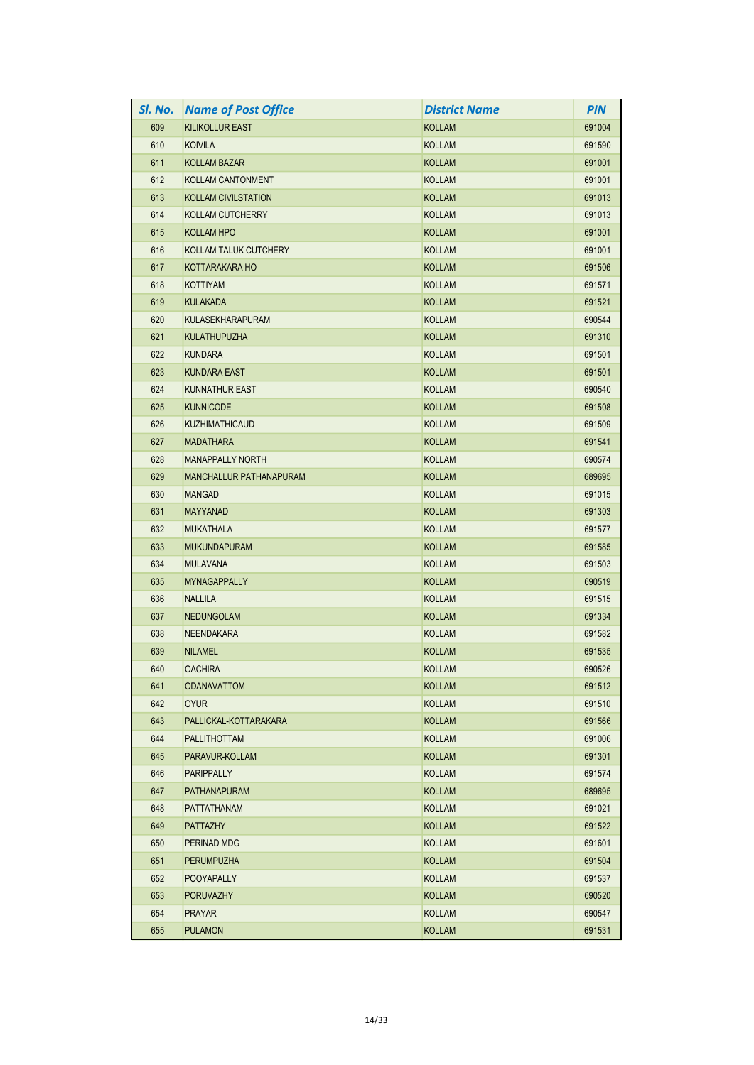| SI. No. | <b>Name of Post Office</b>     | <b>District Name</b> | <b>PIN</b> |
|---------|--------------------------------|----------------------|------------|
| 609     | <b>KILIKOLLUR EAST</b>         | <b>KOLLAM</b>        | 691004     |
| 610     | <b>KOIVILA</b>                 | <b>KOLLAM</b>        | 691590     |
| 611     | <b>KOLLAM BAZAR</b>            | <b>KOLLAM</b>        | 691001     |
| 612     | <b>KOLLAM CANTONMENT</b>       | <b>KOLLAM</b>        | 691001     |
| 613     | <b>KOLLAM CIVILSTATION</b>     | <b>KOLLAM</b>        | 691013     |
| 614     | <b>KOLLAM CUTCHERRY</b>        | <b>KOLLAM</b>        | 691013     |
| 615     | <b>KOLLAM HPO</b>              | <b>KOLLAM</b>        | 691001     |
| 616     | KOLLAM TALUK CUTCHERY          | <b>KOLLAM</b>        | 691001     |
| 617     | KOTTARAKARA HO                 | <b>KOLLAM</b>        | 691506     |
| 618     | <b>KOTTIYAM</b>                | <b>KOLLAM</b>        | 691571     |
| 619     | <b>KULAKADA</b>                | <b>KOLLAM</b>        | 691521     |
| 620     | <b>KULASEKHARAPURAM</b>        | <b>KOLLAM</b>        | 690544     |
| 621     | <b>KULATHUPUZHA</b>            | <b>KOLLAM</b>        | 691310     |
| 622     | <b>KUNDARA</b>                 | <b>KOLLAM</b>        | 691501     |
| 623     | <b>KUNDARA EAST</b>            | <b>KOLLAM</b>        | 691501     |
| 624     | <b>KUNNATHUR EAST</b>          | <b>KOLLAM</b>        | 690540     |
| 625     | <b>KUNNICODE</b>               | <b>KOLLAM</b>        | 691508     |
| 626     | <b>KUZHIMATHICAUD</b>          | <b>KOLLAM</b>        | 691509     |
| 627     | <b>MADATHARA</b>               | <b>KOLLAM</b>        | 691541     |
| 628     | <b>MANAPPALLY NORTH</b>        | <b>KOLLAM</b>        | 690574     |
| 629     | <b>MANCHALLUR PATHANAPURAM</b> | <b>KOLLAM</b>        | 689695     |
| 630     | <b>MANGAD</b>                  | <b>KOLLAM</b>        | 691015     |
| 631     | <b>MAYYANAD</b>                | <b>KOLLAM</b>        | 691303     |
| 632     | <b>MUKATHALA</b>               | <b>KOLLAM</b>        | 691577     |
| 633     | <b>MUKUNDAPURAM</b>            | <b>KOLLAM</b>        | 691585     |
| 634     | <b>MULAVANA</b>                | <b>KOLLAM</b>        | 691503     |
| 635     | <b>MYNAGAPPALLY</b>            | <b>KOLLAM</b>        | 690519     |
| 636     | <b>NALLILA</b>                 | <b>KOLLAM</b>        | 691515     |
| 637     | <b>NEDUNGOLAM</b>              | <b>KOLLAM</b>        | 691334     |
| 638     | <b>NEENDAKARA</b>              | <b>KOLLAM</b>        | 691582     |
| 639     | <b>NILAMEL</b>                 | <b>KOLLAM</b>        | 691535     |
| 640     | <b>OACHIRA</b>                 | <b>KOLLAM</b>        | 690526     |
| 641     | <b>ODANAVATTOM</b>             | KOLLAM               | 691512     |
| 642     | <b>OYUR</b>                    | <b>KOLLAM</b>        | 691510     |
| 643     | PALLICKAL-KOTTARAKARA          | <b>KOLLAM</b>        | 691566     |
| 644     | <b>PALLITHOTTAM</b>            | KOLLAM               | 691006     |
| 645     | PARAVUR-KOLLAM                 | <b>KOLLAM</b>        | 691301     |
| 646     | <b>PARIPPALLY</b>              | <b>KOLLAM</b>        | 691574     |
| 647     | <b>PATHANAPURAM</b>            | <b>KOLLAM</b>        | 689695     |
| 648     | <b>PATTATHANAM</b>             | KOLLAM               | 691021     |
| 649     | <b>PATTAZHY</b>                | <b>KOLLAM</b>        | 691522     |
| 650     | PERINAD MDG                    | <b>KOLLAM</b>        | 691601     |
| 651     | <b>PERUMPUZHA</b>              | <b>KOLLAM</b>        | 691504     |
| 652     | <b>POOYAPALLY</b>              | KOLLAM               | 691537     |
| 653     | <b>PORUVAZHY</b>               | <b>KOLLAM</b>        | 690520     |
| 654     | <b>PRAYAR</b>                  | KOLLAM               | 690547     |
| 655     | <b>PULAMON</b>                 | <b>KOLLAM</b>        | 691531     |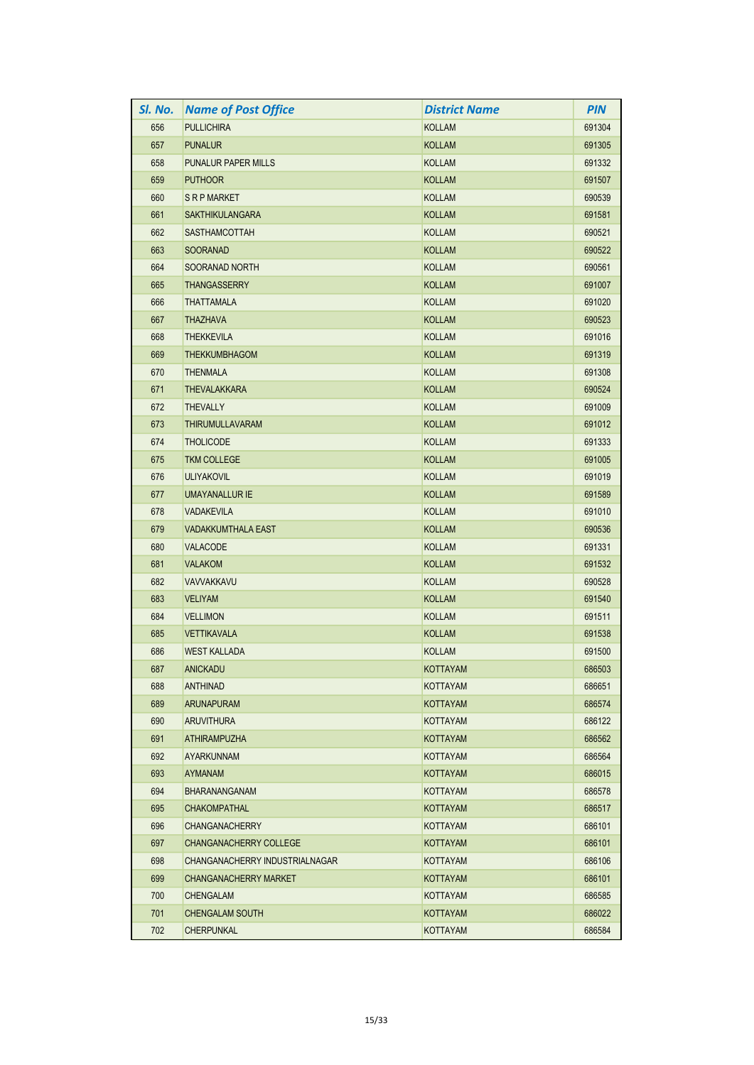| SI. No. | <b>Name of Post Office</b>     | <b>District Name</b> | <b>PIN</b> |
|---------|--------------------------------|----------------------|------------|
| 656     | <b>PULLICHIRA</b>              | <b>KOLLAM</b>        | 691304     |
| 657     | <b>PUNALUR</b>                 | <b>KOLLAM</b>        | 691305     |
| 658     | <b>PUNALUR PAPER MILLS</b>     | <b>KOLLAM</b>        | 691332     |
| 659     | <b>PUTHOOR</b>                 | <b>KOLLAM</b>        | 691507     |
| 660     | <b>SRPMARKET</b>               | <b>KOLLAM</b>        | 690539     |
| 661     | <b>SAKTHIKULANGARA</b>         | <b>KOLLAM</b>        | 691581     |
| 662     | <b>SASTHAMCOTTAH</b>           | <b>KOLLAM</b>        | 690521     |
| 663     | <b>SOORANAD</b>                | <b>KOLLAM</b>        | 690522     |
| 664     | SOORANAD NORTH                 | <b>KOLLAM</b>        | 690561     |
| 665     | <b>THANGASSERRY</b>            | <b>KOLLAM</b>        | 691007     |
| 666     | <b>THATTAMALA</b>              | <b>KOLLAM</b>        | 691020     |
| 667     | <b>THAZHAVA</b>                | <b>KOLLAM</b>        | 690523     |
| 668     | <b>THEKKEVILA</b>              | <b>KOLLAM</b>        | 691016     |
| 669     | <b>THEKKUMBHAGOM</b>           | <b>KOLLAM</b>        | 691319     |
| 670     | <b>THENMALA</b>                | <b>KOLLAM</b>        | 691308     |
| 671     | <b>THEVALAKKARA</b>            | <b>KOLLAM</b>        | 690524     |
| 672     | <b>THEVALLY</b>                | <b>KOLLAM</b>        | 691009     |
| 673     | <b>THIRUMULLAVARAM</b>         | <b>KOLLAM</b>        | 691012     |
| 674     | <b>THOLICODE</b>               | <b>KOLLAM</b>        | 691333     |
| 675     | <b>TKM COLLEGE</b>             | <b>KOLLAM</b>        | 691005     |
| 676     | <b>ULIYAKOVIL</b>              | <b>KOLLAM</b>        | 691019     |
| 677     | <b>UMAYANALLUR IE</b>          | <b>KOLLAM</b>        | 691589     |
| 678     | <b>VADAKEVILA</b>              | <b>KOLLAM</b>        | 691010     |
| 679     | <b>VADAKKUMTHALA EAST</b>      | <b>KOLLAM</b>        | 690536     |
| 680     | <b>VALACODE</b>                | <b>KOLLAM</b>        | 691331     |
| 681     | <b>VALAKOM</b>                 | <b>KOLLAM</b>        | 691532     |
| 682     | VAVVAKKAVU                     | <b>KOLLAM</b>        | 690528     |
| 683     | <b>VELIYAM</b>                 | <b>KOLLAM</b>        | 691540     |
| 684     | <b>VELLIMON</b>                | <b>KOLLAM</b>        | 691511     |
| 685     | <b>VETTIKAVALA</b>             | <b>KOLLAM</b>        | 691538     |
| 686     | <b>WEST KALLADA</b>            | <b>KOLLAM</b>        | 691500     |
| 687     | ANICKADU                       | <b>KOTTAYAM</b>      | 686503     |
| 688     | <b>ANTHINAD</b>                | KOTTAYAM             | 686651     |
| 689     | <b>ARUNAPURAM</b>              | <b>KOTTAYAM</b>      | 686574     |
| 690     | <b>ARUVITHURA</b>              | KOTTAYAM             | 686122     |
| 691     | ATHIRAMPUZHA                   | <b>KOTTAYAM</b>      | 686562     |
| 692     | <b>AYARKUNNAM</b>              | <b>KOTTAYAM</b>      | 686564     |
| 693     | AYMANAM                        | <b>KOTTAYAM</b>      | 686015     |
| 694     | <b>BHARANANGANAM</b>           | KOTTAYAM             | 686578     |
| 695     | <b>CHAKOMPATHAL</b>            | KOTTAYAM             | 686517     |
| 696     | <b>CHANGANACHERRY</b>          | <b>KOTTAYAM</b>      | 686101     |
| 697     | <b>CHANGANACHERRY COLLEGE</b>  | KOTTAYAM             | 686101     |
| 698     | CHANGANACHERRY INDUSTRIALNAGAR | KOTTAYAM             | 686106     |
| 699     | <b>CHANGANACHERRY MARKET</b>   | KOTTAYAM             | 686101     |
| 700     | CHENGALAM                      | KOTTAYAM             | 686585     |
| 701     | <b>CHENGALAM SOUTH</b>         | <b>KOTTAYAM</b>      | 686022     |
| 702     | <b>CHERPUNKAL</b>              | KOTTAYAM             | 686584     |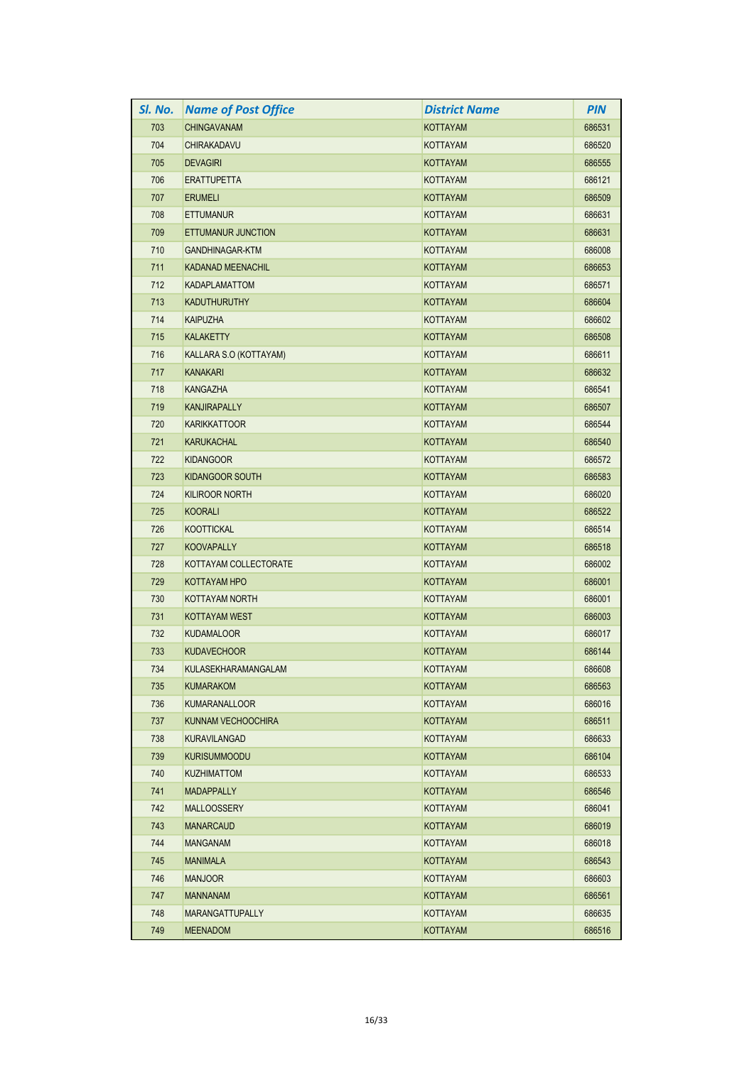| SI. No. | <b>Name of Post Office</b> | District Name   | <b>PIN</b> |
|---------|----------------------------|-----------------|------------|
| 703     | <b>CHINGAVANAM</b>         | <b>KOTTAYAM</b> | 686531     |
| 704     | <b>CHIRAKADAVU</b>         | KOTTAYAM        | 686520     |
| 705     | <b>DEVAGIRI</b>            | <b>KOTTAYAM</b> | 686555     |
| 706     | <b>ERATTUPETTA</b>         | <b>KOTTAYAM</b> | 686121     |
| 707     | <b>ERUMELI</b>             | KOTTAYAM        | 686509     |
| 708     | <b>ETTUMANUR</b>           | KOTTAYAM        | 686631     |
| 709     | ETTUMANUR JUNCTION         | <b>KOTTAYAM</b> | 686631     |
| 710     | GANDHINAGAR-KTM            | KOTTAYAM        | 686008     |
| 711     | KADANAD MEENACHIL          | KOTTAYAM        | 686653     |
| 712     | KADAPLAMATTOM              | KOTTAYAM        | 686571     |
| 713     | <b>KADUTHURUTHY</b>        | <b>KOTTAYAM</b> | 686604     |
| 714     | <b>KAIPUZHA</b>            | <b>KOTTAYAM</b> | 686602     |
| 715     | <b>KALAKETTY</b>           | <b>KOTTAYAM</b> | 686508     |
| 716     | KALLARA S.O (KOTTAYAM)     | <b>KOTTAYAM</b> | 686611     |
| 717     | <b>KANAKARI</b>            | KOTTAYAM        | 686632     |
| 718     | KANGAZHA                   | KOTTAYAM        | 686541     |
| 719     | <b>KANJIRAPALLY</b>        | <b>KOTTAYAM</b> | 686507     |
| 720     | <b>KARIKKATTOOR</b>        | <b>KOTTAYAM</b> | 686544     |
| 721     | KARUKACHAL                 | <b>KOTTAYAM</b> | 686540     |
| 722     | <b>KIDANGOOR</b>           | KOTTAYAM        | 686572     |
| 723     | <b>KIDANGOOR SOUTH</b>     | <b>KOTTAYAM</b> | 686583     |
| 724     | <b>KILIROOR NORTH</b>      | KOTTAYAM        | 686020     |
| 725     | <b>KOORALI</b>             | KOTTAYAM        | 686522     |
| 726     | <b>KOOTTICKAL</b>          | <b>KOTTAYAM</b> | 686514     |
| 727     | <b>KOOVAPALLY</b>          | KOTTAYAM        | 686518     |
| 728     | KOTTAYAM COLLECTORATE      | KOTTAYAM        | 686002     |
| 729     | KOTTAYAM HPO               | <b>KOTTAYAM</b> | 686001     |
| 730     | KOTTAYAM NORTH             | KOTTAYAM        | 686001     |
| 731     | KOTTAYAM WEST              | <b>KOTTAYAM</b> | 686003     |
| 732     | <b>KUDAMALOOR</b>          | KOTTAYAM        | 686017     |
| 733     | <b>KUDAVECHOOR</b>         | <b>KOTTAYAM</b> | 686144     |
| 734     | KULASEKHARAMANGALAM        | KOTTAYAM        | 686608     |
| 735     | <b>KUMARAKOM</b>           | <b>KOTTAYAM</b> | 686563     |
| 736     | <b>KUMARANALLOOR</b>       | <b>KOTTAYAM</b> | 686016     |
| 737     | KUNNAM VECHOOCHIRA         | KOTTAYAM        | 686511     |
| 738     | KURAVILANGAD               | KOTTAYAM        | 686633     |
| 739     | <b>KURISUMMOODU</b>        | <b>KOTTAYAM</b> | 686104     |
| 740     | <b>KUZHIMATTOM</b>         | KOTTAYAM        | 686533     |
| 741     | <b>MADAPPALLY</b>          | KOTTAYAM        | 686546     |
| 742     | <b>MALLOOSSERY</b>         | KOTTAYAM        | 686041     |
| 743     | <b>MANARCAUD</b>           | <b>KOTTAYAM</b> | 686019     |
| 744     | <b>MANGANAM</b>            | KOTTAYAM        | 686018     |
| 745     | <b>MANIMALA</b>            | <b>KOTTAYAM</b> | 686543     |
| 746     | <b>MANJOOR</b>             | <b>KOTTAYAM</b> | 686603     |
| 747     | <b>MANNANAM</b>            | KOTTAYAM        | 686561     |
| 748     | <b>MARANGATTUPALLY</b>     | KOTTAYAM        | 686635     |
| 749     | <b>MEENADOM</b>            | <b>KOTTAYAM</b> | 686516     |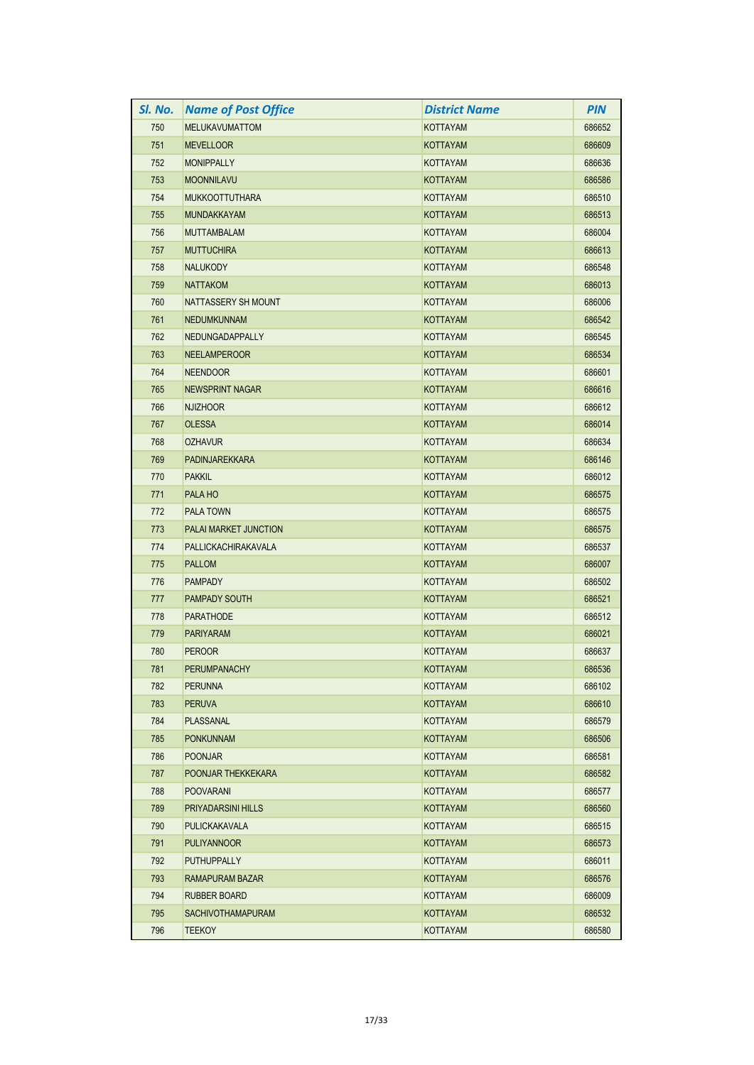| SI. No. | <b>Name of Post Office</b> | <b>District Name</b> | <b>PIN</b> |
|---------|----------------------------|----------------------|------------|
| 750     | <b>MELUKAVUMATTOM</b>      | <b>KOTTAYAM</b>      | 686652     |
| 751     | <b>MEVELLOOR</b>           | KOTTAYAM             | 686609     |
| 752     | <b>MONIPPALLY</b>          | KOTTAYAM             | 686636     |
| 753     | <b>MOONNILAVU</b>          | KOTTAYAM             | 686586     |
| 754     | <b>MUKKOOTTUTHARA</b>      | <b>KOTTAYAM</b>      | 686510     |
| 755     | <b>MUNDAKKAYAM</b>         | <b>KOTTAYAM</b>      | 686513     |
| 756     | <b>MUTTAMBALAM</b>         | <b>KOTTAYAM</b>      | 686004     |
| 757     | <b>MUTTUCHIRA</b>          | <b>KOTTAYAM</b>      | 686613     |
| 758     | <b>NALUKODY</b>            | KOTTAYAM             | 686548     |
| 759     | <b>NATTAKOM</b>            | <b>KOTTAYAM</b>      | 686013     |
| 760     | NATTASSERY SH MOUNT        | <b>KOTTAYAM</b>      | 686006     |
| 761     | <b>NEDUMKUNNAM</b>         | KOTTAYAM             | 686542     |
| 762     | NEDUNGADAPPALLY            | KOTTAYAM             | 686545     |
| 763     | <b>NEELAMPEROOR</b>        | <b>KOTTAYAM</b>      | 686534     |
| 764     | <b>NEENDOOR</b>            | <b>KOTTAYAM</b>      | 686601     |
| 765     | NEWSPRINT NAGAR            | KOTTAYAM             | 686616     |
| 766     | <b>NJIZHOOR</b>            | <b>KOTTAYAM</b>      | 686612     |
| 767     | <b>OLESSA</b>              | <b>KOTTAYAM</b>      | 686014     |
| 768     | <b>OZHAVUR</b>             | <b>KOTTAYAM</b>      | 686634     |
| 769     | <b>PADINJAREKKARA</b>      | <b>KOTTAYAM</b>      | 686146     |
| 770     | <b>PAKKIL</b>              | <b>KOTTAYAM</b>      | 686012     |
| 771     | PALA HO                    | KOTTAYAM             | 686575     |
| 772     | <b>PALA TOWN</b>           | KOTTAYAM             | 686575     |
| 773     | PALAI MARKET JUNCTION      | <b>KOTTAYAM</b>      | 686575     |
| 774     | PALLICKACHIRAKAVALA        | KOTTAYAM             | 686537     |
| 775     | <b>PALLOM</b>              | <b>KOTTAYAM</b>      | 686007     |
| 776     | <b>PAMPADY</b>             | KOTTAYAM             | 686502     |
| 777     | <b>PAMPADY SOUTH</b>       | <b>KOTTAYAM</b>      | 686521     |
| 778     | <b>PARATHODE</b>           | KOTTAYAM             | 686512     |
| 779     | <b>PARIYARAM</b>           | <b>KOTTAYAM</b>      | 686021     |
| 780     | <b>PEROOR</b>              | <b>KOTTAYAM</b>      | 686637     |
| 781     | PERUMPANACHY               | KOTTAYAM             | 686536     |
| 782     | <b>PERUNNA</b>             | KOTTAYAM             | 686102     |
| 783     | <b>PERUVA</b>              | <b>KOTTAYAM</b>      | 686610     |
| 784     | PLASSANAL                  | <b>KOTTAYAM</b>      | 686579     |
| 785     | <b>PONKUNNAM</b>           | KOTTAYAM             | 686506     |
| 786     | <b>POONJAR</b>             | KOTTAYAM             | 686581     |
| 787     | POONJAR THEKKEKARA         | <b>KOTTAYAM</b>      | 686582     |
| 788     | <b>POOVARANI</b>           | <b>KOTTAYAM</b>      | 686577     |
| 789     | PRIYADARSINI HILLS         | KOTTAYAM             | 686560     |
| 790     | PULICKAKAVALA              | KOTTAYAM             | 686515     |
| 791     | <b>PULIYANNOOR</b>         | KOTTAYAM             | 686573     |
| 792     | <b>PUTHUPPALLY</b>         | KOTTAYAM             | 686011     |
| 793     | RAMAPURAM BAZAR            | <b>KOTTAYAM</b>      | 686576     |
| 794     | RUBBER BOARD               | KOTTAYAM             | 686009     |
| 795     | <b>SACHIVOTHAMAPURAM</b>   | KOTTAYAM             | 686532     |
| 796     | <b>TEEKOY</b>              | KOTTAYAM             | 686580     |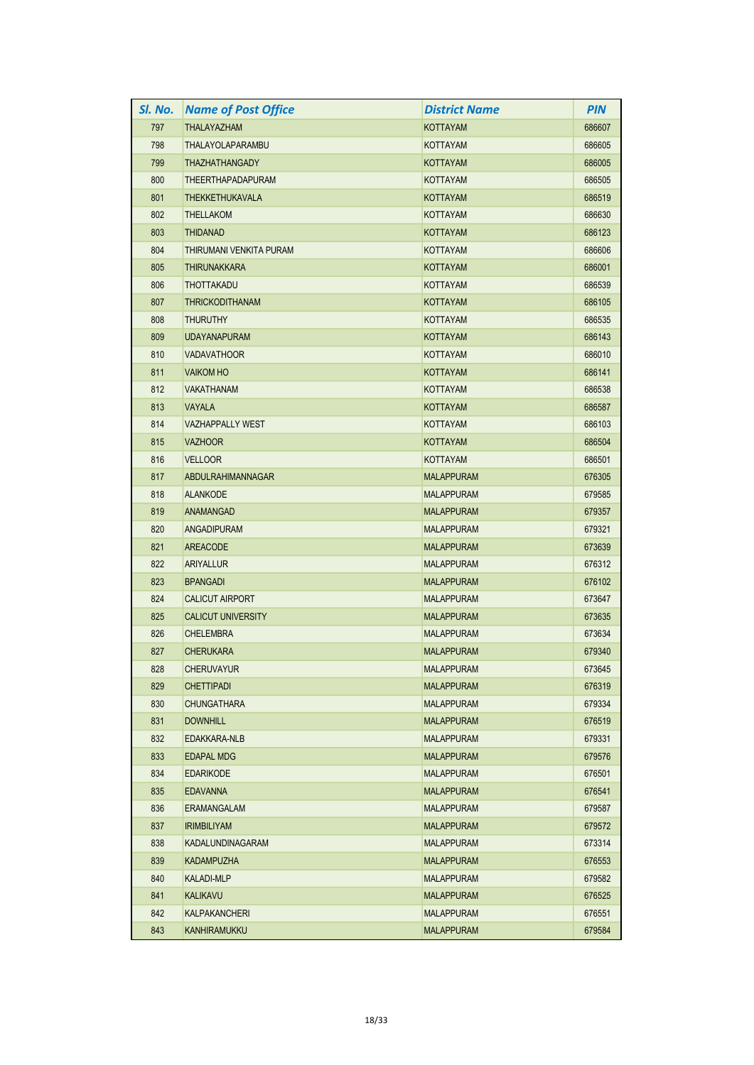| SI. No. | <b>Name of Post Office</b> | <b>District Name</b> | <b>PIN</b> |
|---------|----------------------------|----------------------|------------|
| 797     | THALAYAZHAM                | <b>KOTTAYAM</b>      | 686607     |
| 798     | THALAYOLAPARAMBU           | KOTTAYAM             | 686605     |
| 799     | <b>THAZHATHANGADY</b>      | <b>KOTTAYAM</b>      | 686005     |
| 800     | <b>THEERTHAPADAPURAM</b>   | <b>KOTTAYAM</b>      | 686505     |
| 801     | <b>THEKKETHUKAVALA</b>     | <b>KOTTAYAM</b>      | 686519     |
| 802     | <b>THELLAKOM</b>           | KOTTAYAM             | 686630     |
| 803     | <b>THIDANAD</b>            | <b>KOTTAYAM</b>      | 686123     |
| 804     | THIRUMANI VENKITA PURAM    | <b>KOTTAYAM</b>      | 686606     |
| 805     | <b>THIRUNAKKARA</b>        | <b>KOTTAYAM</b>      | 686001     |
| 806     | <b>THOTTAKADU</b>          | KOTTAYAM             | 686539     |
| 807     | <b>THRICKODITHANAM</b>     | <b>KOTTAYAM</b>      | 686105     |
| 808     | <b>THURUTHY</b>            | KOTTAYAM             | 686535     |
| 809     | <b>UDAYANAPURAM</b>        | <b>KOTTAYAM</b>      | 686143     |
| 810     | <b>VADAVATHOOR</b>         | <b>KOTTAYAM</b>      | 686010     |
| 811     | <b>VAIKOM HO</b>           | <b>KOTTAYAM</b>      | 686141     |
| 812     | <b>VAKATHANAM</b>          | KOTTAYAM             | 686538     |
| 813     | <b>VAYALA</b>              | KOTTAYAM             | 686587     |
| 814     | <b>VAZHAPPALLY WEST</b>    | <b>KOTTAYAM</b>      | 686103     |
| 815     | <b>VAZHOOR</b>             | KOTTAYAM             | 686504     |
| 816     | <b>VELLOOR</b>             | KOTTAYAM             | 686501     |
| 817     | ABDULRAHIMANNAGAR          | <b>MALAPPURAM</b>    | 676305     |
| 818     | <b>ALANKODE</b>            | <b>MALAPPURAM</b>    | 679585     |
| 819     | ANAMANGAD                  | <b>MALAPPURAM</b>    | 679357     |
| 820     | ANGADIPURAM                | <b>MALAPPURAM</b>    | 679321     |
| 821     | AREACODE                   | <b>MALAPPURAM</b>    | 673639     |
| 822     | ARIYALLUR                  | <b>MALAPPURAM</b>    | 676312     |
| 823     | <b>BPANGADI</b>            | <b>MALAPPURAM</b>    | 676102     |
| 824     | <b>CALICUT AIRPORT</b>     | <b>MALAPPURAM</b>    | 673647     |
| 825     | <b>CALICUT UNIVERSITY</b>  | <b>MALAPPURAM</b>    | 673635     |
| 826     | <b>CHELEMBRA</b>           | <b>MALAPPURAM</b>    | 673634     |
| 827     | <b>CHERUKARA</b>           | <b>MALAPPURAM</b>    | 679340     |
| 828     | <b>CHERUVAYUR</b>          | <b>MALAPPURAM</b>    | 673645     |
| 829     | <b>CHETTIPADI</b>          | <b>MALAPPURAM</b>    | 676319     |
| 830     | <b>CHUNGATHARA</b>         | <b>MALAPPURAM</b>    | 679334     |
| 831     | <b>DOWNHILL</b>            | <b>MALAPPURAM</b>    | 676519     |
| 832     | EDAKKARA-NLB               | <b>MALAPPURAM</b>    | 679331     |
| 833     | EDAPAL MDG                 | <b>MALAPPURAM</b>    | 679576     |
| 834     | <b>EDARIKODE</b>           | <b>MALAPPURAM</b>    | 676501     |
| 835     | <b>EDAVANNA</b>            | <b>MALAPPURAM</b>    | 676541     |
| 836     | ERAMANGALAM                | <b>MALAPPURAM</b>    | 679587     |
| 837     | <b>IRIMBILIYAM</b>         | <b>MALAPPURAM</b>    | 679572     |
| 838     | KADALUNDINAGARAM           | <b>MALAPPURAM</b>    | 673314     |
| 839     | <b>KADAMPUZHA</b>          | <b>MALAPPURAM</b>    | 676553     |
| 840     | <b>KALADI-MLP</b>          | <b>MALAPPURAM</b>    | 679582     |
| 841     | <b>KALIKAVU</b>            | <b>MALAPPURAM</b>    | 676525     |
| 842     | KALPAKANCHERI              | <b>MALAPPURAM</b>    | 676551     |
| 843     | <b>KANHIRAMUKKU</b>        | <b>MALAPPURAM</b>    | 679584     |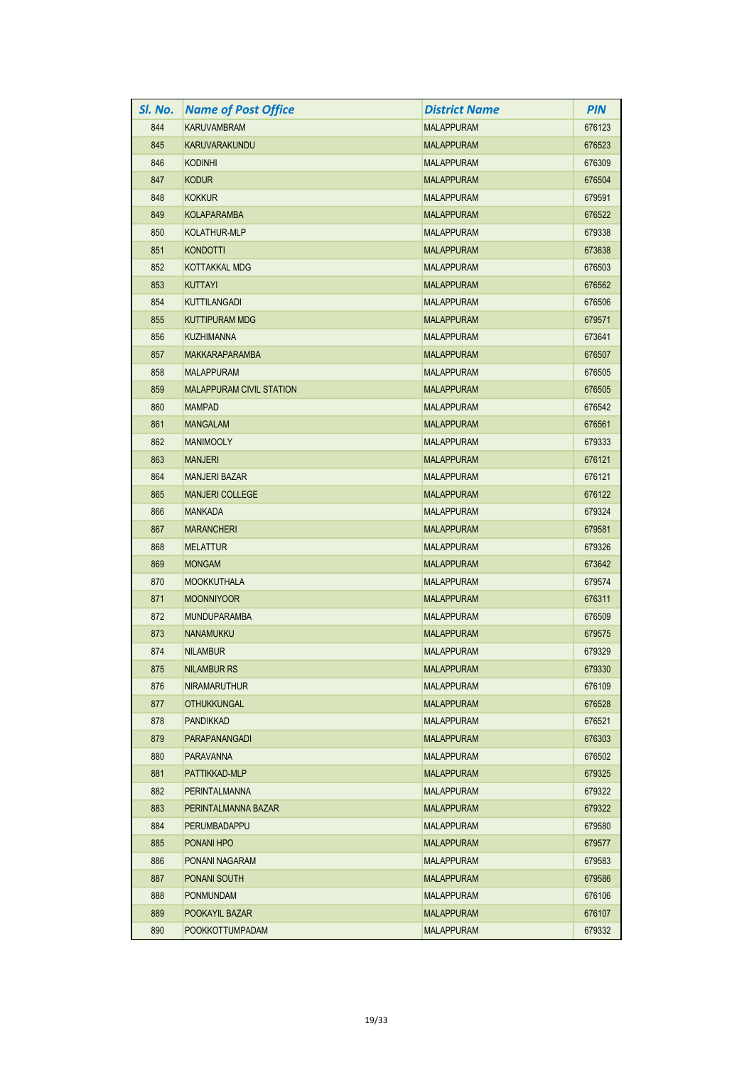| SI. No. | <b>Name of Post Office</b>      | <b>District Name</b> | <b>PIN</b> |
|---------|---------------------------------|----------------------|------------|
| 844     | <b>KARUVAMBRAM</b>              | <b>MALAPPURAM</b>    | 676123     |
| 845     | KARUVARAKUNDU                   | <b>MALAPPURAM</b>    | 676523     |
| 846     | <b>KODINHI</b>                  | <b>MALAPPURAM</b>    | 676309     |
| 847     | <b>KODUR</b>                    | <b>MALAPPURAM</b>    | 676504     |
| 848     | <b>KOKKUR</b>                   | <b>MALAPPURAM</b>    | 679591     |
| 849     | <b>KOLAPARAMBA</b>              | <b>MALAPPURAM</b>    | 676522     |
| 850     | <b>KOLATHUR-MLP</b>             | <b>MALAPPURAM</b>    | 679338     |
| 851     | <b>KONDOTTI</b>                 | <b>MALAPPURAM</b>    | 673638     |
| 852     | KOTTAKKAL MDG                   | <b>MALAPPURAM</b>    | 676503     |
| 853     | <b>KUTTAYI</b>                  | <b>MALAPPURAM</b>    | 676562     |
| 854     | <b>KUTTILANGADI</b>             | <b>MALAPPURAM</b>    | 676506     |
| 855     | <b>KUTTIPURAM MDG</b>           | <b>MALAPPURAM</b>    | 679571     |
| 856     | <b>KUZHIMANNA</b>               | <b>MALAPPURAM</b>    | 673641     |
| 857     | <b>MAKKARAPARAMBA</b>           | <b>MALAPPURAM</b>    | 676507     |
| 858     | <b>MALAPPURAM</b>               | <b>MALAPPURAM</b>    | 676505     |
| 859     | <b>MALAPPURAM CIVIL STATION</b> | <b>MALAPPURAM</b>    | 676505     |
| 860     | <b>MAMPAD</b>                   | <b>MALAPPURAM</b>    | 676542     |
| 861     | <b>MANGALAM</b>                 | <b>MALAPPURAM</b>    | 676561     |
| 862     | <b>MANIMOOLY</b>                | <b>MALAPPURAM</b>    | 679333     |
| 863     | <b>MANJERI</b>                  | <b>MALAPPURAM</b>    | 676121     |
| 864     | <b>MANJERI BAZAR</b>            | <b>MALAPPURAM</b>    | 676121     |
| 865     | <b>MANJERI COLLEGE</b>          | <b>MALAPPURAM</b>    | 676122     |
| 866     | <b>MANKADA</b>                  | <b>MALAPPURAM</b>    | 679324     |
| 867     | <b>MARANCHERI</b>               | <b>MALAPPURAM</b>    | 679581     |
| 868     | <b>MELATTUR</b>                 | <b>MALAPPURAM</b>    | 679326     |
| 869     | <b>MONGAM</b>                   | <b>MALAPPURAM</b>    | 673642     |
| 870     | <b>MOOKKUTHALA</b>              | <b>MALAPPURAM</b>    | 679574     |
| 871     | <b>MOONNIYOOR</b>               | <b>MALAPPURAM</b>    | 676311     |
| 872     | <b>MUNDUPARAMBA</b>             | <b>MALAPPURAM</b>    | 676509     |
| 873     | <b>NANAMUKKU</b>                | <b>MALAPPURAM</b>    | 679575     |
| 874     | <b>NILAMBUR</b>                 | <b>MALAPPURAM</b>    | 679329     |
| 875     | <b>NILAMBUR RS</b>              | <b>MALAPPURAM</b>    | 679330     |
| 876     | <b>NIRAMARUTHUR</b>             | <b>MALAPPURAM</b>    | 676109     |
| 877     | <b>OTHUKKUNGAL</b>              | <b>MALAPPURAM</b>    | 676528     |
| 878     | <b>PANDIKKAD</b>                | <b>MALAPPURAM</b>    | 676521     |
| 879     | PARAPANANGADI                   | <b>MALAPPURAM</b>    | 676303     |
| 880     | PARAVANNA                       | <b>MALAPPURAM</b>    | 676502     |
| 881     | PATTIKKAD-MLP                   | <b>MALAPPURAM</b>    | 679325     |
| 882     | PERINTALMANNA                   | <b>MALAPPURAM</b>    | 679322     |
| 883     | PERINTALMANNA BAZAR             | <b>MALAPPURAM</b>    | 679322     |
| 884     | PERUMBADAPPU                    | <b>MALAPPURAM</b>    | 679580     |
| 885     | PONANI HPO                      | <b>MALAPPURAM</b>    | 679577     |
| 886     | PONANI NAGARAM                  | MALAPPURAM           | 679583     |
| 887     | PONANI SOUTH                    | <b>MALAPPURAM</b>    | 679586     |
| 888     | <b>PONMUNDAM</b>                | <b>MALAPPURAM</b>    | 676106     |
| 889     | POOKAYIL BAZAR                  | <b>MALAPPURAM</b>    | 676107     |
| 890     | <b>POOKKOTTUMPADAM</b>          | <b>MALAPPURAM</b>    | 679332     |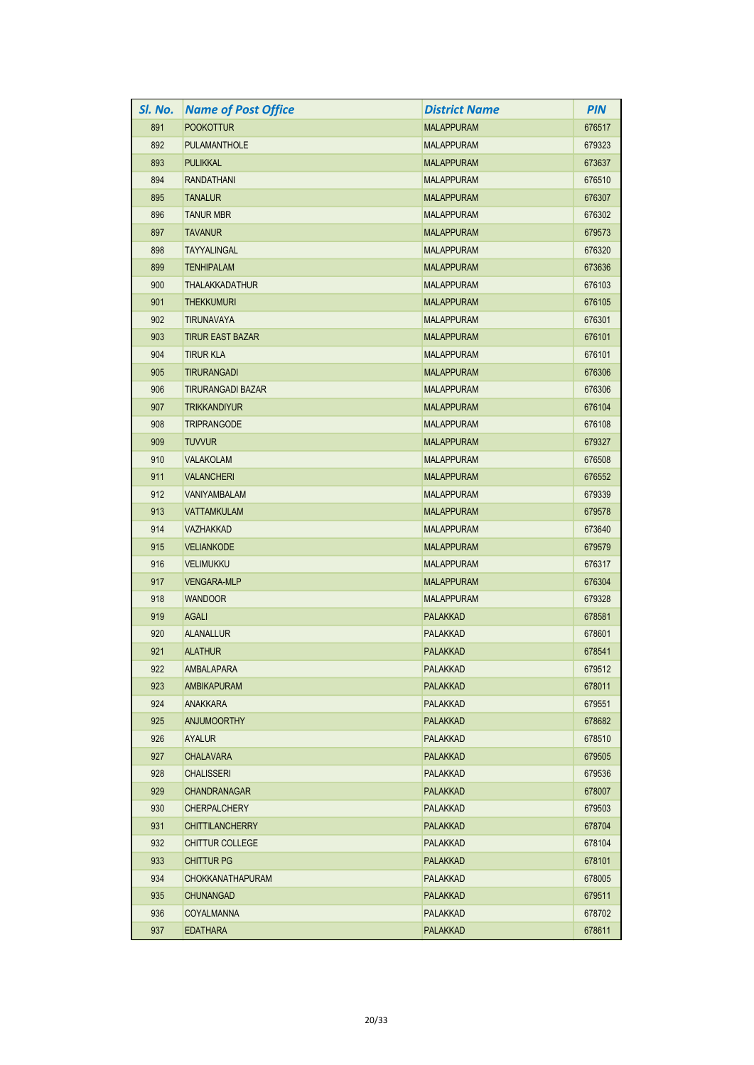| SI. No. | <b>Name of Post Office</b> | <b>District Name</b> | <b>PIN</b> |
|---------|----------------------------|----------------------|------------|
| 891     | <b>POOKOTTUR</b>           | <b>MALAPPURAM</b>    | 676517     |
| 892     | <b>PULAMANTHOLE</b>        | <b>MALAPPURAM</b>    | 679323     |
| 893     | <b>PULIKKAL</b>            | <b>MALAPPURAM</b>    | 673637     |
| 894     | <b>RANDATHANI</b>          | <b>MALAPPURAM</b>    | 676510     |
| 895     | <b>TANALUR</b>             | <b>MALAPPURAM</b>    | 676307     |
| 896     | <b>TANUR MBR</b>           | <b>MALAPPURAM</b>    | 676302     |
| 897     | <b>TAVANUR</b>             | <b>MALAPPURAM</b>    | 679573     |
| 898     | <b>TAYYALINGAL</b>         | <b>MALAPPURAM</b>    | 676320     |
| 899     | <b>TENHIPALAM</b>          | <b>MALAPPURAM</b>    | 673636     |
| 900     | <b>THALAKKADATHUR</b>      | <b>MALAPPURAM</b>    | 676103     |
| 901     | <b>THEKKUMURI</b>          | <b>MALAPPURAM</b>    | 676105     |
| 902     | <b>TIRUNAVAYA</b>          | <b>MALAPPURAM</b>    | 676301     |
| 903     | <b>TIRUR EAST BAZAR</b>    | <b>MALAPPURAM</b>    | 676101     |
| 904     | <b>TIRUR KLA</b>           | <b>MALAPPURAM</b>    | 676101     |
| 905     | <b>TIRURANGADI</b>         | <b>MALAPPURAM</b>    | 676306     |
| 906     | <b>TIRURANGADI BAZAR</b>   | <b>MALAPPURAM</b>    | 676306     |
| 907     | <b>TRIKKANDIYUR</b>        | <b>MALAPPURAM</b>    | 676104     |
| 908     | <b>TRIPRANGODE</b>         | <b>MALAPPURAM</b>    | 676108     |
| 909     | <b>TUVVUR</b>              | <b>MALAPPURAM</b>    | 679327     |
| 910     | VALAKOLAM                  | <b>MALAPPURAM</b>    | 676508     |
| 911     | <b>VALANCHERI</b>          | <b>MALAPPURAM</b>    | 676552     |
| 912     | <b>VANIYAMBALAM</b>        | <b>MALAPPURAM</b>    | 679339     |
| 913     | <b>VATTAMKULAM</b>         | <b>MALAPPURAM</b>    | 679578     |
| 914     | <b>VAZHAKKAD</b>           | <b>MALAPPURAM</b>    | 673640     |
| 915     | <b>VELIANKODE</b>          | <b>MALAPPURAM</b>    | 679579     |
| 916     | <b>VELIMUKKU</b>           | <b>MALAPPURAM</b>    | 676317     |
| 917     | <b>VENGARA-MLP</b>         | <b>MALAPPURAM</b>    | 676304     |
| 918     | <b>WANDOOR</b>             | <b>MALAPPURAM</b>    | 679328     |
| 919     | <b>AGALI</b>               | <b>PALAKKAD</b>      | 678581     |
| 920     | <b>ALANALLUR</b>           | <b>PALAKKAD</b>      | 678601     |
| 921     | <b>ALATHUR</b>             | <b>PALAKKAD</b>      | 678541     |
| 922     | AMBALAPARA                 | PALAKKAD             | 679512     |
| 923     | <b>AMBIKAPURAM</b>         | <b>PALAKKAD</b>      | 678011     |
| 924     | <b>ANAKKARA</b>            | PALAKKAD             | 679551     |
| 925     | <b>ANJUMOORTHY</b>         | <b>PALAKKAD</b>      | 678682     |
| 926     | <b>AYALUR</b>              | PALAKKAD             | 678510     |
| 927     | <b>CHALAVARA</b>           | <b>PALAKKAD</b>      | 679505     |
| 928     | <b>CHALISSERI</b>          | <b>PALAKKAD</b>      | 679536     |
| 929     | <b>CHANDRANAGAR</b>        | PALAKKAD             | 678007     |
| 930     | <b>CHERPALCHERY</b>        | <b>PALAKKAD</b>      | 679503     |
| 931     | <b>CHITTILANCHERRY</b>     | <b>PALAKKAD</b>      | 678704     |
| 932     | <b>CHITTUR COLLEGE</b>     | PALAKKAD             | 678104     |
| 933     | <b>CHITTUR PG</b>          | <b>PALAKKAD</b>      | 678101     |
| 934     | <b>CHOKKANATHAPURAM</b>    | PALAKKAD             | 678005     |
| 935     | <b>CHUNANGAD</b>           | <b>PALAKKAD</b>      | 679511     |
| 936     | COYALMANNA                 | <b>PALAKKAD</b>      | 678702     |
| 937     | <b>EDATHARA</b>            | PALAKKAD             | 678611     |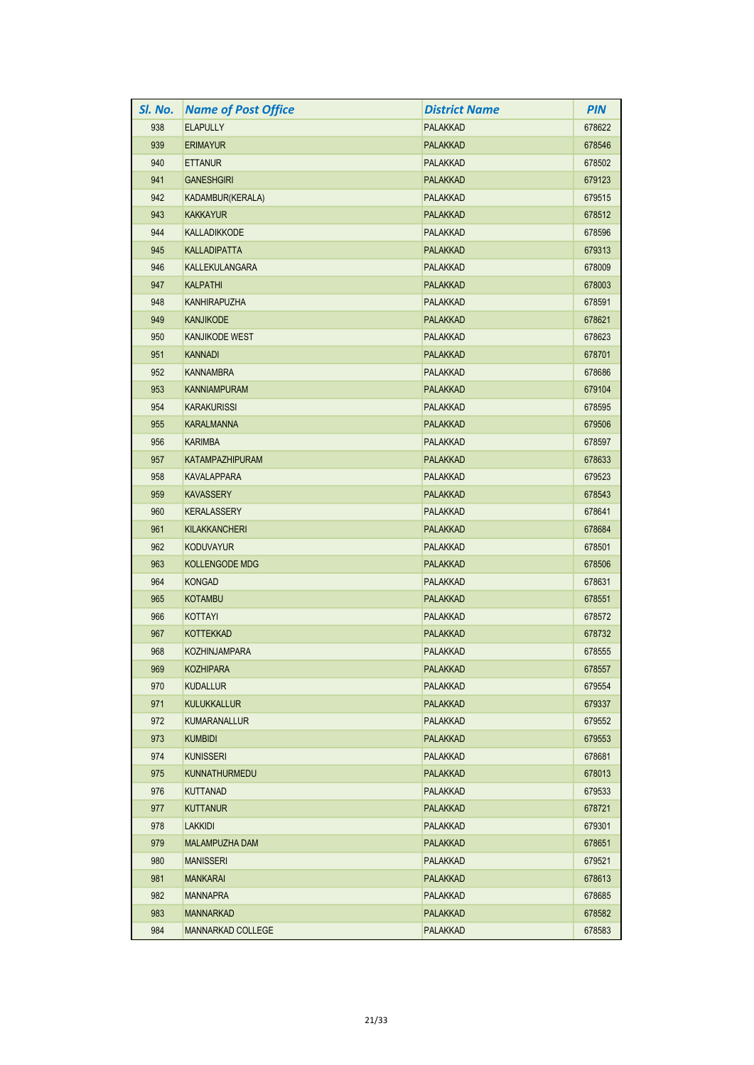| SI. No. | <b>Name of Post Office</b> | <b>District Name</b> | <b>PIN</b> |
|---------|----------------------------|----------------------|------------|
| 938     | <b>ELAPULLY</b>            | <b>PALAKKAD</b>      | 678622     |
| 939     | <b>ERIMAYUR</b>            | <b>PALAKKAD</b>      | 678546     |
| 940     | <b>ETTANUR</b>             | <b>PALAKKAD</b>      | 678502     |
| 941     | <b>GANESHGIRI</b>          | <b>PALAKKAD</b>      | 679123     |
| 942     | KADAMBUR(KERALA)           | <b>PALAKKAD</b>      | 679515     |
| 943     | <b>KAKKAYUR</b>            | <b>PALAKKAD</b>      | 678512     |
| 944     | <b>KALLADIKKODE</b>        | <b>PALAKKAD</b>      | 678596     |
| 945     | <b>KALLADIPATTA</b>        | <b>PALAKKAD</b>      | 679313     |
| 946     | <b>KALLEKULANGARA</b>      | <b>PALAKKAD</b>      | 678009     |
| 947     | <b>KALPATHI</b>            | <b>PALAKKAD</b>      | 678003     |
| 948     | <b>KANHIRAPUZHA</b>        | <b>PALAKKAD</b>      | 678591     |
| 949     | <b>KANJIKODE</b>           | <b>PALAKKAD</b>      | 678621     |
| 950     | <b>KANJIKODE WEST</b>      | <b>PALAKKAD</b>      | 678623     |
| 951     | <b>KANNADI</b>             | <b>PALAKKAD</b>      | 678701     |
| 952     | <b>KANNAMBRA</b>           | <b>PALAKKAD</b>      | 678686     |
| 953     | <b>KANNIAMPURAM</b>        | <b>PALAKKAD</b>      | 679104     |
| 954     | <b>KARAKURISSI</b>         | <b>PALAKKAD</b>      | 678595     |
| 955     | <b>KARALMANNA</b>          | <b>PALAKKAD</b>      | 679506     |
| 956     | <b>KARIMBA</b>             | <b>PALAKKAD</b>      | 678597     |
| 957     | <b>KATAMPAZHIPURAM</b>     | <b>PALAKKAD</b>      | 678633     |
| 958     | <b>KAVALAPPARA</b>         | <b>PALAKKAD</b>      | 679523     |
| 959     | <b>KAVASSERY</b>           | <b>PALAKKAD</b>      | 678543     |
| 960     | <b>KERALASSERY</b>         | <b>PALAKKAD</b>      | 678641     |
| 961     | <b>KILAKKANCHERI</b>       | <b>PALAKKAD</b>      | 678684     |
| 962     | <b>KODUVAYUR</b>           | <b>PALAKKAD</b>      | 678501     |
| 963     | <b>KOLLENGODE MDG</b>      | <b>PALAKKAD</b>      | 678506     |
| 964     | <b>KONGAD</b>              | PALAKKAD             | 678631     |
| 965     | <b>KOTAMBU</b>             | <b>PALAKKAD</b>      | 678551     |
| 966     | KOTTAYI                    | <b>PALAKKAD</b>      | 678572     |
| 967     | <b>KOTTEKKAD</b>           | <b>PALAKKAD</b>      | 678732     |
| 968     | <b>KOZHINJAMPARA</b>       | <b>PALAKKAD</b>      | 678555     |
| 969     | <b>KOZHIPARA</b>           | PALAKKAD             | 678557     |
| 970     | <b>KUDALLUR</b>            | PALAKKAD             | 679554     |
| 971     | <b>KULUKKALLUR</b>         | <b>PALAKKAD</b>      | 679337     |
| 972     | <b>KUMARANALLUR</b>        | <b>PALAKKAD</b>      | 679552     |
| 973     | <b>KUMBIDI</b>             | <b>PALAKKAD</b>      | 679553     |
| 974     | <b>KUNISSERI</b>           | <b>PALAKKAD</b>      | 678681     |
| 975     | <b>KUNNATHURMEDU</b>       | <b>PALAKKAD</b>      | 678013     |
| 976     | <b>KUTTANAD</b>            | <b>PALAKKAD</b>      | 679533     |
| 977     | <b>KUTTANUR</b>            | <b>PALAKKAD</b>      | 678721     |
| 978     | <b>LAKKIDI</b>             | <b>PALAKKAD</b>      | 679301     |
| 979     | MALAMPUZHA DAM             | <b>PALAKKAD</b>      | 678651     |
| 980     | <b>MANISSERI</b>           | <b>PALAKKAD</b>      | 679521     |
| 981     | <b>MANKARAI</b>            | <b>PALAKKAD</b>      | 678613     |
| 982     | <b>MANNAPRA</b>            | <b>PALAKKAD</b>      | 678685     |
| 983     | <b>MANNARKAD</b>           | <b>PALAKKAD</b>      | 678582     |
| 984     | MANNARKAD COLLEGE          | <b>PALAKKAD</b>      | 678583     |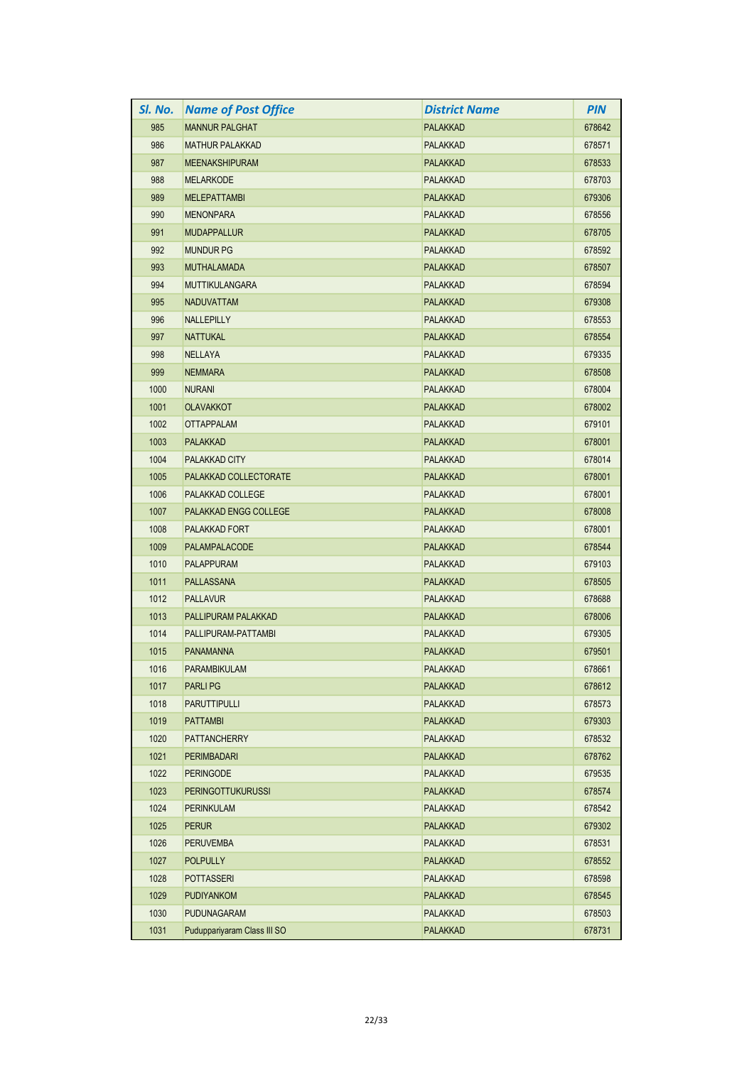| SI. No. | <b>Name of Post Office</b>  | <b>District Name</b> | <b>PIN</b> |
|---------|-----------------------------|----------------------|------------|
| 985     | <b>MANNUR PALGHAT</b>       | <b>PALAKKAD</b>      | 678642     |
| 986     | <b>MATHUR PALAKKAD</b>      | PALAKKAD             | 678571     |
| 987     | <b>MEENAKSHIPURAM</b>       | <b>PALAKKAD</b>      | 678533     |
| 988     | <b>MELARKODE</b>            | <b>PALAKKAD</b>      | 678703     |
| 989     | <b>MELEPATTAMBI</b>         | <b>PALAKKAD</b>      | 679306     |
| 990     | <b>MENONPARA</b>            | <b>PALAKKAD</b>      | 678556     |
| 991     | <b>MUDAPPALLUR</b>          | <b>PALAKKAD</b>      | 678705     |
| 992     | <b>MUNDUR PG</b>            | <b>PALAKKAD</b>      | 678592     |
| 993     | <b>MUTHALAMADA</b>          | <b>PALAKKAD</b>      | 678507     |
| 994     | <b>MUTTIKULANGARA</b>       | <b>PALAKKAD</b>      | 678594     |
| 995     | <b>NADUVATTAM</b>           | <b>PALAKKAD</b>      | 679308     |
| 996     | <b>NALLEPILLY</b>           | <b>PALAKKAD</b>      | 678553     |
| 997     | <b>NATTUKAL</b>             | <b>PALAKKAD</b>      | 678554     |
| 998     | <b>NELLAYA</b>              | <b>PALAKKAD</b>      | 679335     |
| 999     | <b>NEMMARA</b>              | <b>PALAKKAD</b>      | 678508     |
| 1000    | <b>NURANI</b>               | <b>PALAKKAD</b>      | 678004     |
| 1001    | <b>OLAVAKKOT</b>            | <b>PALAKKAD</b>      | 678002     |
| 1002    | <b>OTTAPPALAM</b>           | <b>PALAKKAD</b>      | 679101     |
| 1003    | <b>PALAKKAD</b>             | <b>PALAKKAD</b>      | 678001     |
| 1004    | <b>PALAKKAD CITY</b>        | <b>PALAKKAD</b>      | 678014     |
| 1005    | PALAKKAD COLLECTORATE       | <b>PALAKKAD</b>      | 678001     |
| 1006    | PALAKKAD COLLEGE            | PALAKKAD             | 678001     |
| 1007    | PALAKKAD ENGG COLLEGE       | <b>PALAKKAD</b>      | 678008     |
| 1008    | PALAKKAD FORT               | <b>PALAKKAD</b>      | 678001     |
| 1009    | PALAMPALACODE               | <b>PALAKKAD</b>      | 678544     |
| 1010    | <b>PALAPPURAM</b>           | <b>PALAKKAD</b>      | 679103     |
| 1011    | <b>PALLASSANA</b>           | <b>PALAKKAD</b>      | 678505     |
| 1012    | <b>PALLAVUR</b>             | <b>PALAKKAD</b>      | 678688     |
| 1013    | PALLIPURAM PALAKKAD         | <b>PALAKKAD</b>      | 678006     |
| 1014    | PALLIPURAM-PATTAMBI         | <b>PALAKKAD</b>      | 679305     |
| 1015    | <b>PANAMANNA</b>            | <b>PALAKKAD</b>      | 679501     |
| 1016    | <b>PARAMBIKULAM</b>         | PALAKKAD             | 678661     |
| 1017    | <b>PARLIPG</b>              | <b>PALAKKAD</b>      | 678612     |
| 1018    | <b>PARUTTIPULLI</b>         | <b>PALAKKAD</b>      | 678573     |
| 1019    | <b>PATTAMBI</b>             | <b>PALAKKAD</b>      | 679303     |
| 1020    | <b>PATTANCHERRY</b>         | <b>PALAKKAD</b>      | 678532     |
| 1021    | <b>PERIMBADARI</b>          | <b>PALAKKAD</b>      | 678762     |
| 1022    | <b>PERINGODE</b>            | <b>PALAKKAD</b>      | 679535     |
| 1023    | <b>PERINGOTTUKURUSSI</b>    | <b>PALAKKAD</b>      | 678574     |
| 1024    | PERINKULAM                  | PALAKKAD             | 678542     |
| 1025    | <b>PERUR</b>                | <b>PALAKKAD</b>      | 679302     |
| 1026    | <b>PERUVEMBA</b>            | PALAKKAD             | 678531     |
| 1027    | <b>POLPULLY</b>             | <b>PALAKKAD</b>      | 678552     |
| 1028    | POTTASSERI                  | <b>PALAKKAD</b>      | 678598     |
| 1029    | <b>PUDIYANKOM</b>           | <b>PALAKKAD</b>      | 678545     |
| 1030    | <b>PUDUNAGARAM</b>          | PALAKKAD             | 678503     |
| 1031    | Puduppariyaram Class III SO | PALAKKAD             | 678731     |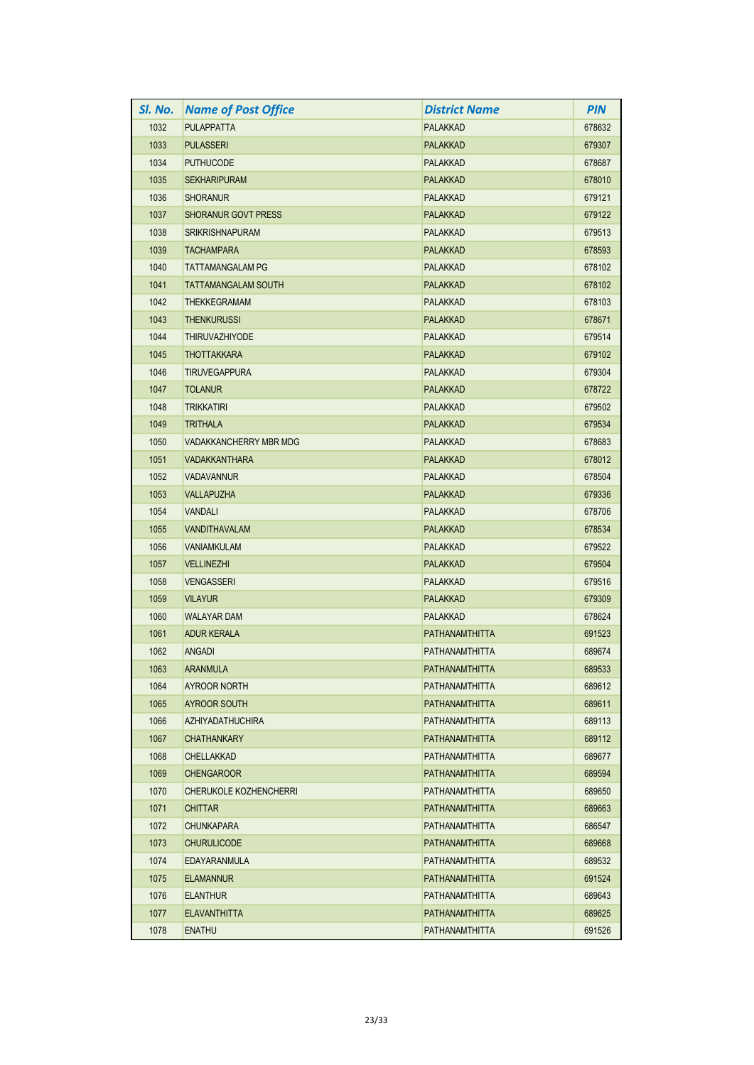| SI. No. | <b>Name of Post Office</b>    | <b>District Name</b> | <b>PIN</b> |
|---------|-------------------------------|----------------------|------------|
| 1032    | <b>PULAPPATTA</b>             | PALAKKAD             | 678632     |
| 1033    | <b>PULASSERI</b>              | <b>PALAKKAD</b>      | 679307     |
| 1034    | <b>PUTHUCODE</b>              | <b>PALAKKAD</b>      | 678687     |
| 1035    | <b>SEKHARIPURAM</b>           | <b>PALAKKAD</b>      | 678010     |
| 1036    | <b>SHORANUR</b>               | <b>PALAKKAD</b>      | 679121     |
| 1037    | <b>SHORANUR GOVT PRESS</b>    | <b>PALAKKAD</b>      | 679122     |
| 1038    | <b>SRIKRISHNAPURAM</b>        | PALAKKAD             | 679513     |
| 1039    | <b>TACHAMPARA</b>             | <b>PALAKKAD</b>      | 678593     |
| 1040    | <b>TATTAMANGALAM PG</b>       | <b>PALAKKAD</b>      | 678102     |
| 1041    | <b>TATTAMANGALAM SOUTH</b>    | <b>PALAKKAD</b>      | 678102     |
| 1042    | <b>THEKKEGRAMAM</b>           | PALAKKAD             | 678103     |
| 1043    | <b>THENKURUSSI</b>            | <b>PALAKKAD</b>      | 678671     |
| 1044    | <b>THIRUVAZHIYODE</b>         | <b>PALAKKAD</b>      | 679514     |
| 1045    | <b>THOTTAKKARA</b>            | <b>PALAKKAD</b>      | 679102     |
| 1046    | <b>TIRUVEGAPPURA</b>          | PALAKKAD             | 679304     |
| 1047    | <b>TOLANUR</b>                | <b>PALAKKAD</b>      | 678722     |
| 1048    | <b>TRIKKATIRI</b>             | PALAKKAD             | 679502     |
| 1049    | <b>TRITHALA</b>               | <b>PALAKKAD</b>      | 679534     |
| 1050    | <b>VADAKKANCHERRY MBR MDG</b> | <b>PALAKKAD</b>      | 678683     |
| 1051    | <b>VADAKKANTHARA</b>          | <b>PALAKKAD</b>      | 678012     |
| 1052    | <b>VADAVANNUR</b>             | <b>PALAKKAD</b>      | 678504     |
| 1053    | <b>VALLAPUZHA</b>             | <b>PALAKKAD</b>      | 679336     |
| 1054    | <b>VANDALI</b>                | <b>PALAKKAD</b>      | 678706     |
| 1055    | <b>VANDITHAVALAM</b>          | <b>PALAKKAD</b>      | 678534     |
| 1056    | <b>VANIAMKULAM</b>            | <b>PALAKKAD</b>      | 679522     |
| 1057    | <b>VELLINEZHI</b>             | PALAKKAD             | 679504     |
| 1058    | <b>VENGASSERI</b>             | PALAKKAD             | 679516     |
| 1059    | <b>VILAYUR</b>                | <b>PALAKKAD</b>      | 679309     |
| 1060    | <b>WALAYAR DAM</b>            | <b>PALAKKAD</b>      | 678624     |
| 1061    | <b>ADUR KERALA</b>            | PATHANAMTHITTA       | 691523     |
| 1062    | <b>ANGADI</b>                 | PATHANAMTHITTA       | 689674     |
| 1063    | <b>ARANMULA</b>               | PATHANAMTHITTA       | 689533     |
| 1064    | <b>AYROOR NORTH</b>           | PATHANAMTHITTA       | 689612     |
| 1065    | <b>AYROOR SOUTH</b>           | PATHANAMTHITTA       | 689611     |
| 1066    | <b>AZHIYADATHUCHIRA</b>       | PATHANAMTHITTA       | 689113     |
| 1067    | <b>CHATHANKARY</b>            | PATHANAMTHITTA       | 689112     |
| 1068    | <b>CHELLAKKAD</b>             | PATHANAMTHITTA       | 689677     |
| 1069    | <b>CHENGAROOR</b>             | PATHANAMTHITTA       | 689594     |
| 1070    | CHERUKOLE KOZHENCHERRI        | PATHANAMTHITTA       | 689650     |
| 1071    | <b>CHITTAR</b>                | PATHANAMTHITTA       | 689663     |
| 1072    | <b>CHUNKAPARA</b>             | PATHANAMTHITTA       | 686547     |
| 1073    | <b>CHURULICODE</b>            | PATHANAMTHITTA       | 689668     |
| 1074    | EDAYARANMULA                  | PATHANAMTHITTA       | 689532     |
| 1075    | <b>ELAMANNUR</b>              | PATHANAMTHITTA       | 691524     |
| 1076    | <b>ELANTHUR</b>               | PATHANAMTHITTA       | 689643     |
| 1077    | <b>ELAVANTHITTA</b>           | PATHANAMTHITTA       | 689625     |
| 1078    | <b>ENATHU</b>                 | PATHANAMTHITTA       | 691526     |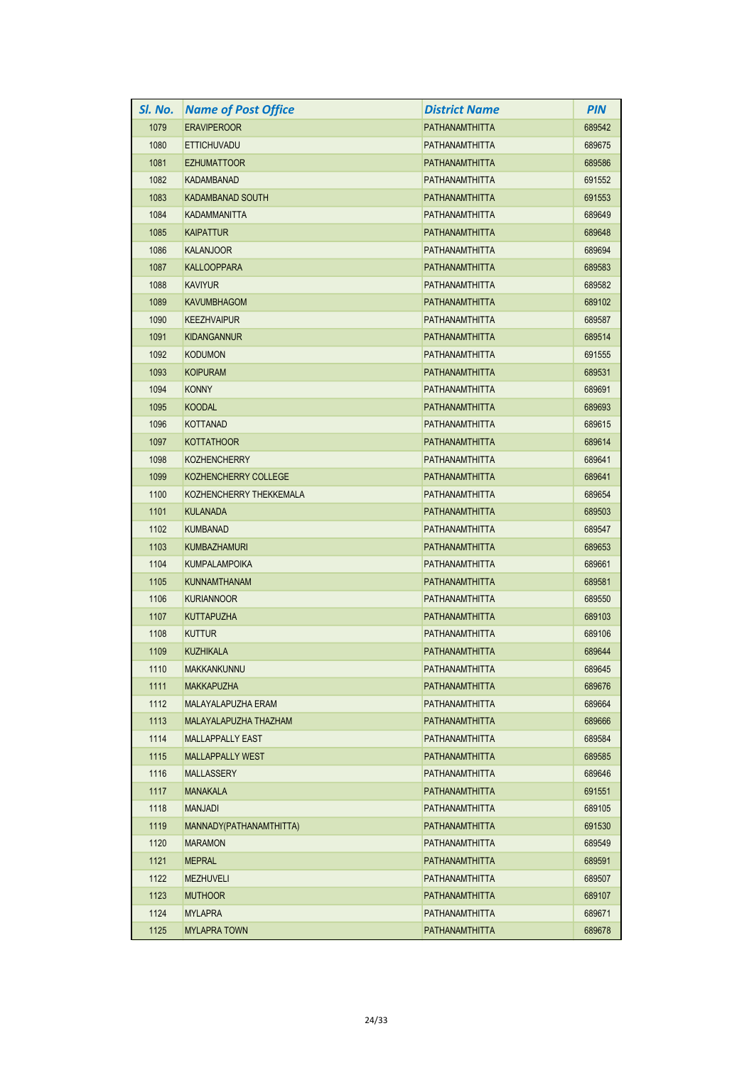| SI. No. | <b>Name of Post Office</b> | District Name         | <b>PIN</b> |
|---------|----------------------------|-----------------------|------------|
| 1079    | <b>ERAVIPEROOR</b>         | PATHANAMTHITTA        | 689542     |
| 1080    | <b>ETTICHUVADU</b>         | PATHANAMTHITTA        | 689675     |
| 1081    | <b>EZHUMATTOOR</b>         | PATHANAMTHITTA        | 689586     |
| 1082    | <b>KADAMBANAD</b>          | PATHANAMTHITTA        | 691552     |
| 1083    | <b>KADAMBANAD SOUTH</b>    | <b>PATHANAMTHITTA</b> | 691553     |
| 1084    | KADAMMANITTA               | PATHANAMTHITTA        | 689649     |
| 1085    | <b>KAIPATTUR</b>           | PATHANAMTHITTA        | 689648     |
| 1086    | KALANJOOR                  | <b>PATHANAMTHITTA</b> | 689694     |
| 1087    | <b>KALLOOPPARA</b>         | PATHANAMTHITTA        | 689583     |
| 1088    | <b>KAVIYUR</b>             | PATHANAMTHITTA        | 689582     |
| 1089    | <b>KAVUMBHAGOM</b>         | PATHANAMTHITTA        | 689102     |
| 1090    | <b>KEEZHVAIPUR</b>         | PATHANAMTHITTA        | 689587     |
| 1091    | KIDANGANNUR                | <b>PATHANAMTHITTA</b> | 689514     |
| 1092    | <b>KODUMON</b>             | PATHANAMTHITTA        | 691555     |
| 1093    | <b>KOIPURAM</b>            | PATHANAMTHITTA        | 689531     |
| 1094    | KONNY                      | PATHANAMTHITTA        | 689691     |
| 1095    | <b>KOODAL</b>              | PATHANAMTHITTA        | 689693     |
| 1096    | <b>KOTTANAD</b>            | PATHANAMTHITTA        | 689615     |
| 1097    | <b>KOTTATHOOR</b>          | PATHANAMTHITTA        | 689614     |
| 1098    | <b>KOZHENCHERRY</b>        | PATHANAMTHITTA        | 689641     |
| 1099    | KOZHENCHERRY COLLEGE       | PATHANAMTHITTA        | 689641     |
| 1100    | KOZHENCHERRY THEKKEMALA    | PATHANAMTHITTA        | 689654     |
| 1101    | <b>KULANADA</b>            | PATHANAMTHITTA        | 689503     |
| 1102    | <b>KUMBANAD</b>            | PATHANAMTHITTA        | 689547     |
| 1103    | <b>KUMBAZHAMURI</b>        | <b>PATHANAMTHITTA</b> | 689653     |
| 1104    | <b>KUMPALAMPOIKA</b>       | PATHANAMTHITTA        | 689661     |
| 1105    | <b>KUNNAMTHANAM</b>        | PATHANAMTHITTA        | 689581     |
| 1106    | <b>KURIANNOOR</b>          | PATHANAMTHITTA        | 689550     |
| 1107    | <b>KUTTAPUZHA</b>          | PATHANAMTHITTA        | 689103     |
| 1108    | <b>KUTTUR</b>              | PATHANAMTHITTA        | 689106     |
| 1109    | <b>KUZHIKALA</b>           | PATHANAMTHITTA        | 689644     |
| 1110    | <b>MAKKANKUNNU</b>         | PATHANAMTHITTA        | 689645     |
| 1111    | MAKKAPUZHA                 | PATHANAMTHITTA        | 689676     |
| 1112    | MALAYALAPUZHA ERAM         | PATHANAMTHITTA        | 689664     |
| 1113    | MALAYALAPUZHA THAZHAM      | PATHANAMTHITTA        | 689666     |
| 1114    | <b>MALLAPPALLY EAST</b>    | PATHANAMTHITTA        | 689584     |
| 1115    | <b>MALLAPPALLY WEST</b>    | PATHANAMTHITTA        | 689585     |
| 1116    | <b>MALLASSERY</b>          | PATHANAMTHITTA        | 689646     |
| 1117    | <b>MANAKALA</b>            | PATHANAMTHITTA        | 691551     |
| 1118    | MANJADI                    | PATHANAMTHITTA        | 689105     |
| 1119    | MANNADY(PATHANAMTHITTA)    | PATHANAMTHITTA        | 691530     |
| 1120    | <b>MARAMON</b>             | PATHANAMTHITTA        | 689549     |
| 1121    | <b>MEPRAL</b>              | PATHANAMTHITTA        | 689591     |
| 1122    | MEZHUVELI                  | PATHANAMTHITTA        | 689507     |
| 1123    | <b>MUTHOOR</b>             | PATHANAMTHITTA        | 689107     |
| 1124    | <b>MYLAPRA</b>             | PATHANAMTHITTA        | 689671     |
| 1125    | <b>MYLAPRA TOWN</b>        | PATHANAMTHITTA        | 689678     |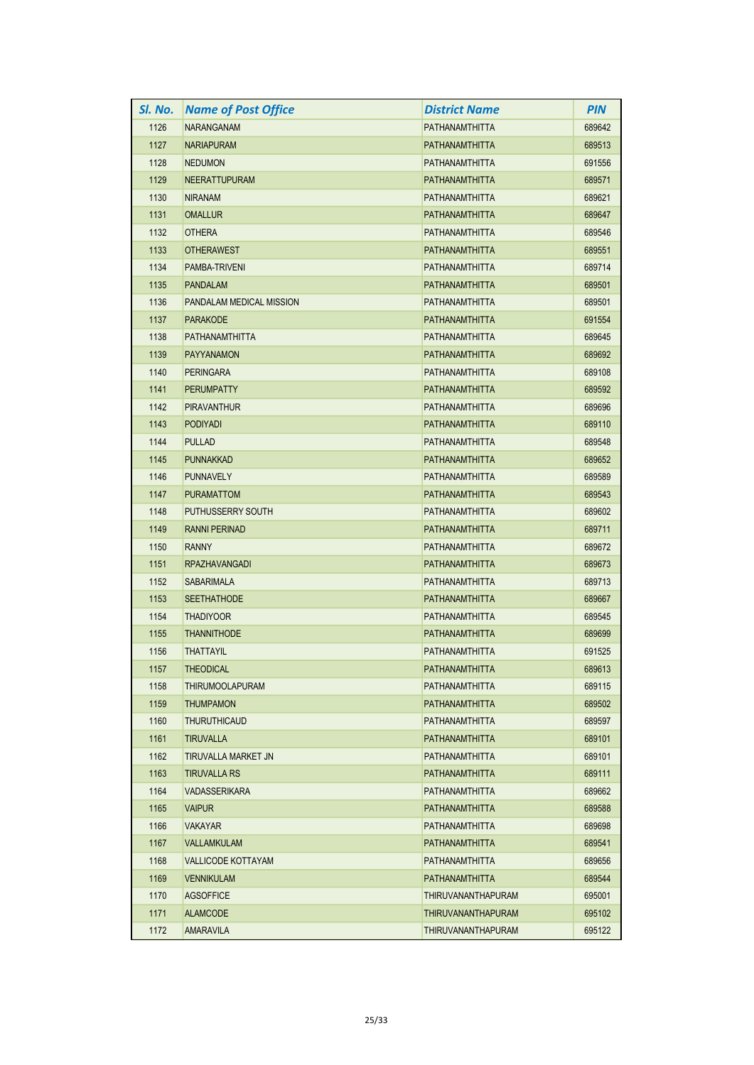| SI. No. | <b>Name of Post Office</b> | <b>District Name</b>  | <b>PIN</b> |
|---------|----------------------------|-----------------------|------------|
| 1126    | <b>NARANGANAM</b>          | PATHANAMTHITTA        | 689642     |
| 1127    | <b>NARIAPURAM</b>          | PATHANAMTHITTA        | 689513     |
| 1128    | <b>NEDUMON</b>             | PATHANAMTHITTA        | 691556     |
| 1129    | <b>NEERATTUPURAM</b>       | <b>PATHANAMTHITTA</b> | 689571     |
| 1130    | <b>NIRANAM</b>             | PATHANAMTHITTA        | 689621     |
| 1131    | <b>OMALLUR</b>             | PATHANAMTHITTA        | 689647     |
| 1132    | <b>OTHERA</b>              | PATHANAMTHITTA        | 689546     |
| 1133    | <b>OTHERAWEST</b>          | <b>PATHANAMTHITTA</b> | 689551     |
| 1134    | PAMBA-TRIVENI              | PATHANAMTHITTA        | 689714     |
| 1135    | <b>PANDALAM</b>            | <b>PATHANAMTHITTA</b> | 689501     |
| 1136    | PANDALAM MEDICAL MISSION   | PATHANAMTHITTA        | 689501     |
| 1137    | <b>PARAKODE</b>            | PATHANAMTHITTA        | 691554     |
| 1138    | <b>PATHANAMTHITTA</b>      | PATHANAMTHITTA        | 689645     |
| 1139    | <b>PAYYANAMON</b>          | <b>PATHANAMTHITTA</b> | 689692     |
| 1140    | <b>PERINGARA</b>           | PATHANAMTHITTA        | 689108     |
| 1141    | <b>PERUMPATTY</b>          | PATHANAMTHITTA        | 689592     |
| 1142    | <b>PIRAVANTHUR</b>         | PATHANAMTHITTA        | 689696     |
| 1143    | <b>PODIYADI</b>            | PATHANAMTHITTA        | 689110     |
| 1144    | <b>PULLAD</b>              | PATHANAMTHITTA        | 689548     |
| 1145    | <b>PUNNAKKAD</b>           | PATHANAMTHITTA        | 689652     |
| 1146    | <b>PUNNAVELY</b>           | PATHANAMTHITTA        | 689589     |
| 1147    | <b>PURAMATTOM</b>          | PATHANAMTHITTA        | 689543     |
| 1148    | <b>PUTHUSSERRY SOUTH</b>   | PATHANAMTHITTA        | 689602     |
| 1149    | <b>RANNI PERINAD</b>       | <b>PATHANAMTHITTA</b> | 689711     |
| 1150    | <b>RANNY</b>               | PATHANAMTHITTA        | 689672     |
| 1151    | <b>RPAZHAVANGADI</b>       | PATHANAMTHITTA        | 689673     |
| 1152    | <b>SABARIMALA</b>          | PATHANAMTHITTA        | 689713     |
| 1153    | <b>SEETHATHODE</b>         | <b>PATHANAMTHITTA</b> | 689667     |
| 1154    | <b>THADIYOOR</b>           | PATHANAMTHITTA        | 689545     |
| 1155    | <b>THANNITHODE</b>         | PATHANAMTHITTA        | 689699     |
| 1156    | <b>THATTAYIL</b>           | PATHANAMTHITTA        | 691525     |
| 1157    | <b>THEODICAL</b>           | <b>PATHANAMTHITTA</b> | 689613     |
| 1158    | <b>THIRUMOOLAPURAM</b>     | PATHANAMTHITTA        | 689115     |
| 1159    | <b>THUMPAMON</b>           | PATHANAMTHITTA        | 689502     |
| 1160    | <b>THURUTHICAUD</b>        | PATHANAMTHITTA        | 689597     |
| 1161    | <b>TIRUVALLA</b>           | PATHANAMTHITTA        | 689101     |
| 1162    | TIRUVALLA MARKET JN        | PATHANAMTHITTA        | 689101     |
| 1163    | <b>TIRUVALLA RS</b>        | PATHANAMTHITTA        | 689111     |
| 1164    | <b>VADASSERIKARA</b>       | PATHANAMTHITTA        | 689662     |
| 1165    | <b>VAIPUR</b>              | PATHANAMTHITTA        | 689588     |
| 1166    | <b>VAKAYAR</b>             | PATHANAMTHITTA        | 689698     |
| 1167    | <b>VALLAMKULAM</b>         | PATHANAMTHITTA        | 689541     |
| 1168    | <b>VALLICODE KOTTAYAM</b>  | PATHANAMTHITTA        | 689656     |
| 1169    | <b>VENNIKULAM</b>          | PATHANAMTHITTA        | 689544     |
| 1170    | <b>AGSOFFICE</b>           | THIRUVANANTHAPURAM    | 695001     |
| 1171    | <b>ALAMCODE</b>            | THIRUVANANTHAPURAM    | 695102     |
| 1172    | <b>AMARAVILA</b>           | THIRUVANANTHAPURAM    | 695122     |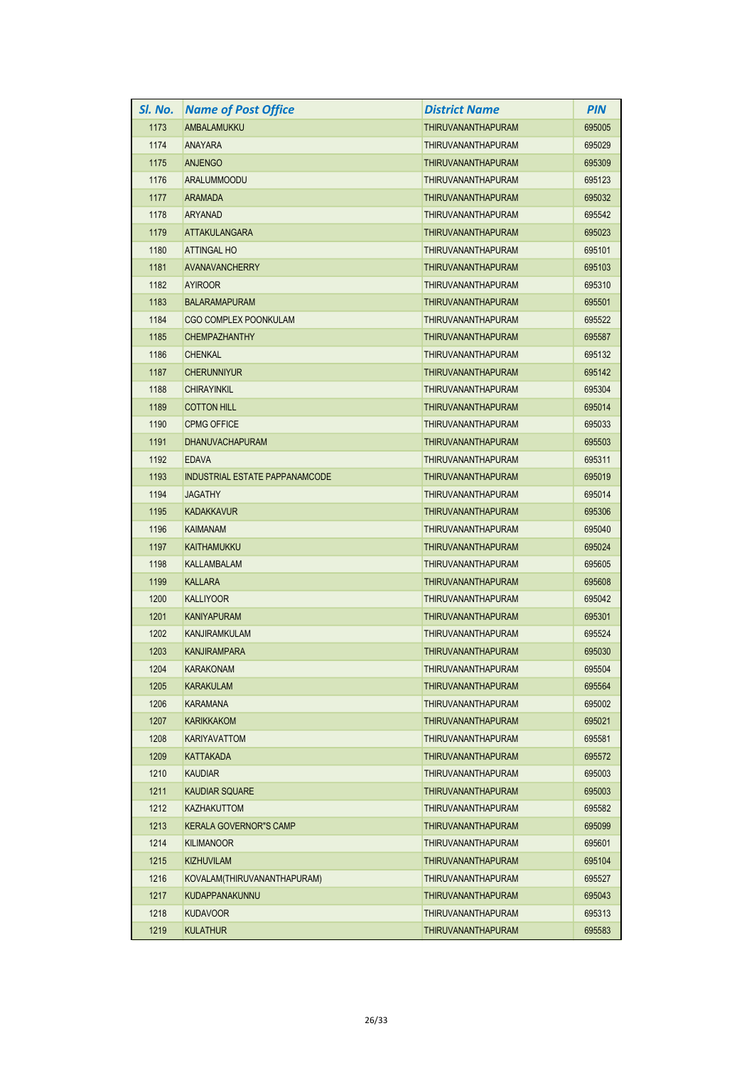| SI. No. | <b>Name of Post Office</b>     | District Name             | <b>PIN</b> |
|---------|--------------------------------|---------------------------|------------|
| 1173    | AMBALAMUKKU                    | <b>THIRUVANANTHAPURAM</b> | 695005     |
| 1174    | ANAYARA                        | <b>THIRUVANANTHAPURAM</b> | 695029     |
| 1175    | <b>ANJENGO</b>                 | <b>THIRUVANANTHAPURAM</b> | 695309     |
| 1176    | ARALUMMOODU                    | THIRUVANANTHAPURAM        | 695123     |
| 1177    | <b>ARAMADA</b>                 | <b>THIRUVANANTHAPURAM</b> | 695032     |
| 1178    | <b>ARYANAD</b>                 | THIRUVANANTHAPURAM        | 695542     |
| 1179    | ATTAKULANGARA                  | <b>THIRUVANANTHAPURAM</b> | 695023     |
| 1180    | <b>ATTINGAL HO</b>             | <b>THIRUVANANTHAPURAM</b> | 695101     |
| 1181    | AVANAVANCHERRY                 | <b>THIRUVANANTHAPURAM</b> | 695103     |
| 1182    | <b>AYIROOR</b>                 | THIRUVANANTHAPURAM        | 695310     |
| 1183    | <b>BALARAMAPURAM</b>           | <b>THIRUVANANTHAPURAM</b> | 695501     |
| 1184    | <b>CGO COMPLEX POONKULAM</b>   | THIRUVANANTHAPURAM        | 695522     |
| 1185    | <b>CHEMPAZHANTHY</b>           | <b>THIRUVANANTHAPURAM</b> | 695587     |
| 1186    | <b>CHENKAL</b>                 | THIRUVANANTHAPURAM        | 695132     |
| 1187    | <b>CHERUNNIYUR</b>             | <b>THIRUVANANTHAPURAM</b> | 695142     |
| 1188    | <b>CHIRAYINKIL</b>             | THIRUVANANTHAPURAM        | 695304     |
| 1189    | <b>COTTON HILL</b>             | <b>THIRUVANANTHAPURAM</b> | 695014     |
| 1190    | <b>CPMG OFFICE</b>             | THIRUVANANTHAPURAM        | 695033     |
| 1191    | DHANUVACHAPURAM                | <b>THIRUVANANTHAPURAM</b> | 695503     |
| 1192    | <b>EDAVA</b>                   | THIRUVANANTHAPURAM        | 695311     |
| 1193    | INDUSTRIAL ESTATE PAPPANAMCODE | <b>THIRUVANANTHAPURAM</b> | 695019     |
| 1194    | <b>JAGATHY</b>                 | THIRUVANANTHAPURAM        | 695014     |
| 1195    | <b>KADAKKAVUR</b>              | <b>THIRUVANANTHAPURAM</b> | 695306     |
| 1196    | <b>KAIMANAM</b>                | <b>THIRUVANANTHAPURAM</b> | 695040     |
| 1197    | <b>KAITHAMUKKU</b>             | <b>THIRUVANANTHAPURAM</b> | 695024     |
| 1198    | <b>KALLAMBALAM</b>             | THIRUVANANTHAPURAM        | 695605     |
| 1199    | <b>KALLARA</b>                 | <b>THIRUVANANTHAPURAM</b> | 695608     |
| 1200    | <b>KALLIYOOR</b>               | THIRUVANANTHAPURAM        | 695042     |
| 1201    | <b>KANIYAPURAM</b>             | <b>THIRUVANANTHAPURAM</b> | 695301     |
| 1202    | KANJIRAMKULAM                  | THIRUVANANTHAPURAM        | 695524     |
| 1203    | <b>KANJIRAMPARA</b>            | <b>THIRUVANANTHAPURAM</b> | 695030     |
| 1204    | <b>KARAKONAM</b>               | THIRUVANANTHAPURAM        | 695504     |
| 1205    | <b>KARAKULAM</b>               | THIRUVANANTHAPURAM        | 695564     |
| 1206    | <b>KARAMANA</b>                | THIRUVANANTHAPURAM        | 695002     |
| 1207    | KARIKKAKOM                     | <b>THIRUVANANTHAPURAM</b> | 695021     |
| 1208    | KARIYAVATTOM                   | THIRUVANANTHAPURAM        | 695581     |
| 1209    | KATTAKADA                      | THIRUVANANTHAPURAM        | 695572     |
| 1210    | <b>KAUDIAR</b>                 | THIRUVANANTHAPURAM        | 695003     |
| 1211    | KAUDIAR SQUARE                 | <b>THIRUVANANTHAPURAM</b> | 695003     |
| 1212    | KAZHAKUTTOM                    | THIRUVANANTHAPURAM        | 695582     |
| 1213    | <b>KERALA GOVERNOR"S CAMP</b>  | <b>THIRUVANANTHAPURAM</b> | 695099     |
| 1214    | <b>KILIMANOOR</b>              | THIRUVANANTHAPURAM        | 695601     |
| 1215    | <b>KIZHUVILAM</b>              | <b>THIRUVANANTHAPURAM</b> | 695104     |
| 1216    | KOVALAM(THIRUVANANTHAPURAM)    | THIRUVANANTHAPURAM        | 695527     |
| 1217    | <b>KUDAPPANAKUNNU</b>          | <b>THIRUVANANTHAPURAM</b> | 695043     |
| 1218    | KUDAVOOR                       | THIRUVANANTHAPURAM        | 695313     |
| 1219    | KULATHUR                       | THIRUVANANTHAPURAM        | 695583     |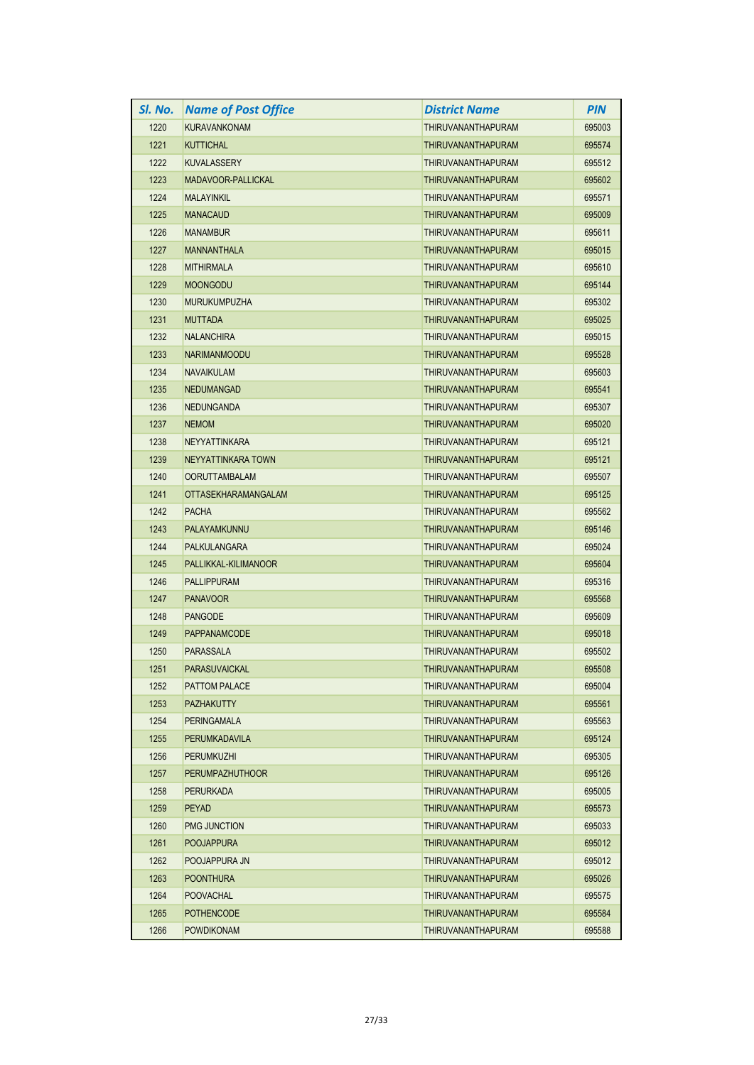| SI. No. | <b>Name of Post Office</b> | <b>District Name</b>      | <b>PIN</b> |
|---------|----------------------------|---------------------------|------------|
| 1220    | <b>KURAVANKONAM</b>        | THIRUVANANTHAPURAM        | 695003     |
| 1221    | <b>KUTTICHAL</b>           | THIRUVANANTHAPURAM        | 695574     |
| 1222    | <b>KUVALASSERY</b>         | THIRUVANANTHAPURAM        | 695512     |
| 1223    | MADAVOOR-PALLICKAL         | THIRUVANANTHAPURAM        | 695602     |
| 1224    | <b>MALAYINKIL</b>          | THIRUVANANTHAPURAM        | 695571     |
| 1225    | <b>MANACAUD</b>            | THIRUVANANTHAPURAM        | 695009     |
| 1226    | <b>MANAMBUR</b>            | THIRUVANANTHAPURAM        | 695611     |
| 1227    | <b>MANNANTHALA</b>         | <b>THIRUVANANTHAPURAM</b> | 695015     |
| 1228    | <b>MITHIRMALA</b>          | THIRUVANANTHAPURAM        | 695610     |
| 1229    | <b>MOONGODU</b>            | THIRUVANANTHAPURAM        | 695144     |
| 1230    | <b>MURUKUMPUZHA</b>        | <b>THIRUVANANTHAPURAM</b> | 695302     |
| 1231    | <b>MUTTADA</b>             | THIRUVANANTHAPURAM        | 695025     |
| 1232    | <b>NALANCHIRA</b>          | THIRUVANANTHAPURAM        | 695015     |
| 1233    | <b>NARIMANMOODU</b>        | THIRUVANANTHAPURAM        | 695528     |
| 1234    | <b>NAVAIKULAM</b>          | <b>THIRUVANANTHAPURAM</b> | 695603     |
| 1235    | <b>NEDUMANGAD</b>          | THIRUVANANTHAPURAM        | 695541     |
| 1236    | <b>NEDUNGANDA</b>          | THIRUVANANTHAPURAM        | 695307     |
| 1237    | <b>NEMOM</b>               | <b>THIRUVANANTHAPURAM</b> | 695020     |
| 1238    | <b>NEYYATTINKARA</b>       | THIRUVANANTHAPURAM        | 695121     |
| 1239    | NEYYATTINKARA TOWN         | THIRUVANANTHAPURAM        | 695121     |
| 1240    | <b>OORUTTAMBALAM</b>       | THIRUVANANTHAPURAM        | 695507     |
| 1241    | <b>OTTASEKHARAMANGALAM</b> | THIRUVANANTHAPURAM        | 695125     |
| 1242    | <b>PACHA</b>               | THIRUVANANTHAPURAM        | 695562     |
| 1243    | PALAYAMKUNNU               | <b>THIRUVANANTHAPURAM</b> | 695146     |
| 1244    | PALKULANGARA               | THIRUVANANTHAPURAM        | 695024     |
| 1245    | PALLIKKAL-KILIMANOOR       | THIRUVANANTHAPURAM        | 695604     |
| 1246    | <b>PALLIPPURAM</b>         | THIRUVANANTHAPURAM        | 695316     |
| 1247    | <b>PANAVOOR</b>            | <b>THIRUVANANTHAPURAM</b> | 695568     |
| 1248    | <b>PANGODE</b>             | THIRUVANANTHAPURAM        | 695609     |
| 1249    | <b>PAPPANAMCODE</b>        | <b>THIRUVANANTHAPURAM</b> | 695018     |
| 1250    | <b>PARASSALA</b>           | THIRUVANANTHAPURAM        | 695502     |
| 1251    | PARASUVAICKAL              | <b>THIRUVANANTHAPURAM</b> | 695508     |
| 1252    | PATTOM PALACE              | THIRUVANANTHAPURAM        | 695004     |
| 1253    | <b>PAZHAKUTTY</b>          | <b>THIRUVANANTHAPURAM</b> | 695561     |
| 1254    | PERINGAMALA                | THIRUVANANTHAPURAM        | 695563     |
| 1255    | PERUMKADAVILA              | THIRUVANANTHAPURAM        | 695124     |
| 1256    | <b>PERUMKUZHI</b>          | <b>THIRUVANANTHAPURAM</b> | 695305     |
| 1257    | <b>PERUMPAZHUTHOOR</b>     | <b>THIRUVANANTHAPURAM</b> | 695126     |
| 1258    | PERURKADA                  | THIRUVANANTHAPURAM        | 695005     |
| 1259    | <b>PEYAD</b>               | THIRUVANANTHAPURAM        | 695573     |
| 1260    | <b>PMG JUNCTION</b>        | <b>THIRUVANANTHAPURAM</b> | 695033     |
| 1261    | <b>POOJAPPURA</b>          | THIRUVANANTHAPURAM        | 695012     |
| 1262    | POOJAPPURA JN              | THIRUVANANTHAPURAM        | 695012     |
| 1263    | <b>POONTHURA</b>           | THIRUVANANTHAPURAM        | 695026     |
| 1264    | <b>POOVACHAL</b>           | THIRUVANANTHAPURAM        | 695575     |
| 1265    | <b>POTHENCODE</b>          | THIRUVANANTHAPURAM        | 695584     |
| 1266    | <b>POWDIKONAM</b>          | THIRUVANANTHAPURAM        | 695588     |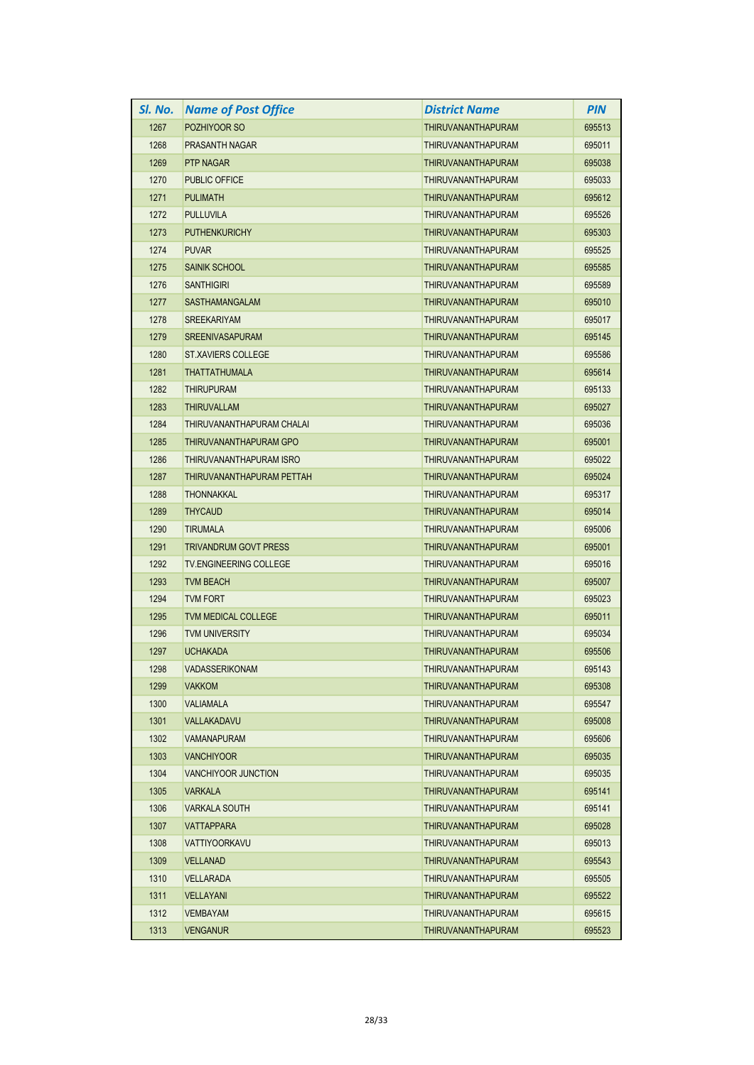| SI. No. | <b>Name of Post Office</b>    | District Name             | <b>PIN</b> |
|---------|-------------------------------|---------------------------|------------|
| 1267    | POZHIYOOR SO                  | <b>THIRUVANANTHAPURAM</b> | 695513     |
| 1268    | <b>PRASANTH NAGAR</b>         | <b>THIRUVANANTHAPURAM</b> | 695011     |
| 1269    | <b>PTP NAGAR</b>              | <b>THIRUVANANTHAPURAM</b> | 695038     |
| 1270    | <b>PUBLIC OFFICE</b>          | <b>THIRUVANANTHAPURAM</b> | 695033     |
| 1271    | <b>PULIMATH</b>               | <b>THIRUVANANTHAPURAM</b> | 695612     |
| 1272    | <b>PULLUVILA</b>              | THIRUVANANTHAPURAM        | 695526     |
| 1273    | <b>PUTHENKURICHY</b>          | <b>THIRUVANANTHAPURAM</b> | 695303     |
| 1274    | <b>PUVAR</b>                  | THIRUVANANTHAPURAM        | 695525     |
| 1275    | <b>SAINIK SCHOOL</b>          | <b>THIRUVANANTHAPURAM</b> | 695585     |
| 1276    | <b>SANTHIGIRI</b>             | THIRUVANANTHAPURAM        | 695589     |
| 1277    | <b>SASTHAMANGALAM</b>         | <b>THIRUVANANTHAPURAM</b> | 695010     |
| 1278    | <b>SREEKARIYAM</b>            | THIRUVANANTHAPURAM        | 695017     |
| 1279    | <b>SREENIVASAPURAM</b>        | <b>THIRUVANANTHAPURAM</b> | 695145     |
| 1280    | <b>ST.XAVIERS COLLEGE</b>     | <b>THIRUVANANTHAPURAM</b> | 695586     |
| 1281    | <b>THATTATHUMALA</b>          | <b>THIRUVANANTHAPURAM</b> | 695614     |
| 1282    | <b>THIRUPURAM</b>             | THIRUVANANTHAPURAM        | 695133     |
| 1283    | <b>THIRUVALLAM</b>            | <b>THIRUVANANTHAPURAM</b> | 695027     |
| 1284    | THIRUVANANTHAPURAM CHALAI     | THIRUVANANTHAPURAM        | 695036     |
| 1285    | THIRUVANANTHAPURAM GPO        | <b>THIRUVANANTHAPURAM</b> | 695001     |
| 1286    | THIRUVANANTHAPURAM ISRO       | <b>THIRUVANANTHAPURAM</b> | 695022     |
| 1287    | THIRUVANANTHAPURAM PETTAH     | <b>THIRUVANANTHAPURAM</b> | 695024     |
| 1288    | <b>THONNAKKAL</b>             | THIRUVANANTHAPURAM        | 695317     |
| 1289    | <b>THYCAUD</b>                | <b>THIRUVANANTHAPURAM</b> | 695014     |
| 1290    | <b>TIRUMALA</b>               | <b>THIRUVANANTHAPURAM</b> | 695006     |
| 1291    | <b>TRIVANDRUM GOVT PRESS</b>  | <b>THIRUVANANTHAPURAM</b> | 695001     |
| 1292    | <b>TV.ENGINEERING COLLEGE</b> | THIRUVANANTHAPURAM        | 695016     |
| 1293    | <b>TVM BEACH</b>              | <b>THIRUVANANTHAPURAM</b> | 695007     |
| 1294    | TVM FORT                      | <b>THIRUVANANTHAPURAM</b> | 695023     |
| 1295    | <b>TVM MEDICAL COLLEGE</b>    | <b>THIRUVANANTHAPURAM</b> | 695011     |
| 1296    | <b>TVM UNIVERSITY</b>         | <b>THIRUVANANTHAPURAM</b> | 695034     |
| 1297    | <b>UCHAKADA</b>               | <b>THIRUVANANTHAPURAM</b> | 695506     |
| 1298    | VADASSERIKONAM                | THIRUVANANTHAPURAM        | 695143     |
| 1299    | <b>VAKKOM</b>                 | <b>THIRUVANANTHAPURAM</b> | 695308     |
| 1300    | <b>VALIAMALA</b>              | THIRUVANANTHAPURAM        | 695547     |
| 1301    | VALLAKADAVU                   | <b>THIRUVANANTHAPURAM</b> | 695008     |
| 1302    | <b>VAMANAPURAM</b>            | THIRUVANANTHAPURAM        | 695606     |
| 1303    | <b>VANCHIYOOR</b>             | <b>THIRUVANANTHAPURAM</b> | 695035     |
| 1304    | <b>VANCHIYOOR JUNCTION</b>    | THIRUVANANTHAPURAM        | 695035     |
| 1305    | <b>VARKALA</b>                | <b>THIRUVANANTHAPURAM</b> | 695141     |
| 1306    | VARKALA SOUTH                 | THIRUVANANTHAPURAM        | 695141     |
| 1307    | VATTAPPARA                    | <b>THIRUVANANTHAPURAM</b> | 695028     |
| 1308    | VATTIYOORKAVU                 | THIRUVANANTHAPURAM        | 695013     |
| 1309    | <b>VELLANAD</b>               | <b>THIRUVANANTHAPURAM</b> | 695543     |
| 1310    | VELLARADA                     | THIRUVANANTHAPURAM        | 695505     |
| 1311    | <b>VELLAYANI</b>              | <b>THIRUVANANTHAPURAM</b> | 695522     |
| 1312    | <b>VEMBAYAM</b>               | THIRUVANANTHAPURAM        | 695615     |
| 1313    | <b>VENGANUR</b>               | <b>THIRUVANANTHAPURAM</b> | 695523     |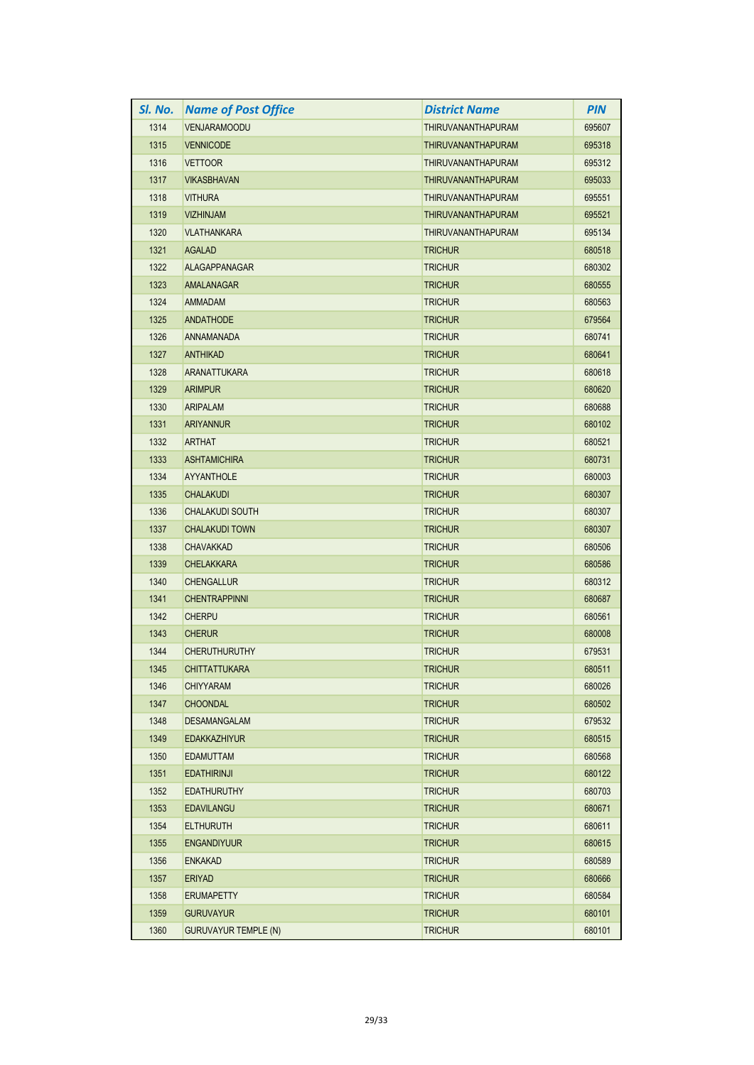| SI. No. | <b>Name of Post Office</b>  | District Name             | <b>PIN</b> |
|---------|-----------------------------|---------------------------|------------|
| 1314    | <b>VENJARAMOODU</b>         | <b>THIRUVANANTHAPURAM</b> | 695607     |
| 1315    | <b>VENNICODE</b>            | THIRUVANANTHAPURAM        | 695318     |
| 1316    | <b>VETTOOR</b>              | THIRUVANANTHAPURAM        | 695312     |
| 1317    | <b>VIKASBHAVAN</b>          | <b>THIRUVANANTHAPURAM</b> | 695033     |
| 1318    | <b>VITHURA</b>              | THIRUVANANTHAPURAM        | 695551     |
| 1319    | <b>VIZHINJAM</b>            | <b>THIRUVANANTHAPURAM</b> | 695521     |
| 1320    | <b>VLATHANKARA</b>          | THIRUVANANTHAPURAM        | 695134     |
| 1321    | <b>AGALAD</b>               | <b>TRICHUR</b>            | 680518     |
| 1322    | <b>ALAGAPPANAGAR</b>        | <b>TRICHUR</b>            | 680302     |
| 1323    | <b>AMALANAGAR</b>           | <b>TRICHUR</b>            | 680555     |
| 1324    | AMMADAM                     | TRICHUR                   | 680563     |
| 1325    | <b>ANDATHODE</b>            | <b>TRICHUR</b>            | 679564     |
| 1326    | ANNAMANADA                  | <b>TRICHUR</b>            | 680741     |
| 1327    | <b>ANTHIKAD</b>             | <b>TRICHUR</b>            | 680641     |
| 1328    | <b>ARANATTUKARA</b>         | <b>TRICHUR</b>            | 680618     |
| 1329    | <b>ARIMPUR</b>              | <b>TRICHUR</b>            | 680620     |
| 1330    | <b>ARIPALAM</b>             | <b>TRICHUR</b>            | 680688     |
| 1331    | <b>ARIYANNUR</b>            | <b>TRICHUR</b>            | 680102     |
| 1332    | <b>ARTHAT</b>               | <b>TRICHUR</b>            | 680521     |
| 1333    | <b>ASHTAMICHIRA</b>         | <b>TRICHUR</b>            | 680731     |
| 1334    | <b>AYYANTHOLE</b>           | <b>TRICHUR</b>            | 680003     |
| 1335    | <b>CHALAKUDI</b>            | <b>TRICHUR</b>            | 680307     |
| 1336    | <b>CHALAKUDI SOUTH</b>      | <b>TRICHUR</b>            | 680307     |
| 1337    | <b>CHALAKUDI TOWN</b>       | <b>TRICHUR</b>            | 680307     |
| 1338    | <b>CHAVAKKAD</b>            | TRICHUR                   | 680506     |
| 1339    | <b>CHELAKKARA</b>           | <b>TRICHUR</b>            | 680586     |
| 1340    | <b>CHENGALLUR</b>           | <b>TRICHUR</b>            | 680312     |
| 1341    | <b>CHENTRAPPINNI</b>        | <b>TRICHUR</b>            | 680687     |
| 1342    | <b>CHERPU</b>               | <b>TRICHUR</b>            | 680561     |
| 1343    | <b>CHERUR</b>               | <b>TRICHUR</b>            | 680008     |
| 1344    | <b>CHERUTHURUTHY</b>        | TRICHUR                   | 679531     |
| 1345    | <b>CHITTATTUKARA</b>        | <b>TRICHUR</b>            | 680511     |
| 1346    | <b>CHIYYARAM</b>            | <b>TRICHUR</b>            | 680026     |
| 1347    | <b>CHOONDAL</b>             | <b>TRICHUR</b>            | 680502     |
| 1348    | <b>DESAMANGALAM</b>         | <b>TRICHUR</b>            | 679532     |
| 1349    | <b>EDAKKAZHIYUR</b>         | <b>TRICHUR</b>            | 680515     |
| 1350    | <b>EDAMUTTAM</b>            | <b>TRICHUR</b>            | 680568     |
| 1351    | <b>EDATHIRINJI</b>          | <b>TRICHUR</b>            | 680122     |
| 1352    | <b>EDATHURUTHY</b>          | TRICHUR                   | 680703     |
| 1353    | <b>EDAVILANGU</b>           | <b>TRICHUR</b>            | 680671     |
| 1354    | <b>ELTHURUTH</b>            | <b>TRICHUR</b>            | 680611     |
| 1355    | <b>ENGANDIYUUR</b>          | <b>TRICHUR</b>            | 680615     |
| 1356    | <b>ENKAKAD</b>              | <b>TRICHUR</b>            | 680589     |
| 1357    | <b>ERIYAD</b>               | <b>TRICHUR</b>            | 680666     |
| 1358    | <b>ERUMAPETTY</b>           | <b>TRICHUR</b>            | 680584     |
| 1359    | <b>GURUVAYUR</b>            | <b>TRICHUR</b>            | 680101     |
| 1360    | <b>GURUVAYUR TEMPLE (N)</b> | <b>TRICHUR</b>            | 680101     |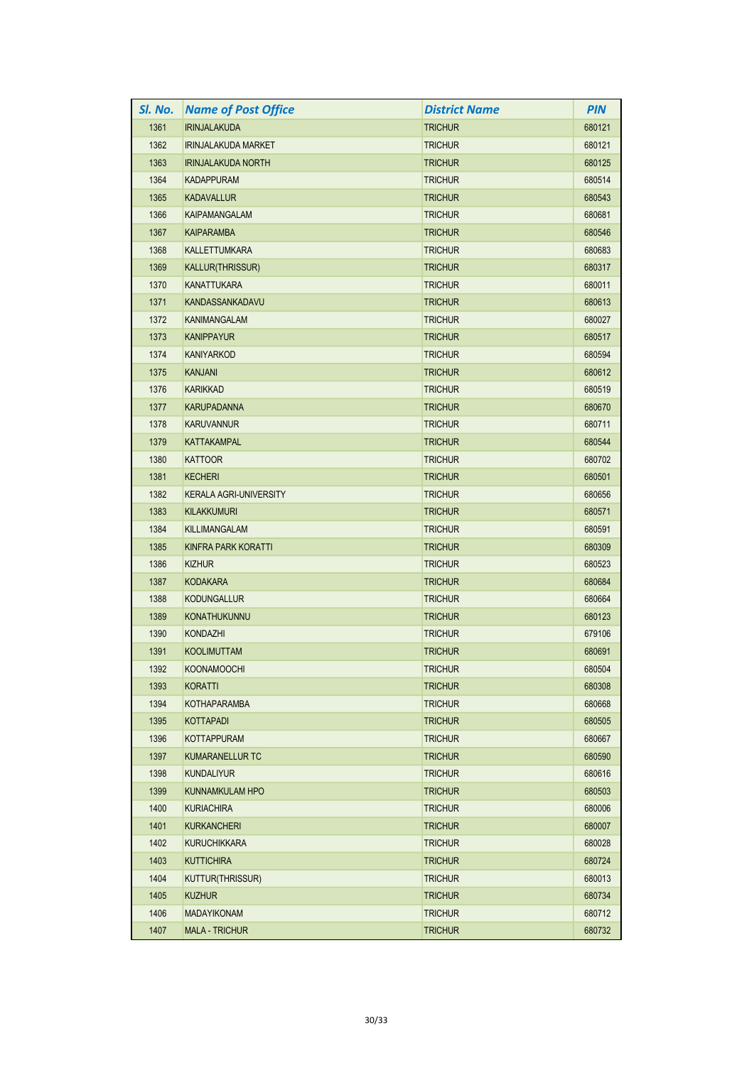| SI. No. | <b>Name of Post Office</b>    | <b>District Name</b> | <b>PIN</b> |
|---------|-------------------------------|----------------------|------------|
| 1361    | <b>IRINJALAKUDA</b>           | <b>TRICHUR</b>       | 680121     |
| 1362    | <b>IRINJALAKUDA MARKET</b>    | <b>TRICHUR</b>       | 680121     |
| 1363    | <b>IRINJALAKUDA NORTH</b>     | <b>TRICHUR</b>       | 680125     |
| 1364    | <b>KADAPPURAM</b>             | <b>TRICHUR</b>       | 680514     |
| 1365    | <b>KADAVALLUR</b>             | <b>TRICHUR</b>       | 680543     |
| 1366    | <b>KAIPAMANGALAM</b>          | <b>TRICHUR</b>       | 680681     |
| 1367    | <b>KAIPARAMBA</b>             | <b>TRICHUR</b>       | 680546     |
| 1368    | <b>KALLETTUMKARA</b>          | <b>TRICHUR</b>       | 680683     |
| 1369    | <b>KALLUR(THRISSUR)</b>       | <b>TRICHUR</b>       | 680317     |
| 1370    | <b>KANATTUKARA</b>            | <b>TRICHUR</b>       | 680011     |
| 1371    | <b>KANDASSANKADAVU</b>        | <b>TRICHUR</b>       | 680613     |
| 1372    | KANIMANGALAM                  | <b>TRICHUR</b>       | 680027     |
| 1373    | <b>KANIPPAYUR</b>             | <b>TRICHUR</b>       | 680517     |
| 1374    | <b>KANIYARKOD</b>             | <b>TRICHUR</b>       | 680594     |
| 1375    | <b>KANJANI</b>                | <b>TRICHUR</b>       | 680612     |
| 1376    | <b>KARIKKAD</b>               | <b>TRICHUR</b>       | 680519     |
| 1377    | <b>KARUPADANNA</b>            | <b>TRICHUR</b>       | 680670     |
| 1378    | <b>KARUVANNUR</b>             | <b>TRICHUR</b>       | 680711     |
| 1379    | <b>KATTAKAMPAL</b>            | <b>TRICHUR</b>       | 680544     |
| 1380    | <b>KATTOOR</b>                | <b>TRICHUR</b>       | 680702     |
| 1381    | <b>KECHERI</b>                | <b>TRICHUR</b>       | 680501     |
| 1382    | <b>KERALA AGRI-UNIVERSITY</b> | <b>TRICHUR</b>       | 680656     |
| 1383    | <b>KILAKKUMURI</b>            | <b>TRICHUR</b>       | 680571     |
| 1384    | <b>KILLIMANGALAM</b>          | <b>TRICHUR</b>       | 680591     |
| 1385    | KINFRA PARK KORATTI           | <b>TRICHUR</b>       | 680309     |
| 1386    | <b>KIZHUR</b>                 | <b>TRICHUR</b>       | 680523     |
| 1387    | <b>KODAKARA</b>               | <b>TRICHUR</b>       | 680684     |
| 1388    | <b>KODUNGALLUR</b>            | <b>TRICHUR</b>       | 680664     |
| 1389    | <b>KONATHUKUNNU</b>           | <b>TRICHUR</b>       | 680123     |
| 1390    | <b>KONDAZHI</b>               | <b>TRICHUR</b>       | 679106     |
| 1391    | <b>KOOLIMUTTAM</b>            | <b>TRICHUR</b>       | 680691     |
| 1392    | KOONAMOOCHI                   | <b>TRICHUR</b>       | 680504     |
| 1393    | KORATTI                       | <b>TRICHUR</b>       | 680308     |
| 1394    | <b>KOTHAPARAMBA</b>           | <b>TRICHUR</b>       | 680668     |
| 1395    | <b>KOTTAPADI</b>              | <b>TRICHUR</b>       | 680505     |
| 1396    | <b>KOTTAPPURAM</b>            | <b>TRICHUR</b>       | 680667     |
| 1397    | <b>KUMARANELLUR TC</b>        | <b>TRICHUR</b>       | 680590     |
| 1398    | <b>KUNDALIYUR</b>             | <b>TRICHUR</b>       | 680616     |
| 1399    | <b>KUNNAMKULAM HPO</b>        | <b>TRICHUR</b>       | 680503     |
| 1400    | <b>KURIACHIRA</b>             | <b>TRICHUR</b>       | 680006     |
| 1401    | <b>KURKANCHERI</b>            | <b>TRICHUR</b>       | 680007     |
| 1402    | <b>KURUCHIKKARA</b>           | <b>TRICHUR</b>       | 680028     |
| 1403    | <b>KUTTICHIRA</b>             | <b>TRICHUR</b>       | 680724     |
| 1404    | <b>KUTTUR(THRISSUR)</b>       | <b>TRICHUR</b>       | 680013     |
| 1405    | <b>KUZHUR</b>                 | <b>TRICHUR</b>       | 680734     |
| 1406    | <b>MADAYIKONAM</b>            | <b>TRICHUR</b>       | 680712     |
| 1407    | <b>MALA - TRICHUR</b>         | <b>TRICHUR</b>       | 680732     |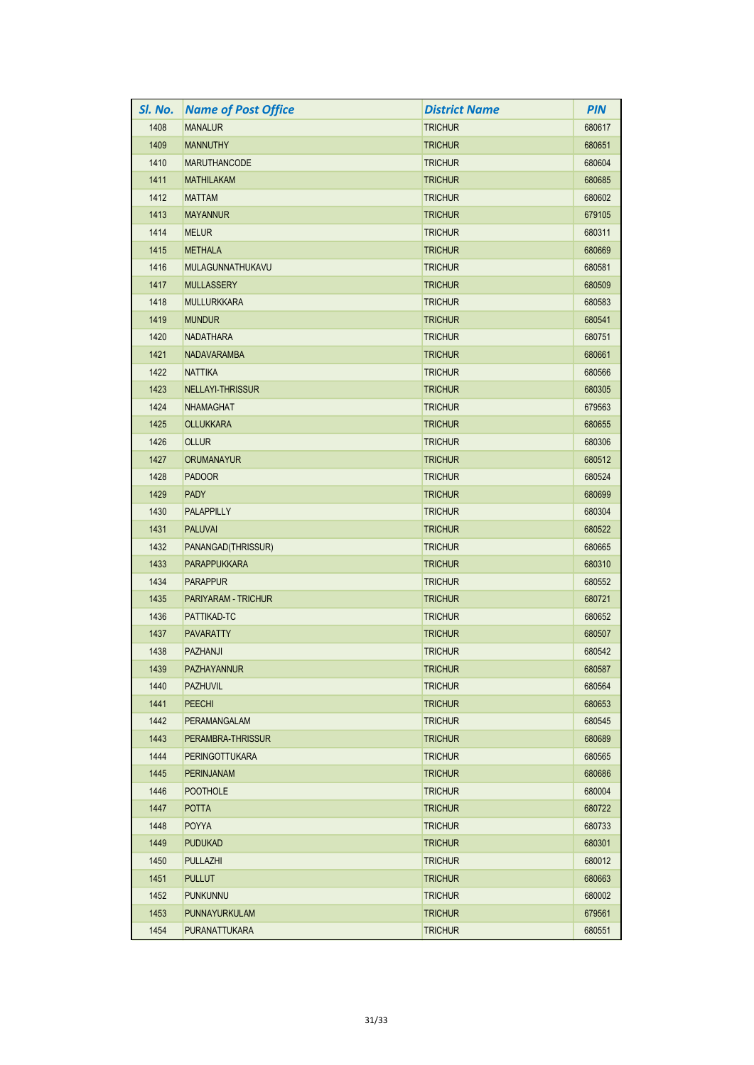| SI. No. | <b>Name of Post Office</b> | <b>District Name</b> | <b>PIN</b> |
|---------|----------------------------|----------------------|------------|
| 1408    | <b>MANALUR</b>             | <b>TRICHUR</b>       | 680617     |
| 1409    | <b>MANNUTHY</b>            | <b>TRICHUR</b>       | 680651     |
| 1410    | <b>MARUTHANCODE</b>        | <b>TRICHUR</b>       | 680604     |
| 1411    | <b>MATHILAKAM</b>          | <b>TRICHUR</b>       | 680685     |
| 1412    | <b>MATTAM</b>              | <b>TRICHUR</b>       | 680602     |
| 1413    | <b>MAYANNUR</b>            | <b>TRICHUR</b>       | 679105     |
| 1414    | <b>MELUR</b>               | <b>TRICHUR</b>       | 680311     |
| 1415    | <b>METHALA</b>             | <b>TRICHUR</b>       | 680669     |
| 1416    | MULAGUNNATHUKAVU           | <b>TRICHUR</b>       | 680581     |
| 1417    | <b>MULLASSERY</b>          | <b>TRICHUR</b>       | 680509     |
| 1418    | <b>MULLURKKARA</b>         | <b>TRICHUR</b>       | 680583     |
| 1419    | <b>MUNDUR</b>              | <b>TRICHUR</b>       | 680541     |
| 1420    | <b>NADATHARA</b>           | <b>TRICHUR</b>       | 680751     |
| 1421    | <b>NADAVARAMBA</b>         | <b>TRICHUR</b>       | 680661     |
| 1422    | <b>NATTIKA</b>             | <b>TRICHUR</b>       | 680566     |
| 1423    | <b>NELLAYI-THRISSUR</b>    | <b>TRICHUR</b>       | 680305     |
| 1424    | <b>NHAMAGHAT</b>           | <b>TRICHUR</b>       | 679563     |
| 1425    | <b>OLLUKKARA</b>           | <b>TRICHUR</b>       | 680655     |
| 1426    | <b>OLLUR</b>               | <b>TRICHUR</b>       | 680306     |
| 1427    | <b>ORUMANAYUR</b>          | <b>TRICHUR</b>       | 680512     |
| 1428    | <b>PADOOR</b>              | <b>TRICHUR</b>       | 680524     |
| 1429    | <b>PADY</b>                | <b>TRICHUR</b>       | 680699     |
| 1430    | <b>PALAPPILLY</b>          | <b>TRICHUR</b>       | 680304     |
| 1431    | <b>PALUVAI</b>             | <b>TRICHUR</b>       | 680522     |
| 1432    | PANANGAD(THRISSUR)         | <b>TRICHUR</b>       | 680665     |
| 1433    | <b>PARAPPUKKARA</b>        | <b>TRICHUR</b>       | 680310     |
| 1434    | <b>PARAPPUR</b>            | <b>TRICHUR</b>       | 680552     |
| 1435    | PARIYARAM - TRICHUR        | <b>TRICHUR</b>       | 680721     |
| 1436    | PATTIKAD-TC                | <b>TRICHUR</b>       | 680652     |
| 1437    | <b>PAVARATTY</b>           | <b>TRICHUR</b>       | 680507     |
| 1438    | <b>PAZHANJI</b>            | <b>TRICHUR</b>       | 680542     |
| 1439    | PAZHAYANNUR                | <b>TRICHUR</b>       | 680587     |
| 1440    | <b>PAZHUVIL</b>            | <b>TRICHUR</b>       | 680564     |
| 1441    | <b>PEECHI</b>              | <b>TRICHUR</b>       | 680653     |
| 1442    | <b>PERAMANGALAM</b>        | <b>TRICHUR</b>       | 680545     |
| 1443    | PERAMBRA-THRISSUR          | <b>TRICHUR</b>       | 680689     |
| 1444    | <b>PERINGOTTUKARA</b>      | <b>TRICHUR</b>       | 680565     |
| 1445    | <b>PERINJANAM</b>          | <b>TRICHUR</b>       | 680686     |
| 1446    | <b>POOTHOLE</b>            | <b>TRICHUR</b>       | 680004     |
| 1447    | <b>POTTA</b>               | <b>TRICHUR</b>       | 680722     |
| 1448    | <b>POYYA</b>               | <b>TRICHUR</b>       | 680733     |
| 1449    | <b>PUDUKAD</b>             | <b>TRICHUR</b>       | 680301     |
| 1450    | <b>PULLAZHI</b>            | <b>TRICHUR</b>       | 680012     |
| 1451    | <b>PULLUT</b>              | <b>TRICHUR</b>       | 680663     |
| 1452    | <b>PUNKUNNU</b>            | <b>TRICHUR</b>       | 680002     |
| 1453    | PUNNAYURKULAM              | <b>TRICHUR</b>       | 679561     |
| 1454    | <b>PURANATTUKARA</b>       | <b>TRICHUR</b>       | 680551     |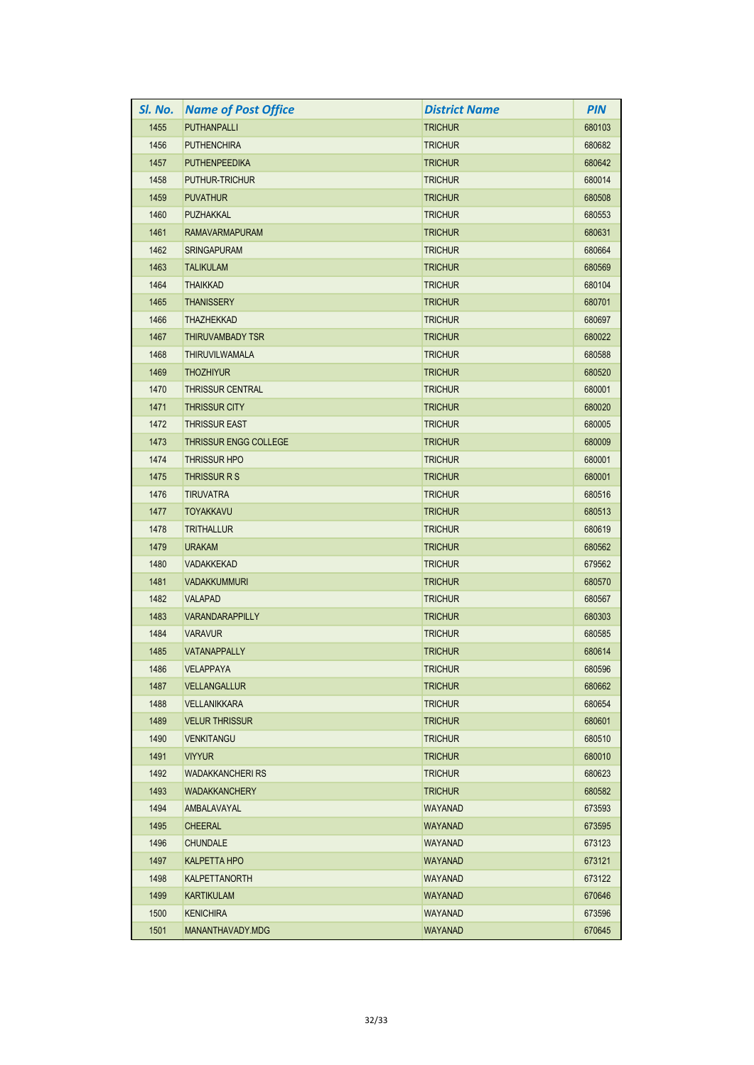| SI. No. | <b>Name of Post Office</b>   | <b>District Name</b> | <b>PIN</b> |
|---------|------------------------------|----------------------|------------|
| 1455    | <b>PUTHANPALLI</b>           | <b>TRICHUR</b>       | 680103     |
| 1456    | <b>PUTHENCHIRA</b>           | <b>TRICHUR</b>       | 680682     |
| 1457    | <b>PUTHENPEEDIKA</b>         | <b>TRICHUR</b>       | 680642     |
| 1458    | <b>PUTHUR-TRICHUR</b>        | <b>TRICHUR</b>       | 680014     |
| 1459    | <b>PUVATHUR</b>              | <b>TRICHUR</b>       | 680508     |
| 1460    | <b>PUZHAKKAL</b>             | <b>TRICHUR</b>       | 680553     |
| 1461    | <b>RAMAVARMAPURAM</b>        | <b>TRICHUR</b>       | 680631     |
| 1462    | <b>SRINGAPURAM</b>           | <b>TRICHUR</b>       | 680664     |
| 1463    | <b>TALIKULAM</b>             | <b>TRICHUR</b>       | 680569     |
| 1464    | <b>THAIKKAD</b>              | <b>TRICHUR</b>       | 680104     |
| 1465    | <b>THANISSERY</b>            | <b>TRICHUR</b>       | 680701     |
| 1466    | <b>THAZHEKKAD</b>            | <b>TRICHUR</b>       | 680697     |
| 1467    | THIRUVAMBADY TSR             | <b>TRICHUR</b>       | 680022     |
| 1468    | <b>THIRUVILWAMALA</b>        | <b>TRICHUR</b>       | 680588     |
| 1469    | <b>THOZHIYUR</b>             | <b>TRICHUR</b>       | 680520     |
| 1470    | <b>THRISSUR CENTRAL</b>      | <b>TRICHUR</b>       | 680001     |
| 1471    | <b>THRISSUR CITY</b>         | <b>TRICHUR</b>       | 680020     |
| 1472    | <b>THRISSUR EAST</b>         | <b>TRICHUR</b>       | 680005     |
| 1473    | <b>THRISSUR ENGG COLLEGE</b> | <b>TRICHUR</b>       | 680009     |
| 1474    | <b>THRISSUR HPO</b>          | <b>TRICHUR</b>       | 680001     |
| 1475    | THRISSUR R S                 | <b>TRICHUR</b>       | 680001     |
| 1476    | <b>TIRUVATRA</b>             | <b>TRICHUR</b>       | 680516     |
| 1477    | <b>TOYAKKAVU</b>             | <b>TRICHUR</b>       | 680513     |
| 1478    | <b>TRITHALLUR</b>            | <b>TRICHUR</b>       | 680619     |
| 1479    | <b>URAKAM</b>                | <b>TRICHUR</b>       | 680562     |
| 1480    | <b>VADAKKEKAD</b>            | <b>TRICHUR</b>       | 679562     |
| 1481    | <b>VADAKKUMMURI</b>          | <b>TRICHUR</b>       | 680570     |
| 1482    | <b>VALAPAD</b>               | <b>TRICHUR</b>       | 680567     |
| 1483    | <b>VARANDARAPPILLY</b>       | <b>TRICHUR</b>       | 680303     |
| 1484    | <b>VARAVUR</b>               | TRICHUR              | 680585     |
| 1485    | <b>VATANAPPALLY</b>          | <b>TRICHUR</b>       | 680614     |
| 1486    | <b>VELAPPAYA</b>             | <b>TRICHUR</b>       | 680596     |
| 1487    | <b>VELLANGALLUR</b>          | <b>TRICHUR</b>       | 680662     |
| 1488    | <b>VELLANIKKARA</b>          | <b>TRICHUR</b>       | 680654     |
| 1489    | <b>VELUR THRISSUR</b>        | <b>TRICHUR</b>       | 680601     |
| 1490    | <b>VENKITANGU</b>            | <b>TRICHUR</b>       | 680510     |
| 1491    | <b>VIYYUR</b>                | <b>TRICHUR</b>       | 680010     |
| 1492    | <b>WADAKKANCHERI RS</b>      | <b>TRICHUR</b>       | 680623     |
| 1493    | <b>WADAKKANCHERY</b>         | <b>TRICHUR</b>       | 680582     |
| 1494    | AMBALAVAYAL                  | WAYANAD              | 673593     |
| 1495    | <b>CHEERAL</b>               | <b>WAYANAD</b>       | 673595     |
| 1496    | <b>CHUNDALE</b>              | WAYANAD              | 673123     |
| 1497    | <b>KALPETTA HPO</b>          | WAYANAD              | 673121     |
| 1498    | KALPETTANORTH                | WAYANAD              | 673122     |
| 1499    | <b>KARTIKULAM</b>            | WAYANAD              | 670646     |
| 1500    | <b>KENICHIRA</b>             | <b>WAYANAD</b>       | 673596     |
| 1501    | MANANTHAVADY.MDG             | WAYANAD              | 670645     |